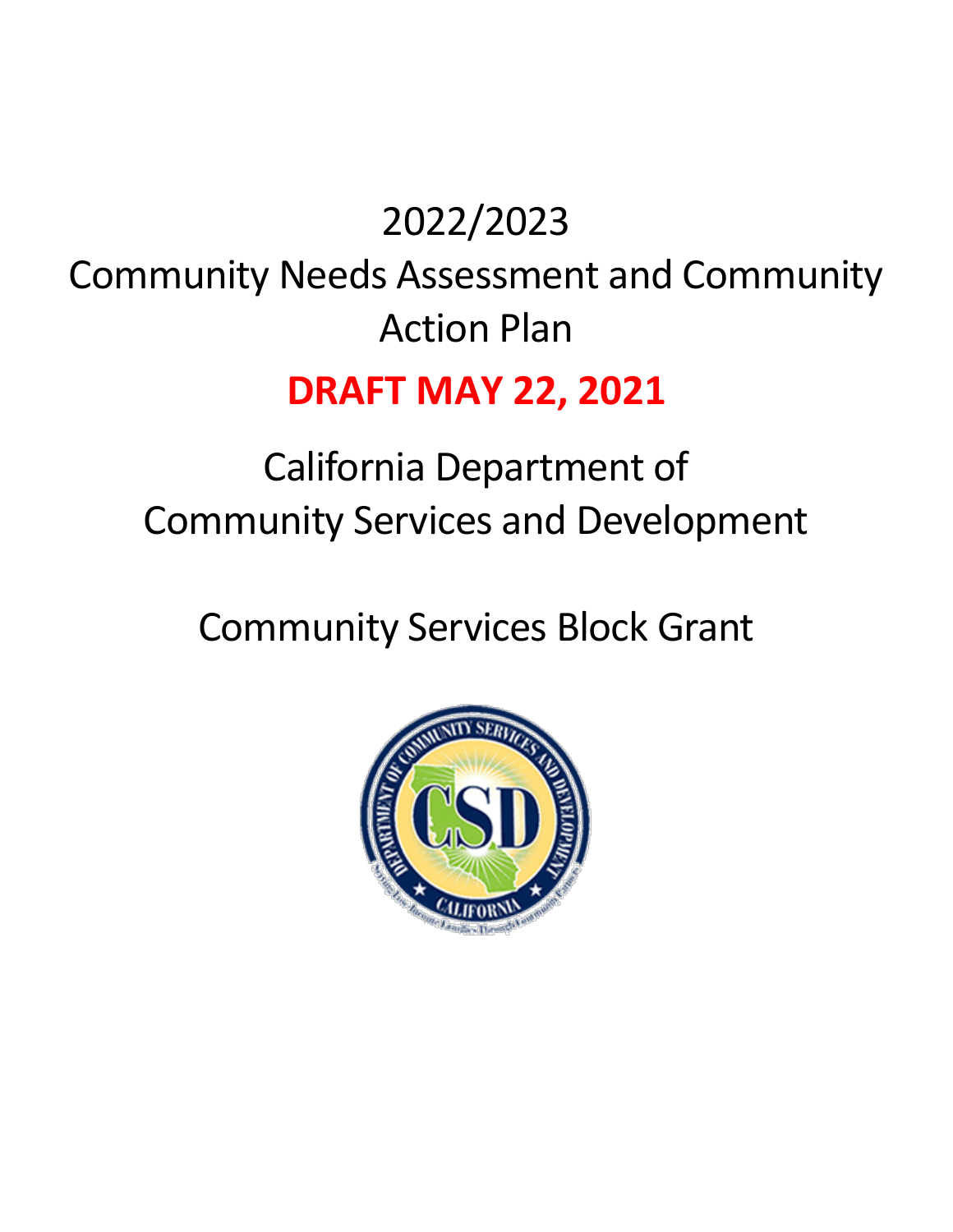# 2022/2023 Community Needs Assessment and Community Action Plan

# **DRAFT MAY 22, 2021**

# California Department of Community Services and Development

Community Services Block Grant

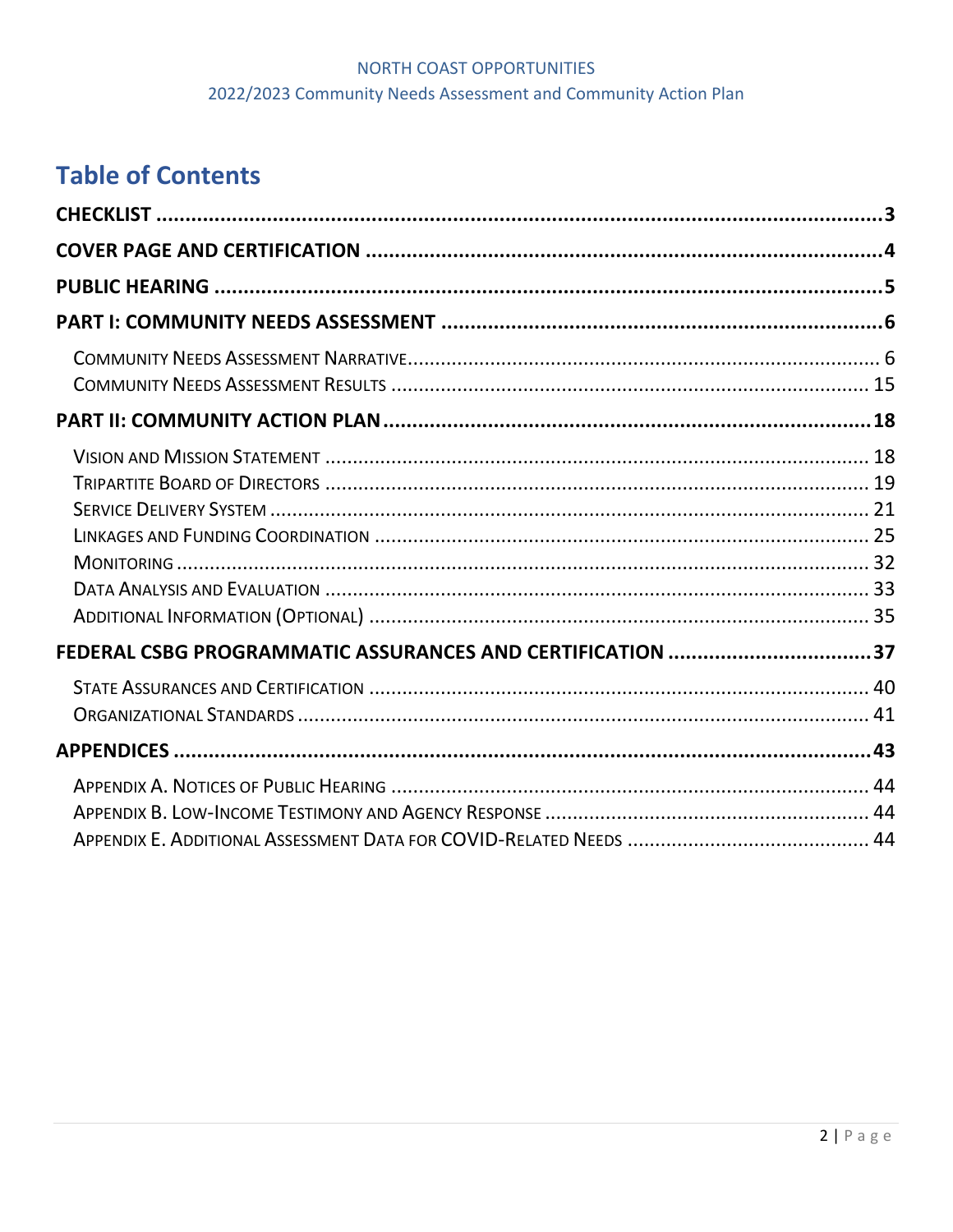# NORTH COAST OPPORTUNITIES 2022/2023 Community Needs Assessment and Community Action Plan

# **Table of Contents**

| FEDERAL CSBG PROGRAMMATIC ASSURANCES AND CERTIFICATION 37 |  |
|-----------------------------------------------------------|--|
|                                                           |  |
|                                                           |  |
|                                                           |  |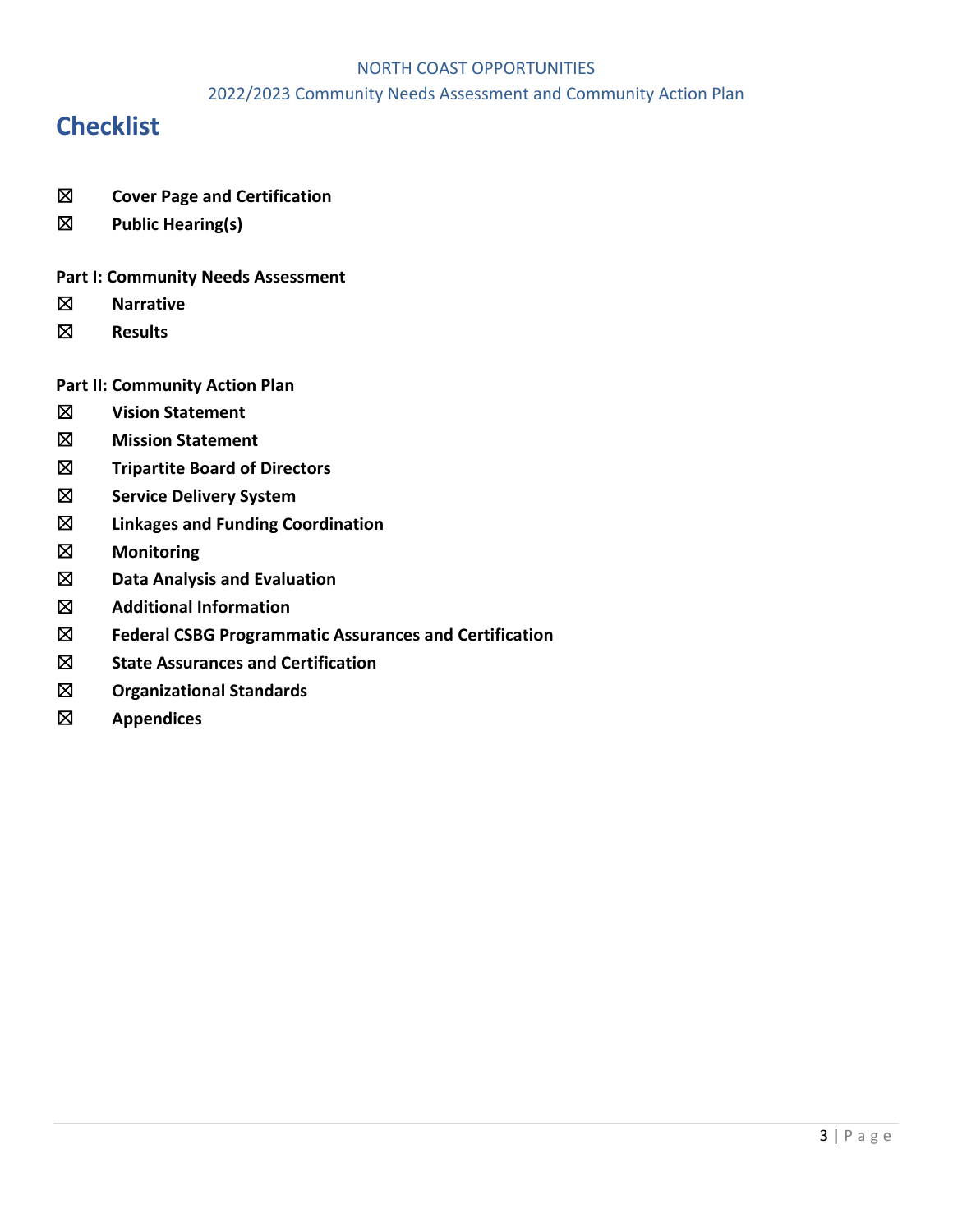#### 2022/2023 Community Needs Assessment and Community Action Plan

# **Checklist**

- ☒ **Cover Page and Certification**
- ☒ **Public Hearing(s)**

#### **Part I: Community Needs Assessment**

- ☒ **Narrative**
- ☒ **Results**
- **Part II: Community Action Plan**
- ☒ **Vision Statement**
- ☒ **Mission Statement**
- ☒ **Tripartite Board of Directors**
- ☒ **Service Delivery System**
- ☒ **Linkages and Funding Coordination**
- ☒ **Monitoring**
- ☒ **Data Analysis and Evaluation**
- ☒ **Additional Information**
- ☒ **Federal CSBG Programmatic Assurances and Certification**
- ☒ **State Assurances and Certification**
- ☒ **Organizational Standards**
- ☒ **Appendices**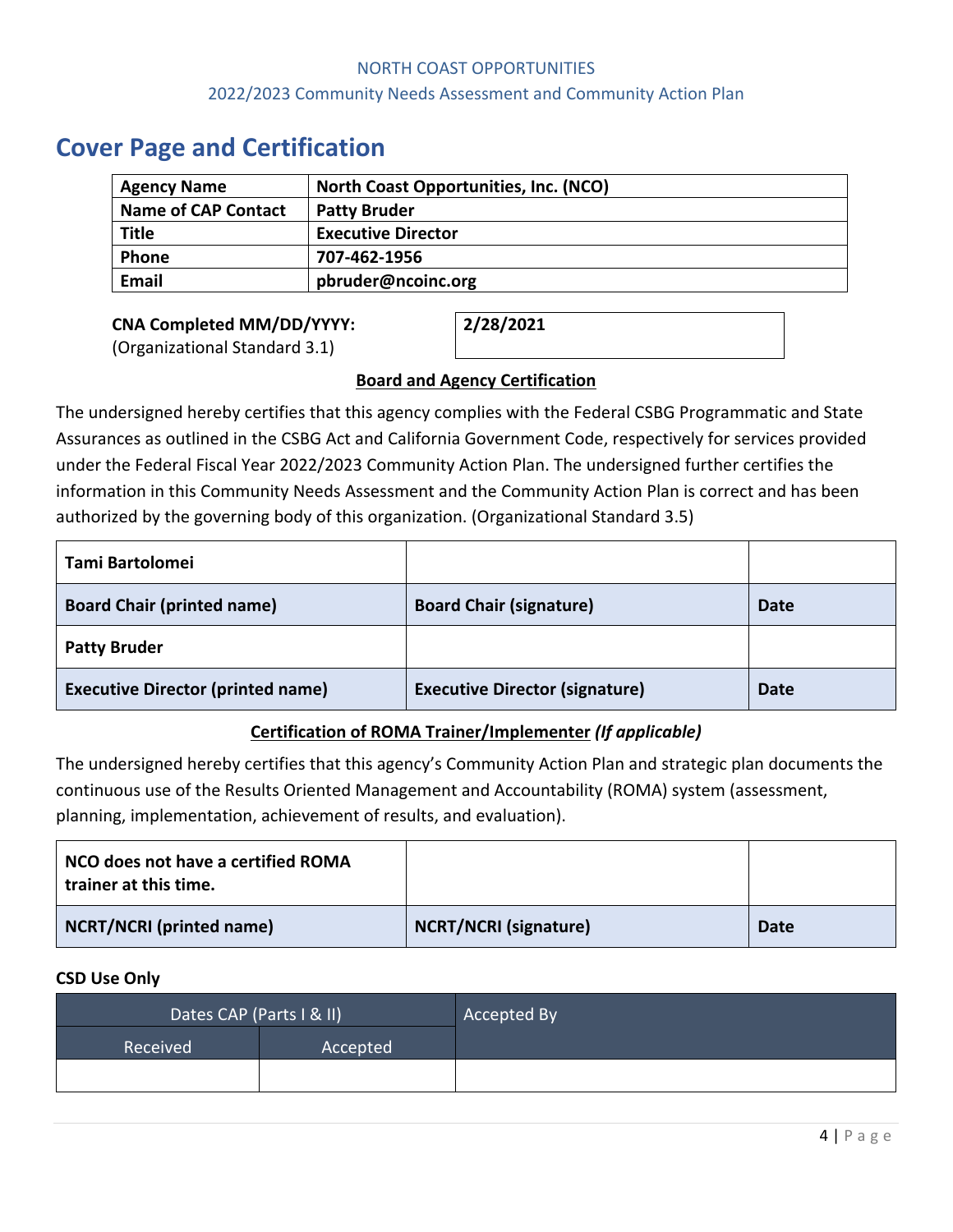# **Cover Page and Certification**

| <b>Agency Name</b>         | North Coast Opportunities, Inc. (NCO) |
|----------------------------|---------------------------------------|
| <b>Name of CAP Contact</b> | <b>Patty Bruder</b>                   |
| <b>Title</b>               | <b>Executive Director</b>             |
| <b>Phone</b>               | 707-462-1956                          |
| <b>Email</b>               | pbruder@ncoinc.org                    |

**CNA Completed MM/DD/YYYY:** (Organizational Standard 3.1)

**2/28/2021**

# **Board and Agency Certification**

The undersigned hereby certifies that this agency complies with the Federal CSBG Programmatic and State Assurances as outlined in the CSBG Act and California Government Code, respectively for services provided under the Federal Fiscal Year 2022/2023 Community Action Plan. The undersigned further certifies the information in this Community Needs Assessment and the Community Action Plan is correct and has been authorized by the governing body of this organization. (Organizational Standard 3.5)

| Tami Bartolomei                          |                                       |             |
|------------------------------------------|---------------------------------------|-------------|
| <b>Board Chair (printed name)</b>        | <b>Board Chair (signature)</b>        | <b>Date</b> |
| <b>Patty Bruder</b>                      |                                       |             |
| <b>Executive Director (printed name)</b> | <b>Executive Director (signature)</b> | <b>Date</b> |

# **Certification of ROMA Trainer/Implementer** *(If applicable)*

The undersigned hereby certifies that this agency's Community Action Plan and strategic plan documents the continuous use of the Results Oriented Management and Accountability (ROMA) system (assessment, planning, implementation, achievement of results, and evaluation).

| NCO does not have a certified ROMA<br>trainer at this time. |                              |             |
|-------------------------------------------------------------|------------------------------|-------------|
| <b>NCRT/NCRI (printed name)</b>                             | <b>NCRT/NCRI (signature)</b> | <b>Date</b> |

# **CSD Use Only**

| Dates CAP (Parts I & II) |          | Accepted By |
|--------------------------|----------|-------------|
| Received                 | Accepted |             |
|                          |          |             |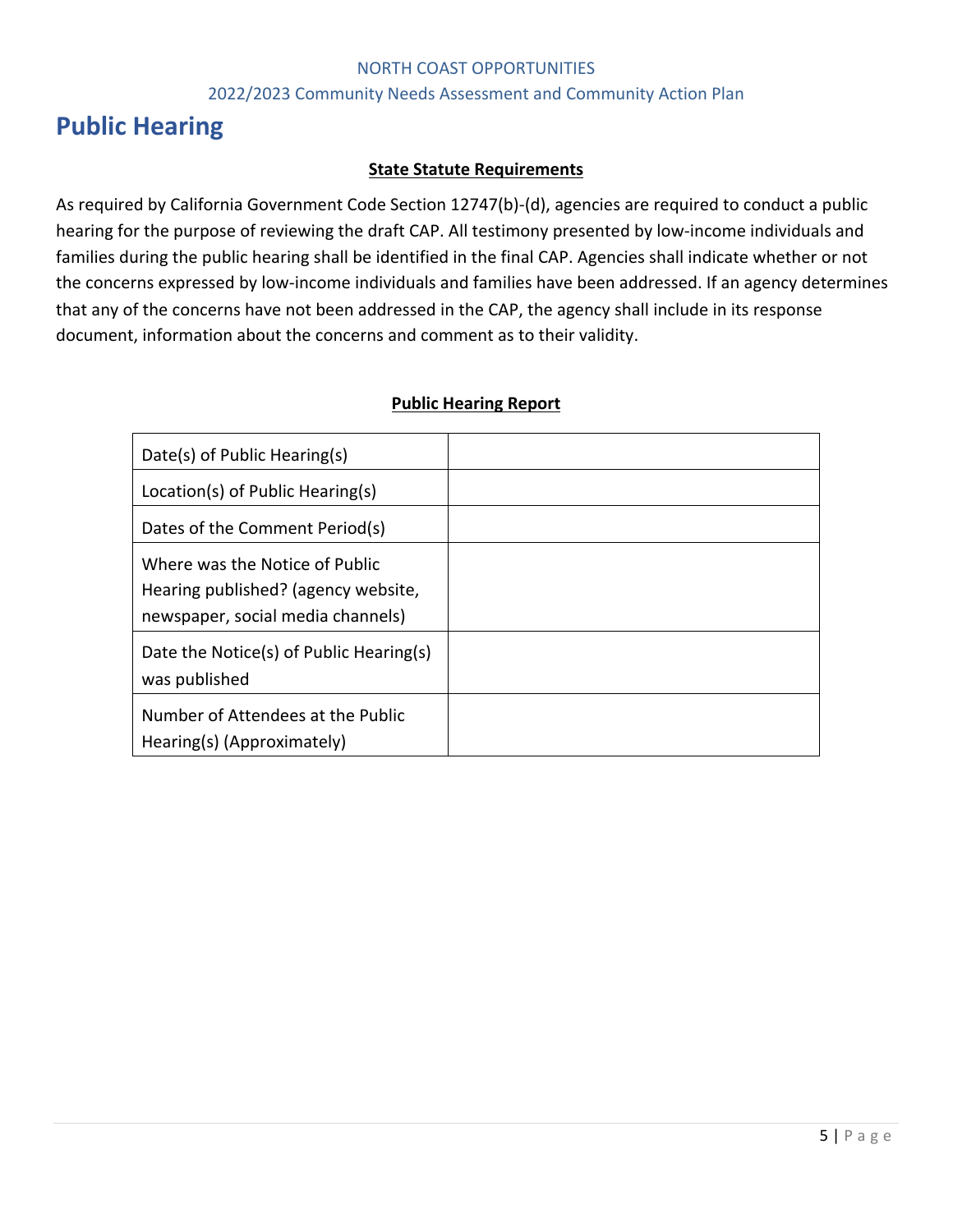#### 2022/2023 Community Needs Assessment and Community Action Plan

# **Public Hearing**

#### **State Statute Requirements**

As required by California Government Code Section 12747(b)-(d), agencies are required to conduct a public hearing for the purpose of reviewing the draft CAP. All testimony presented by low-income individuals and families during the public hearing shall be identified in the final CAP. Agencies shall indicate whether or not the concerns expressed by low-income individuals and families have been addressed. If an agency determines that any of the concerns have not been addressed in the CAP, the agency shall include in its response document, information about the concerns and comment as to their validity.

#### **Public Hearing Report**

| Date(s) of Public Hearing(s)                                                                               |  |
|------------------------------------------------------------------------------------------------------------|--|
| Location(s) of Public Hearing(s)                                                                           |  |
| Dates of the Comment Period(s)                                                                             |  |
| Where was the Notice of Public<br>Hearing published? (agency website,<br>newspaper, social media channels) |  |
| Date the Notice(s) of Public Hearing(s)<br>was published                                                   |  |
| Number of Attendees at the Public<br>Hearing(s) (Approximately)                                            |  |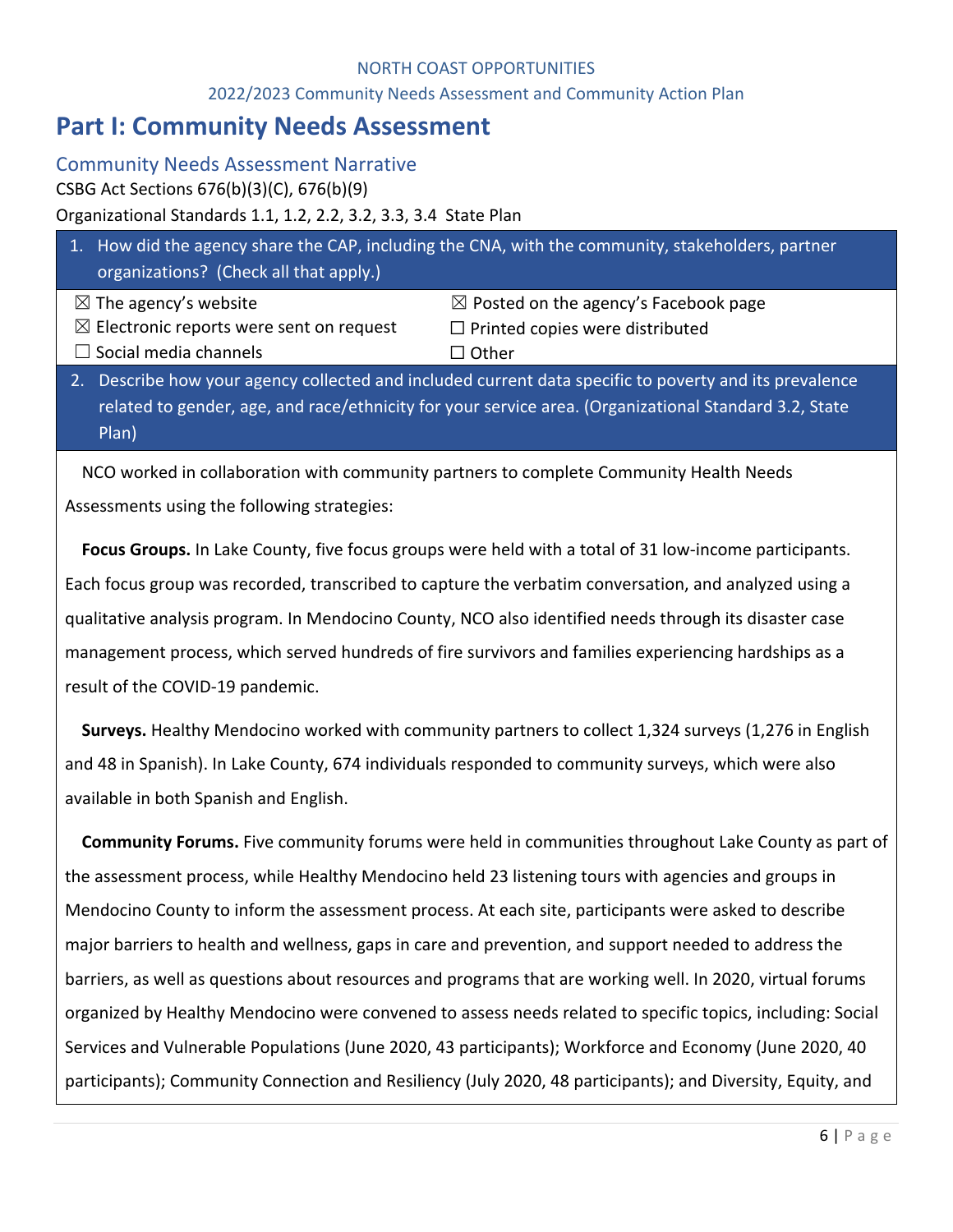#### 2022/2023 Community Needs Assessment and Community Action Plan

# **Part I: Community Needs Assessment**

Community Needs Assessment Narrative

CSBG Act Sections 676(b)(3)(C), 676(b)(9)

# Organizational Standards 1.1, 1.2, 2.2, 3.2, 3.3, 3.4 State Plan

| $\vert 1. \vert$<br>organizations? (Check all that apply.) | How did the agency share the CAP, including the CNA, with the community, stakeholders, partner                                                                                                               |
|------------------------------------------------------------|--------------------------------------------------------------------------------------------------------------------------------------------------------------------------------------------------------------|
| $\boxtimes$ The agency's website                           | $\boxtimes$ Posted on the agency's Facebook page                                                                                                                                                             |
| $\boxtimes$ Electronic reports were sent on request        | $\Box$ Printed copies were distributed                                                                                                                                                                       |
| $\Box$ Social media channels                               | $\Box$ Other                                                                                                                                                                                                 |
| Plan)                                                      | Describe how your agency collected and included current data specific to poverty and its prevalence<br>related to gender, age, and race/ethnicity for your service area. (Organizational Standard 3.2, State |

NCO worked in collaboration with community partners to complete Community Health Needs Assessments using the following strategies:

**Focus Groups.** In Lake County, five focus groups were held with a total of 31 low-income participants. Each focus group was recorded, transcribed to capture the verbatim conversation, and analyzed using a qualitative analysis program. In Mendocino County, NCO also identified needs through its disaster case management process, which served hundreds of fire survivors and families experiencing hardships as a result of the COVID-19 pandemic.

**Surveys.** Healthy Mendocino worked with community partners to collect 1,324 surveys (1,276 in English and 48 in Spanish). In Lake County, 674 individuals responded to community surveys, which were also available in both Spanish and English.

**Community Forums.** Five community forums were held in communities throughout Lake County as part of the assessment process, while Healthy Mendocino held 23 listening tours with agencies and groups in Mendocino County to inform the assessment process. At each site, participants were asked to describe major barriers to health and wellness, gaps in care and prevention, and support needed to address the barriers, as well as questions about resources and programs that are working well. In 2020, virtual forums organized by Healthy Mendocino were convened to assess needs related to specific topics, including: Social Services and Vulnerable Populations (June 2020, 43 participants); Workforce and Economy (June 2020, 40 participants); Community Connection and Resiliency (July 2020, 48 participants); and Diversity, Equity, and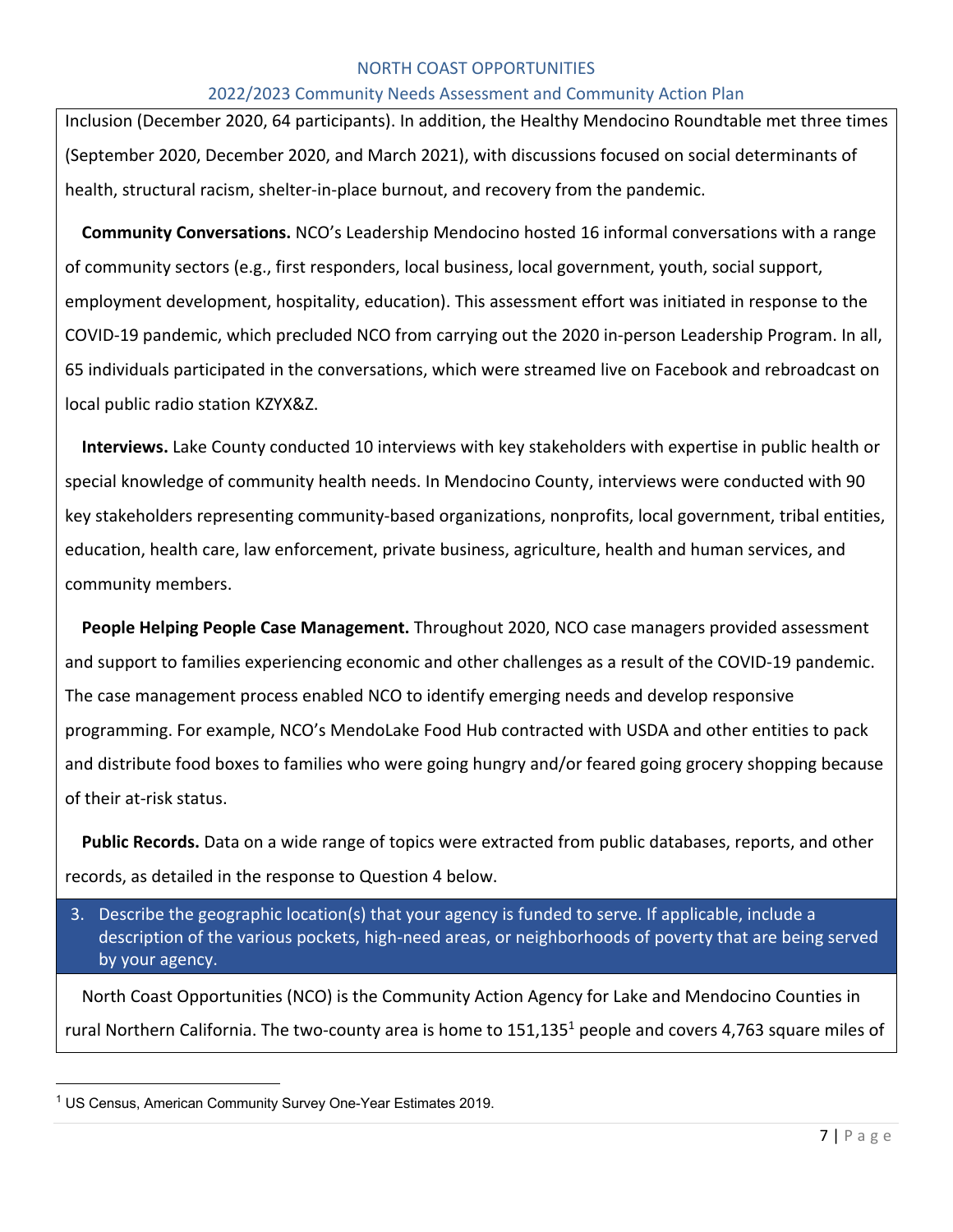#### 2022/2023 Community Needs Assessment and Community Action Plan

Inclusion (December 2020, 64 participants). In addition, the Healthy Mendocino Roundtable met three times (September 2020, December 2020, and March 2021), with discussions focused on social determinants of health, structural racism, shelter-in-place burnout, and recovery from the pandemic.

**Community Conversations.** NCO's Leadership Mendocino hosted 16 informal conversations with a range of community sectors (e.g., first responders, local business, local government, youth, social support, employment development, hospitality, education). This assessment effort was initiated in response to the COVID-19 pandemic, which precluded NCO from carrying out the 2020 in-person Leadership Program. In all, 65 individuals participated in the conversations, which were streamed live on Facebook and rebroadcast on local public radio station KZYX&Z.

**Interviews.** Lake County conducted 10 interviews with key stakeholders with expertise in public health or special knowledge of community health needs. In Mendocino County, interviews were conducted with 90 key stakeholders representing community-based organizations, nonprofits, local government, tribal entities, education, health care, law enforcement, private business, agriculture, health and human services, and community members.

**People Helping People Case Management.** Throughout 2020, NCO case managers provided assessment and support to families experiencing economic and other challenges as a result of the COVID-19 pandemic. The case management process enabled NCO to identify emerging needs and develop responsive programming. For example, NCO's MendoLake Food Hub contracted with USDA and other entities to pack and distribute food boxes to families who were going hungry and/or feared going grocery shopping because of their at-risk status.

**Public Records.** Data on a wide range of topics were extracted from public databases, reports, and other records, as detailed in the response to Question 4 below.

3. Describe the geographic location(s) that your agency is funded to serve. If applicable, include a description of the various pockets, high-need areas, or neighborhoods of poverty that are being served by your agency.

North Coast Opportunities (NCO) is the Community Action Agency for Lake and Mendocino Counties in rural Northern California. The two-county area is home to  $151,135<sup>1</sup>$  people and covers 4,763 square miles of

<sup>1</sup> US Census, American Community Survey One-Year Estimates 2019.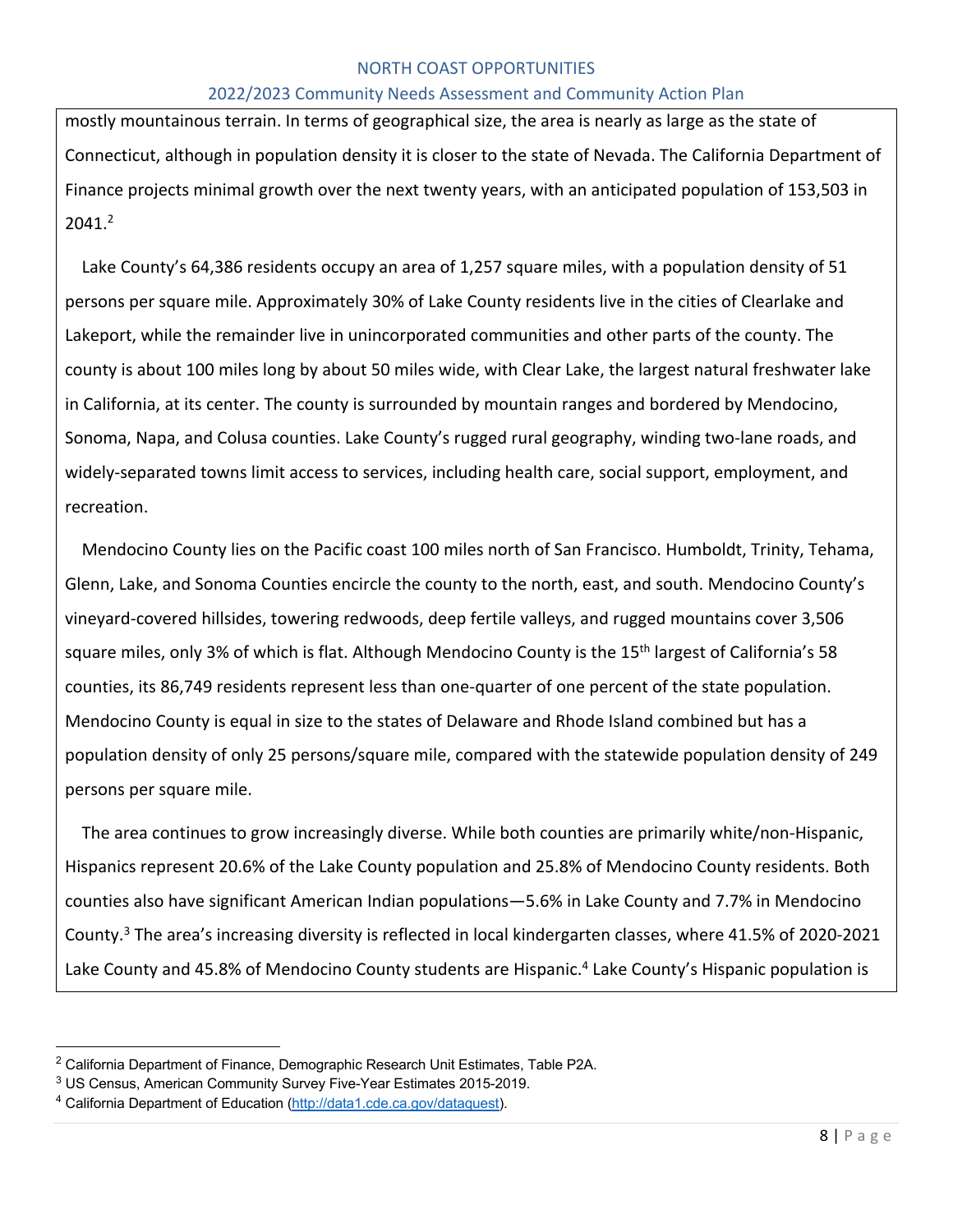#### 2022/2023 Community Needs Assessment and Community Action Plan

mostly mountainous terrain. In terms of geographical size, the area is nearly as large as the state of Connecticut, although in population density it is closer to the state of Nevada. The California Department of Finance projects minimal growth over the next twenty years, with an anticipated population of 153,503 in 2041.2

Lake County's 64,386 residents occupy an area of 1,257 square miles, with a population density of 51 persons per square mile. Approximately 30% of Lake County residents live in the cities of Clearlake and Lakeport, while the remainder live in unincorporated communities and other parts of the county. The county is about 100 miles long by about 50 miles wide, with Clear Lake, the largest natural freshwater lake in California, at its center. The county is surrounded by mountain ranges and bordered by Mendocino, Sonoma, Napa, and Colusa counties. Lake County's rugged rural geography, winding two-lane roads, and widely-separated towns limit access to services, including health care, social support, employment, and recreation.

Mendocino County lies on the Pacific coast 100 miles north of San Francisco. Humboldt, Trinity, Tehama, Glenn, Lake, and Sonoma Counties encircle the county to the north, east, and south. Mendocino County's vineyard-covered hillsides, towering redwoods, deep fertile valleys, and rugged mountains cover 3,506 square miles, only 3% of which is flat. Although Mendocino County is the 15<sup>th</sup> largest of California's 58 counties, its 86,749 residents represent less than one-quarter of one percent of the state population. Mendocino County is equal in size to the states of Delaware and Rhode Island combined but has a population density of only 25 persons/square mile, compared with the statewide population density of 249 persons per square mile.

The area continues to grow increasingly diverse. While both counties are primarily white/non-Hispanic, Hispanics represent 20.6% of the Lake County population and 25.8% of Mendocino County residents. Both counties also have significant American Indian populations—5.6% in Lake County and 7.7% in Mendocino County.3 The area's increasing diversity is reflected in local kindergarten classes, where 41.5% of 2020-2021 Lake County and 45.8% of Mendocino County students are Hispanic.<sup>4</sup> Lake County's Hispanic population is

<sup>&</sup>lt;sup>2</sup> California Department of Finance, Demographic Research Unit Estimates, Table P2A.

<sup>3</sup> US Census, American Community Survey Five-Year Estimates 2015-2019.

<sup>4</sup> California Department of Education (http://data1.cde.ca.gov/dataquest).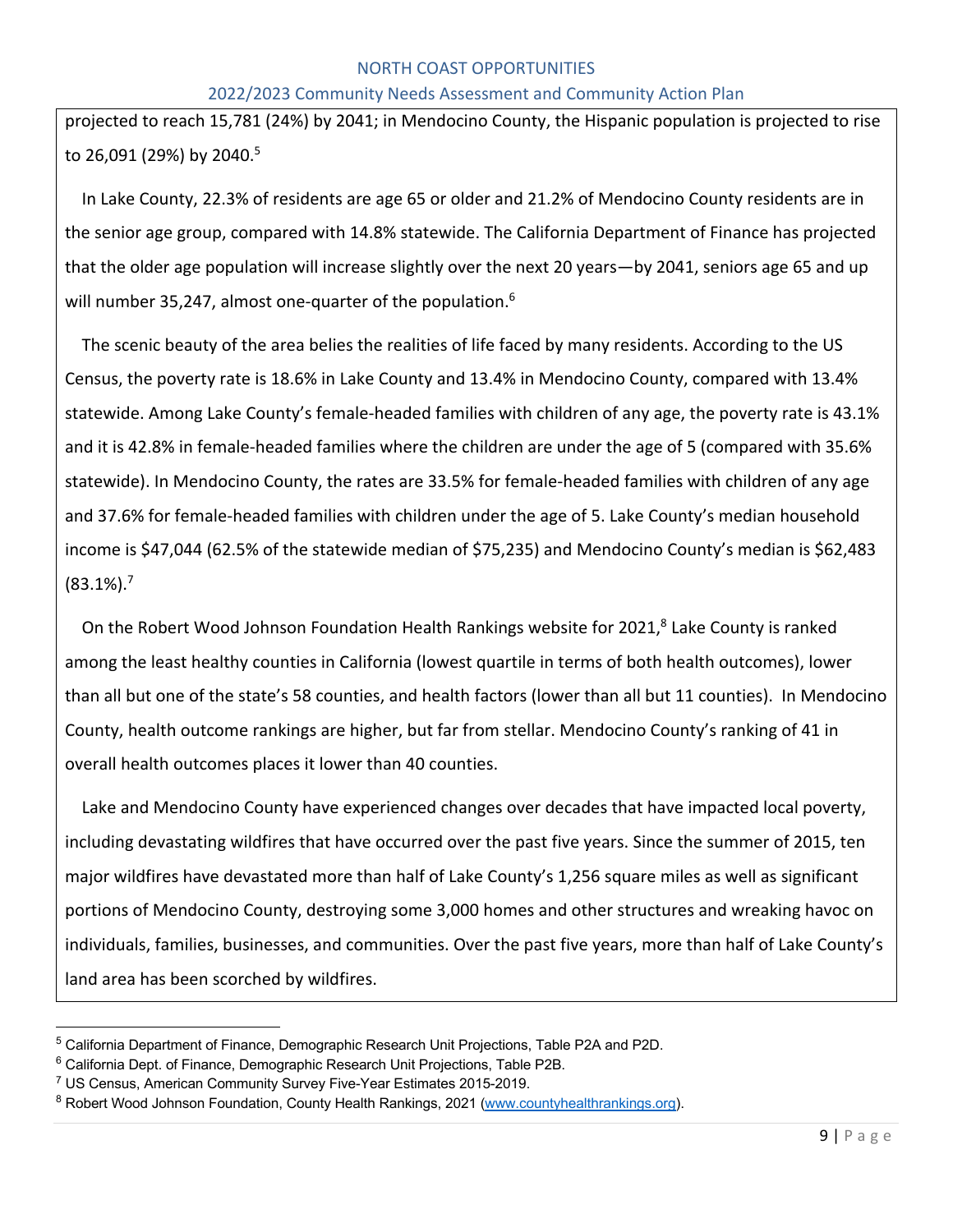#### 2022/2023 Community Needs Assessment and Community Action Plan

projected to reach 15,781 (24%) by 2041; in Mendocino County, the Hispanic population is projected to rise to 26,091 (29%) by 2040.<sup>5</sup>

In Lake County, 22.3% of residents are age 65 or older and 21.2% of Mendocino County residents are in the senior age group, compared with 14.8% statewide. The California Department of Finance has projected that the older age population will increase slightly over the next 20 years—by 2041, seniors age 65 and up will number 35,247, almost one-quarter of the population.<sup>6</sup>

The scenic beauty of the area belies the realities of life faced by many residents. According to the US Census, the poverty rate is 18.6% in Lake County and 13.4% in Mendocino County, compared with 13.4% statewide. Among Lake County's female-headed families with children of any age, the poverty rate is 43.1% and it is 42.8% in female-headed families where the children are under the age of 5 (compared with 35.6% statewide). In Mendocino County, the rates are 33.5% for female-headed families with children of any age and 37.6% for female-headed families with children under the age of 5. Lake County's median household income is \$47,044 (62.5% of the statewide median of \$75,235) and Mendocino County's median is \$62,483  $(83.1\%)$ .<sup>7</sup>

On the Robert Wood Johnson Foundation Health Rankings website for 2021,<sup>8</sup> Lake County is ranked among the least healthy counties in California (lowest quartile in terms of both health outcomes), lower than all but one of the state's 58 counties, and health factors (lower than all but 11 counties). In Mendocino County, health outcome rankings are higher, but far from stellar. Mendocino County's ranking of 41 in overall health outcomes places it lower than 40 counties.

Lake and Mendocino County have experienced changes over decades that have impacted local poverty, including devastating wildfires that have occurred over the past five years. Since the summer of 2015, ten major wildfires have devastated more than half of Lake County's 1,256 square miles as well as significant portions of Mendocino County, destroying some 3,000 homes and other structures and wreaking havoc on individuals, families, businesses, and communities. Over the past five years, more than half of Lake County's land area has been scorched by wildfires.

<sup>5</sup> California Department of Finance, Demographic Research Unit Projections, Table P2A and P2D.

<sup>&</sup>lt;sup>6</sup> California Dept. of Finance, Demographic Research Unit Projections, Table P2B.

 $7$  US Census, American Community Survey Five-Year Estimates 2015-2019.

<sup>&</sup>lt;sup>8</sup> Robert Wood Johnson Foundation, County Health Rankings, 2021 (www.countyhealthrankings.org).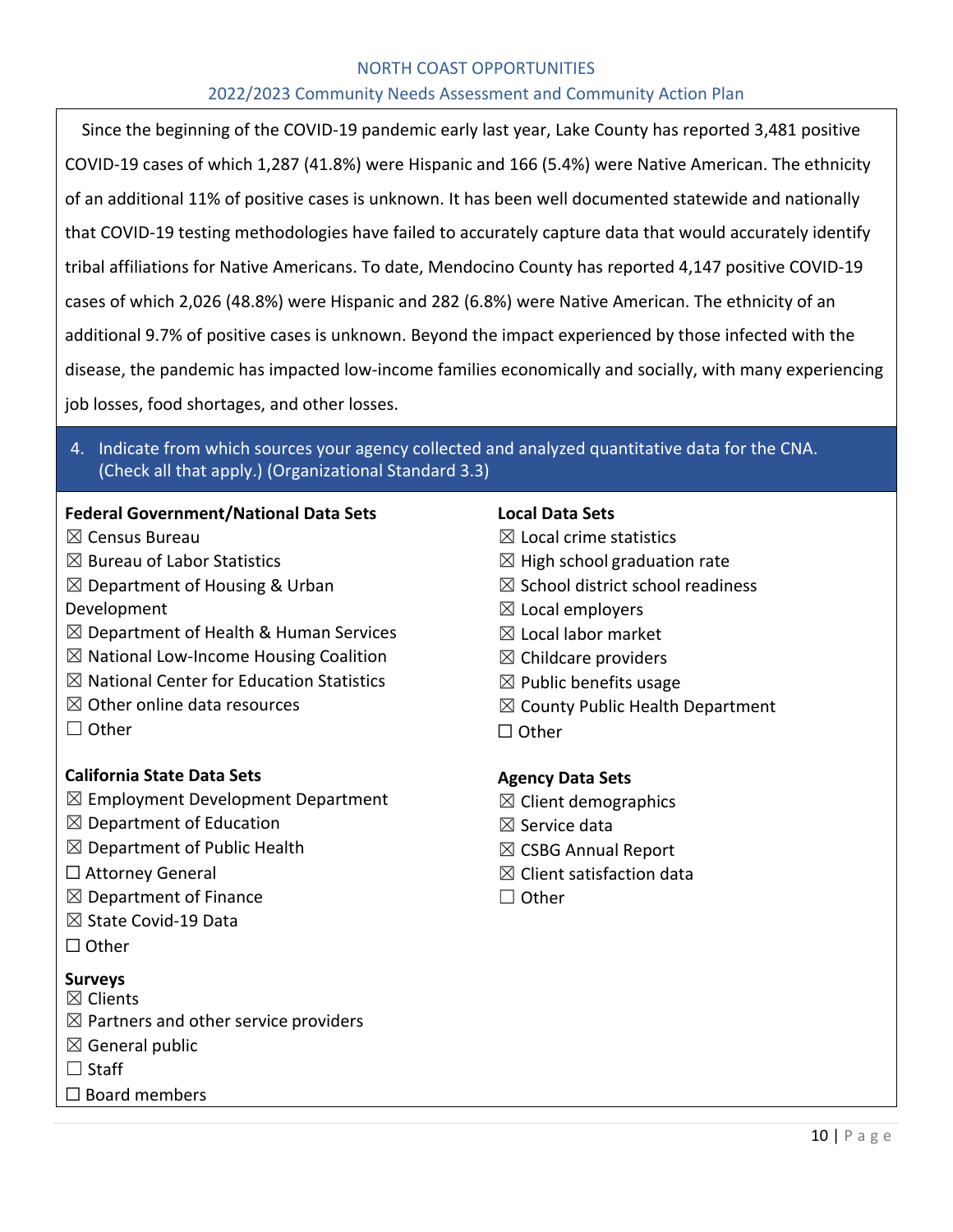## 2022/2023 Community Needs Assessment and Community Action Plan

Since the beginning of the COVID-19 pandemic early last year, Lake County has reported 3,481 positive COVID-19 cases of which 1,287 (41.8%) were Hispanic and 166 (5.4%) were Native American. The ethnicity of an additional 11% of positive cases is unknown. It has been well documented statewide and nationally that COVID-19 testing methodologies have failed to accurately capture data that would accurately identify tribal affiliations for Native Americans. To date, Mendocino County has reported 4,147 positive COVID-19 cases of which 2,026 (48.8%) were Hispanic and 282 (6.8%) were Native American. The ethnicity of an additional 9.7% of positive cases is unknown. Beyond the impact experienced by those infected with the disease, the pandemic has impacted low-income families economically and socially, with many experiencing job losses, food shortages, and other losses.

# 4. Indicate from which sources your agency collected and analyzed quantitative data for the CNA. (Check all that apply.) (Organizational Standard 3.3)

#### **Federal Government/National Data Sets**

- ☒ Census Bureau
- $<sup>8</sup>$  Bureau of Labor Statistics</sup>
- $\boxtimes$  Department of Housing & Urban
- Development
- $\boxtimes$  Department of Health & Human Services
- $\boxtimes$  National Low-Income Housing Coalition
- $\boxtimes$  National Center for Education Statistics
- $\boxtimes$  Other online data resources
- ☐ Other

# **California State Data Sets**

- $\boxtimes$  Employment Development Department
- $\boxtimes$  Department of Education
- $\boxtimes$  Department of Public Health
- ☐ Attorney General
- $\boxtimes$  Department of Finance
- ☒ State Covid-19 Data
- ☐ Other

# **Surveys**

- ☒ Clients
- $\boxtimes$  Partners and other service providers
- $\boxtimes$  General public
- $\Box$  Staff
- □ Board members

#### **Local Data Sets**

- $\boxtimes$  Local crime statistics
- $\boxtimes$  High school graduation rate
- $\boxtimes$  School district school readiness
- $\boxtimes$  Local employers
- $\boxtimes$  Local labor market
- $\boxtimes$  Childcare providers
- $\boxtimes$  Public benefits usage
- $\boxtimes$  County Public Health Department
- ☐ Other

#### **Agency Data Sets**

- $\boxtimes$  Client demographics
- $\boxtimes$  Service data
- ☒ CSBG Annual Report
- $\boxtimes$  Client satisfaction data
- ☐ Other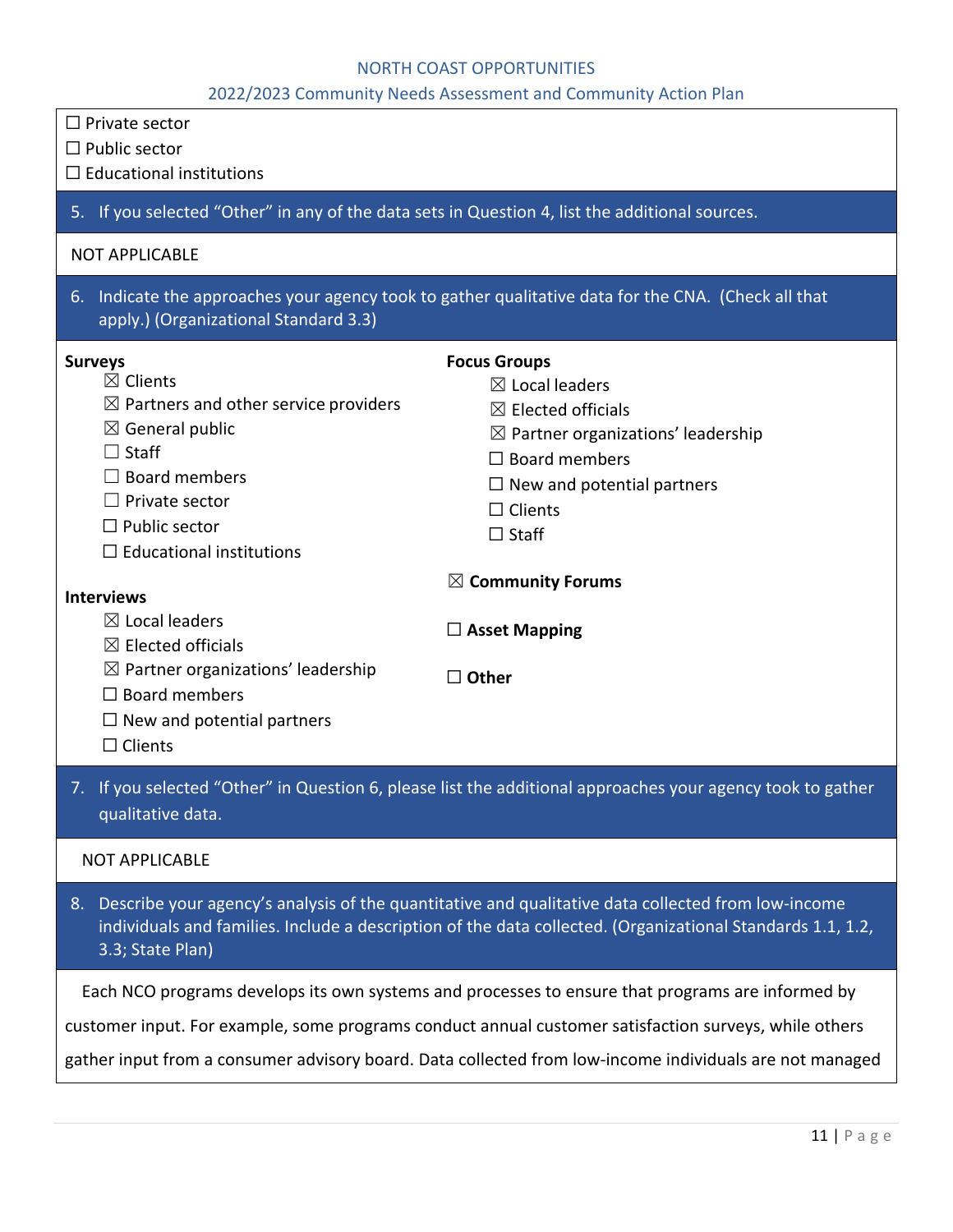2022/2023 Community Needs Assessment and Community Action Plan

| $\Box$ Private sector<br>$\Box$ Public sector<br>$\Box$ Educational institutions                                                                                                                                                                    |                                                                                                                                                                                                                                   |
|-----------------------------------------------------------------------------------------------------------------------------------------------------------------------------------------------------------------------------------------------------|-----------------------------------------------------------------------------------------------------------------------------------------------------------------------------------------------------------------------------------|
| 5. If you selected "Other" in any of the data sets in Question 4, list the additional sources.                                                                                                                                                      |                                                                                                                                                                                                                                   |
| <b>NOT APPLICABLE</b>                                                                                                                                                                                                                               |                                                                                                                                                                                                                                   |
| apply.) (Organizational Standard 3.3)                                                                                                                                                                                                               | 6. Indicate the approaches your agency took to gather qualitative data for the CNA. (Check all that                                                                                                                               |
| <b>Surveys</b><br>$\boxtimes$ Clients<br>$\boxtimes$ Partners and other service providers<br>$\boxtimes$ General public<br>$\Box$ Staff<br>$\Box$ Board members<br>$\Box$ Private sector<br>$\Box$ Public sector<br>$\Box$ Educational institutions | <b>Focus Groups</b><br>$\boxtimes$ Local leaders<br>$\boxtimes$ Elected officials<br>$\boxtimes$ Partner organizations' leadership<br>$\Box$ Board members<br>$\Box$ New and potential partners<br>$\Box$ Clients<br>$\Box$ Staff |
| <b>Interviews</b><br>$\boxtimes$ Local leaders<br>$\boxtimes$ Elected officials<br>$\boxtimes$ Partner organizations' leadership<br>$\Box$ Board members<br>$\Box$ New and potential partners<br>$\Box$ Clients                                     | $\boxtimes$ Community Forums<br>$\Box$ Asset Mapping<br>$\Box$ Other                                                                                                                                                              |
| qualitative data.                                                                                                                                                                                                                                   | 7. If you selected "Other" in Question 6, please list the additional approaches your agency took to gather                                                                                                                        |
| <b>NOT APPLICABLE</b>                                                                                                                                                                                                                               |                                                                                                                                                                                                                                   |
| 3.3; State Plan)                                                                                                                                                                                                                                    | 8. Describe your agency's analysis of the quantitative and qualitative data collected from low-income<br>individuals and families. Include a description of the data collected. (Organizational Standards 1.1, 1.2,               |
|                                                                                                                                                                                                                                                     | Each NCO programs develops its own systems and processes to ensure that programs are informed by                                                                                                                                  |
|                                                                                                                                                                                                                                                     | customer input. For example, some programs conduct annual customer satisfaction surveys, while others<br>gather input from a consumer advisory board. Data collected from low-income individuals are not managed                  |
|                                                                                                                                                                                                                                                     |                                                                                                                                                                                                                                   |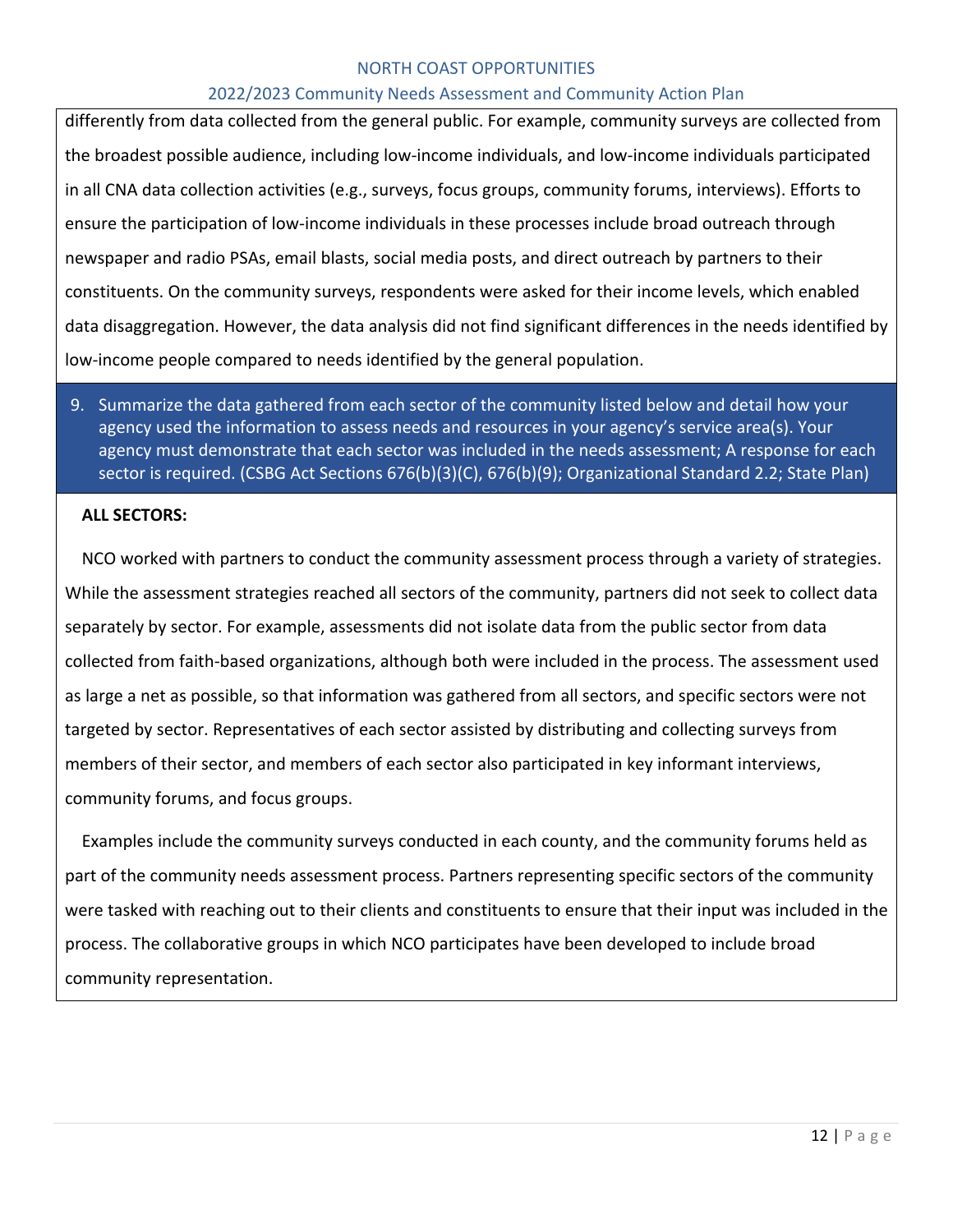#### 2022/2023 Community Needs Assessment and Community Action Plan

differently from data collected from the general public. For example, community surveys are collected from the broadest possible audience, including low-income individuals, and low-income individuals participated in all CNA data collection activities (e.g., surveys, focus groups, community forums, interviews). Efforts to ensure the participation of low-income individuals in these processes include broad outreach through newspaper and radio PSAs, email blasts, social media posts, and direct outreach by partners to their constituents. On the community surveys, respondents were asked for their income levels, which enabled data disaggregation. However, the data analysis did not find significant differences in the needs identified by low-income people compared to needs identified by the general population.

# 9. Summarize the data gathered from each sector of the community listed below and detail how your agency used the information to assess needs and resources in your agency's service area(s). Your agency must demonstrate that each sector was included in the needs assessment; A response for each sector is required. (CSBG Act Sections 676(b)(3)(C), 676(b)(9); Organizational Standard 2.2; State Plan)

#### **ALL SECTORS:**

NCO worked with partners to conduct the community assessment process through a variety of strategies. While the assessment strategies reached all sectors of the community, partners did not seek to collect data separately by sector. For example, assessments did not isolate data from the public sector from data collected from faith-based organizations, although both were included in the process. The assessment used as large a net as possible, so that information was gathered from all sectors, and specific sectors were not targeted by sector. Representatives of each sector assisted by distributing and collecting surveys from members of their sector, and members of each sector also participated in key informant interviews, community forums, and focus groups.

Examples include the community surveys conducted in each county, and the community forums held as part of the community needs assessment process. Partners representing specific sectors of the community were tasked with reaching out to their clients and constituents to ensure that their input was included in the process. The collaborative groups in which NCO participates have been developed to include broad community representation.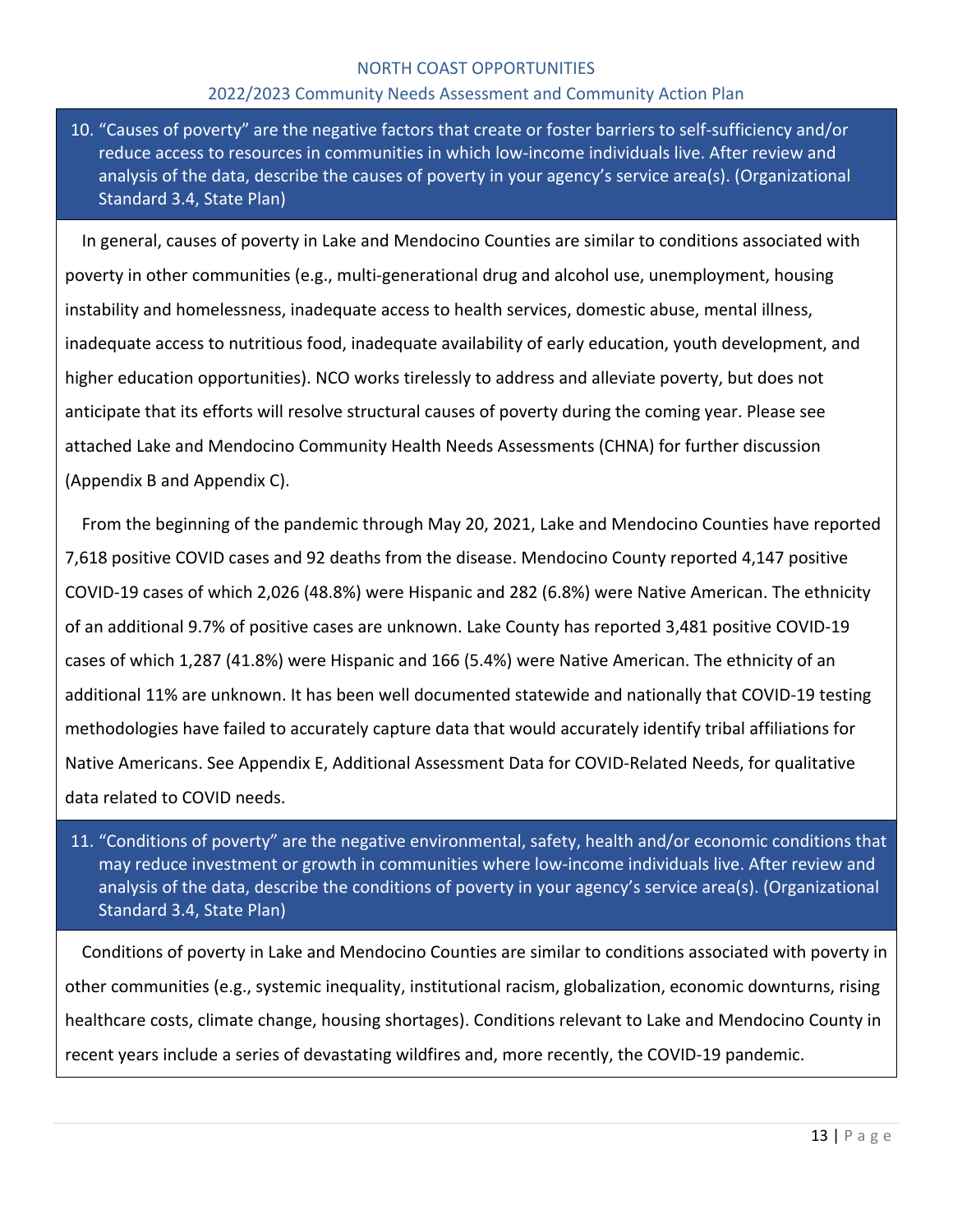#### 2022/2023 Community Needs Assessment and Community Action Plan

10. "Causes of poverty" are the negative factors that create or foster barriers to self-sufficiency and/or reduce access to resources in communities in which low-income individuals live. After review and analysis of the data, describe the causes of poverty in your agency's service area(s). (Organizational Standard 3.4, State Plan)

In general, causes of poverty in Lake and Mendocino Counties are similar to conditions associated with poverty in other communities (e.g., multi-generational drug and alcohol use, unemployment, housing instability and homelessness, inadequate access to health services, domestic abuse, mental illness, inadequate access to nutritious food, inadequate availability of early education, youth development, and higher education opportunities). NCO works tirelessly to address and alleviate poverty, but does not anticipate that its efforts will resolve structural causes of poverty during the coming year. Please see attached Lake and Mendocino Community Health Needs Assessments (CHNA) for further discussion (Appendix B and Appendix C).

From the beginning of the pandemic through May 20, 2021, Lake and Mendocino Counties have reported 7,618 positive COVID cases and 92 deaths from the disease. Mendocino County reported 4,147 positive COVID-19 cases of which 2,026 (48.8%) were Hispanic and 282 (6.8%) were Native American. The ethnicity of an additional 9.7% of positive cases are unknown. Lake County has reported 3,481 positive COVID-19 cases of which 1,287 (41.8%) were Hispanic and 166 (5.4%) were Native American. The ethnicity of an additional 11% are unknown. It has been well documented statewide and nationally that COVID-19 testing methodologies have failed to accurately capture data that would accurately identify tribal affiliations for Native Americans. See Appendix E, Additional Assessment Data for COVID-Related Needs, for qualitative data related to COVID needs.

11. "Conditions of poverty" are the negative environmental, safety, health and/or economic conditions that may reduce investment or growth in communities where low-income individuals live. After review and analysis of the data, describe the conditions of poverty in your agency's service area(s). (Organizational Standard 3.4, State Plan)

Conditions of poverty in Lake and Mendocino Counties are similar to conditions associated with poverty in other communities (e.g., systemic inequality, institutional racism, globalization, economic downturns, rising healthcare costs, climate change, housing shortages). Conditions relevant to Lake and Mendocino County in recent years include a series of devastating wildfires and, more recently, the COVID-19 pandemic.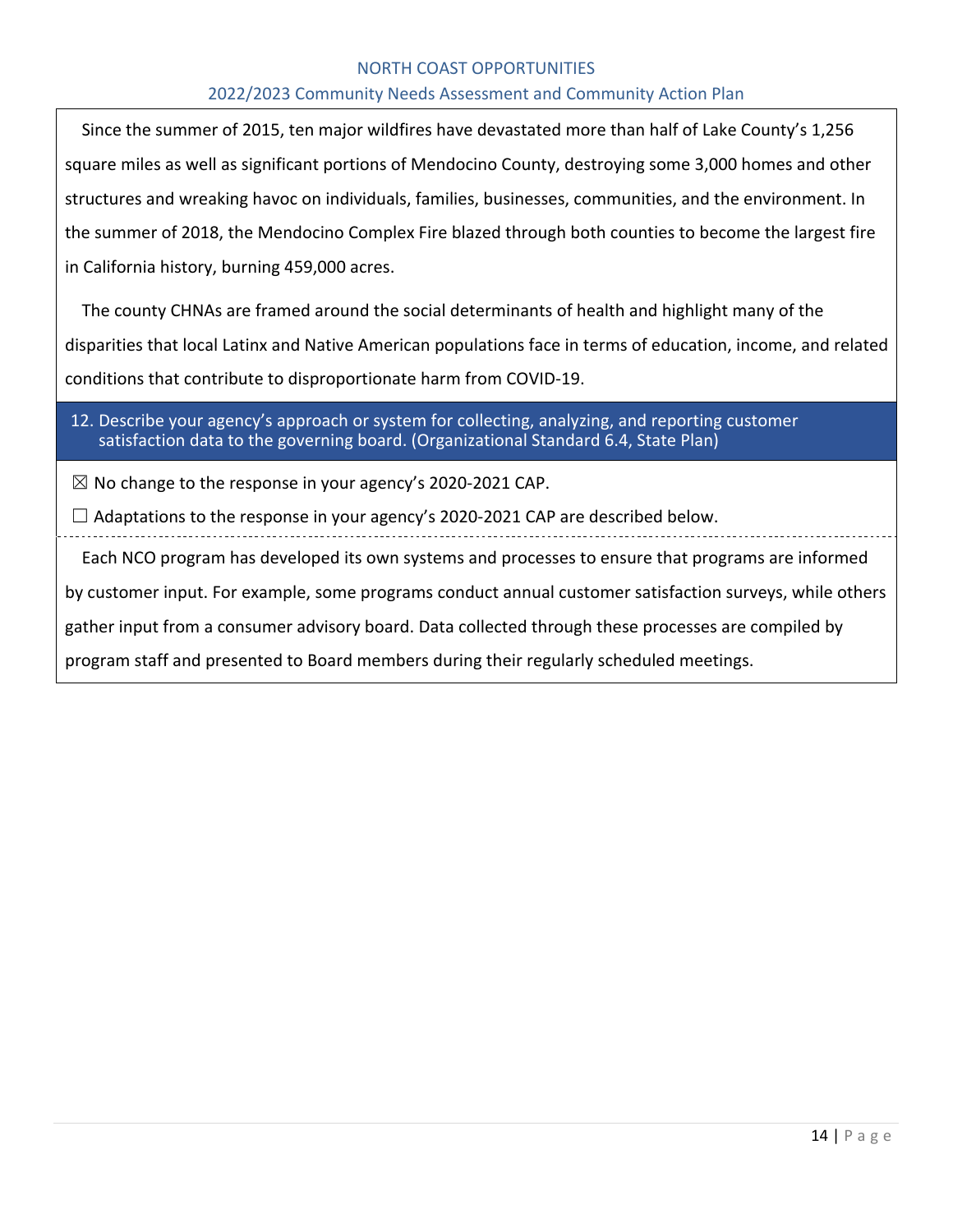#### 2022/2023 Community Needs Assessment and Community Action Plan

Since the summer of 2015, ten major wildfires have devastated more than half of Lake County's 1,256 square miles as well as significant portions of Mendocino County, destroying some 3,000 homes and other structures and wreaking havoc on individuals, families, businesses, communities, and the environment. In the summer of 2018, the Mendocino Complex Fire blazed through both counties to become the largest fire in California history, burning 459,000 acres.

The county CHNAs are framed around the social determinants of health and highlight many of the disparities that local Latinx and Native American populations face in terms of education, income, and related conditions that contribute to disproportionate harm from COVID-19.

12. Describe your agency's approach or system for collecting, analyzing, and reporting customer satisfaction data to the governing board. (Organizational Standard 6.4, State Plan)

 $\boxtimes$  No change to the response in your agency's 2020-2021 CAP.

 $\Box$  Adaptations to the response in your agency's 2020-2021 CAP are described below.

Each NCO program has developed its own systems and processes to ensure that programs are informed by customer input. For example, some programs conduct annual customer satisfaction surveys, while others gather input from a consumer advisory board. Data collected through these processes are compiled by program staff and presented to Board members during their regularly scheduled meetings.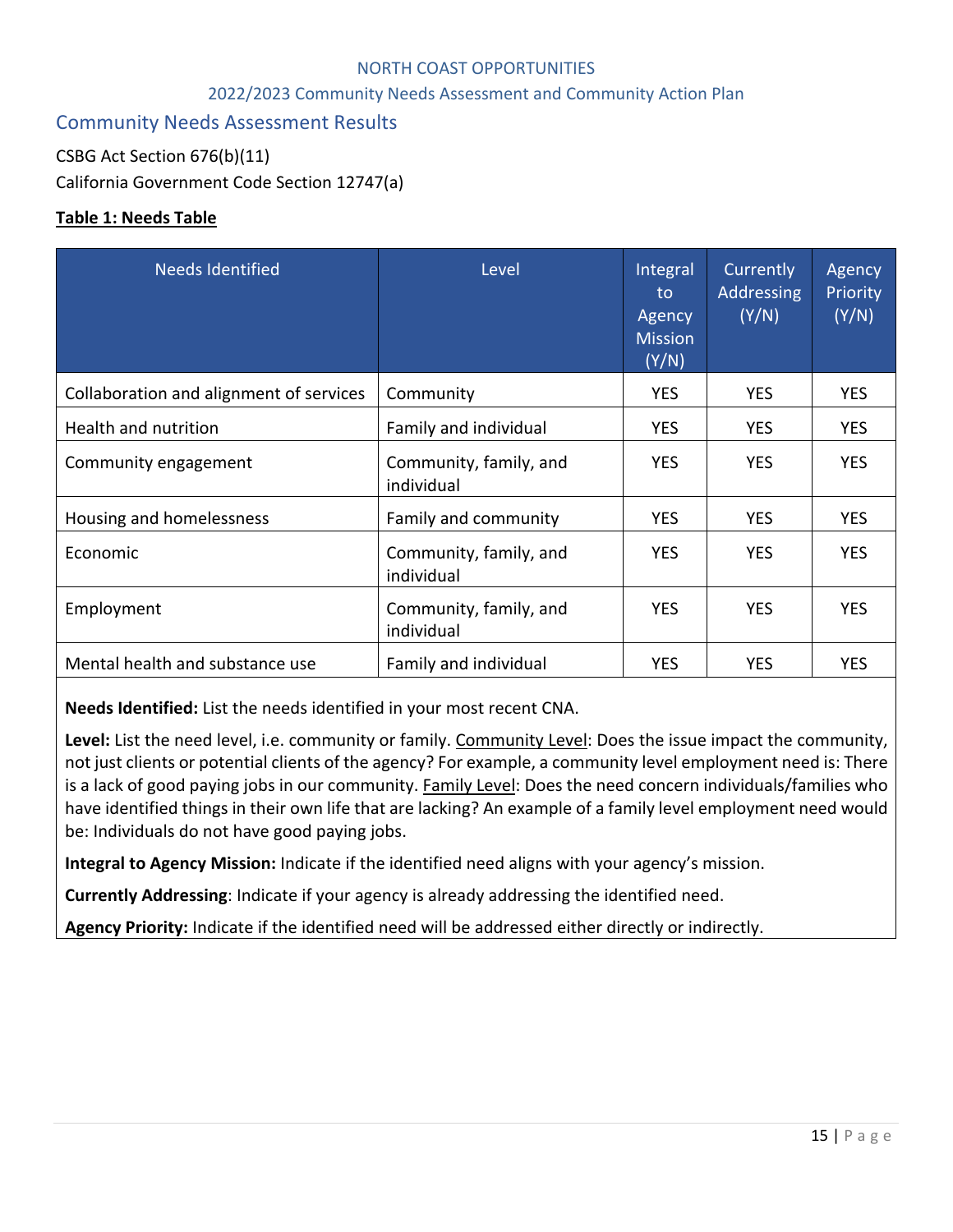## 2022/2023 Community Needs Assessment and Community Action Plan

# Community Needs Assessment Results

CSBG Act Section 676(b)(11)

California Government Code Section 12747(a)

#### **Table 1: Needs Table**

| <b>Needs Identified</b>                 | Level                                | Integral<br>to<br>Agency<br><b>Mission</b><br>(Y/N) | Currently<br>Addressing<br>(Y/N) | Agency<br>Priority<br>(Y/N) |
|-----------------------------------------|--------------------------------------|-----------------------------------------------------|----------------------------------|-----------------------------|
| Collaboration and alignment of services | Community                            | <b>YES</b>                                          | <b>YES</b>                       | <b>YES</b>                  |
| Health and nutrition                    | Family and individual                | <b>YES</b>                                          | <b>YES</b>                       | <b>YES</b>                  |
| Community engagement                    | Community, family, and<br>individual | <b>YES</b>                                          | <b>YES</b>                       | <b>YES</b>                  |
| Housing and homelessness                | Family and community                 | <b>YES</b>                                          | <b>YES</b>                       | <b>YES</b>                  |
| Economic                                | Community, family, and<br>individual | <b>YES</b>                                          | <b>YES</b>                       | <b>YES</b>                  |
| Employment                              | Community, family, and<br>individual | <b>YES</b>                                          | <b>YES</b>                       | <b>YES</b>                  |
| Mental health and substance use         | Family and individual                | <b>YES</b>                                          | <b>YES</b>                       | <b>YES</b>                  |

**Needs Identified:** List the needs identified in your most recent CNA.

**Level:** List the need level, i.e. community or family. Community Level: Does the issue impact the community, not just clients or potential clients of the agency? For example, a community level employment need is: There is a lack of good paying jobs in our community. Family Level: Does the need concern individuals/families who have identified things in their own life that are lacking? An example of a family level employment need would be: Individuals do not have good paying jobs.

**Integral to Agency Mission:** Indicate if the identified need aligns with your agency's mission.

**Currently Addressing**: Indicate if your agency is already addressing the identified need.

**Agency Priority:** Indicate if the identified need will be addressed either directly or indirectly.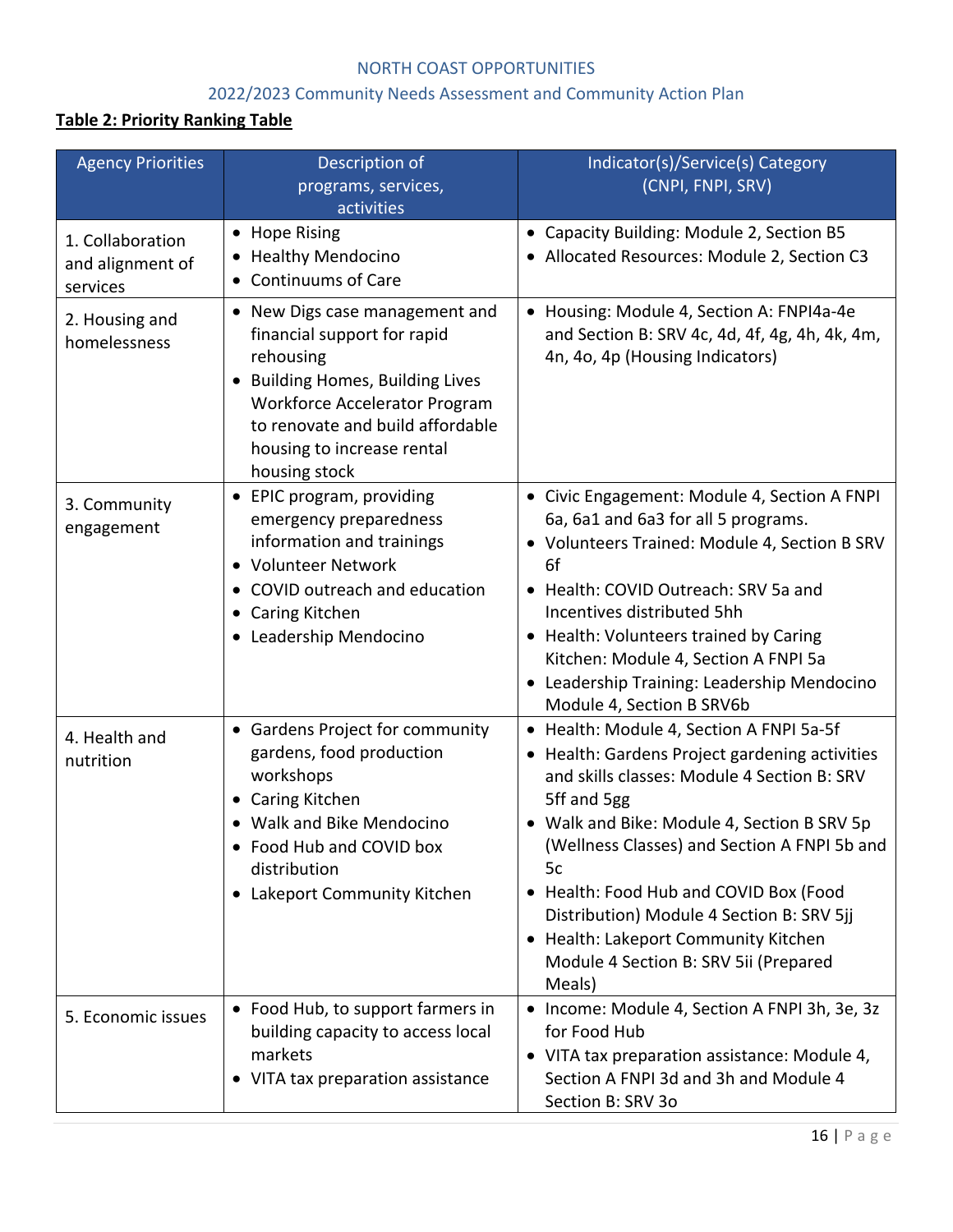# 2022/2023 Community Needs Assessment and Community Action Plan

# **Table 2: Priority Ranking Table**

| <b>Agency Priorities</b>                         | Description of                                                                                                                                                                                                                            | Indicator(s)/Service(s) Category                                                                                                                                                                                                                                                                                                                                                                                                                |
|--------------------------------------------------|-------------------------------------------------------------------------------------------------------------------------------------------------------------------------------------------------------------------------------------------|-------------------------------------------------------------------------------------------------------------------------------------------------------------------------------------------------------------------------------------------------------------------------------------------------------------------------------------------------------------------------------------------------------------------------------------------------|
|                                                  | programs, services,<br>activities                                                                                                                                                                                                         | (CNPI, FNPI, SRV)                                                                                                                                                                                                                                                                                                                                                                                                                               |
| 1. Collaboration<br>and alignment of<br>services | • Hope Rising<br>• Healthy Mendocino<br>• Continuums of Care                                                                                                                                                                              | • Capacity Building: Module 2, Section B5<br>• Allocated Resources: Module 2, Section C3                                                                                                                                                                                                                                                                                                                                                        |
| 2. Housing and<br>homelessness                   | • New Digs case management and<br>financial support for rapid<br>rehousing<br>• Building Homes, Building Lives<br><b>Workforce Accelerator Program</b><br>to renovate and build affordable<br>housing to increase rental<br>housing stock | • Housing: Module 4, Section A: FNPI4a-4e<br>and Section B: SRV 4c, 4d, 4f, 4g, 4h, 4k, 4m,<br>4n, 4o, 4p (Housing Indicators)                                                                                                                                                                                                                                                                                                                  |
| 3. Community<br>engagement                       | • EPIC program, providing<br>emergency preparedness<br>information and trainings<br>• Volunteer Network<br>• COVID outreach and education<br>• Caring Kitchen<br>• Leadership Mendocino                                                   | • Civic Engagement: Module 4, Section A FNPI<br>6a, 6a1 and 6a3 for all 5 programs.<br>• Volunteers Trained: Module 4, Section B SRV<br>6f<br>• Health: COVID Outreach: SRV 5a and<br>Incentives distributed 5hh<br>• Health: Volunteers trained by Caring<br>Kitchen: Module 4, Section A FNPI 5a<br>Leadership Training: Leadership Mendocino<br>Module 4, Section B SRV6b                                                                    |
| 4. Health and<br>nutrition                       | • Gardens Project for community<br>gardens, food production<br>workshops<br>• Caring Kitchen<br>• Walk and Bike Mendocino<br>• Food Hub and COVID box<br>distribution<br>• Lakeport Community Kitchen                                     | • Health: Module 4, Section A FNPI 5a-5f<br>• Health: Gardens Project gardening activities<br>and skills classes: Module 4 Section B: SRV<br>5ff and 5gg<br>• Walk and Bike: Module 4, Section B SRV 5p<br>(Wellness Classes) and Section A FNPI 5b and<br>5c<br>• Health: Food Hub and COVID Box (Food<br>Distribution) Module 4 Section B: SRV 5jj<br>• Health: Lakeport Community Kitchen<br>Module 4 Section B: SRV 5ii (Prepared<br>Meals) |
| 5. Economic issues                               | • Food Hub, to support farmers in<br>building capacity to access local<br>markets<br>• VITA tax preparation assistance                                                                                                                    | • Income: Module 4, Section A FNPI 3h, 3e, 3z<br>for Food Hub<br>• VITA tax preparation assistance: Module 4,<br>Section A FNPI 3d and 3h and Module 4<br>Section B: SRV 30                                                                                                                                                                                                                                                                     |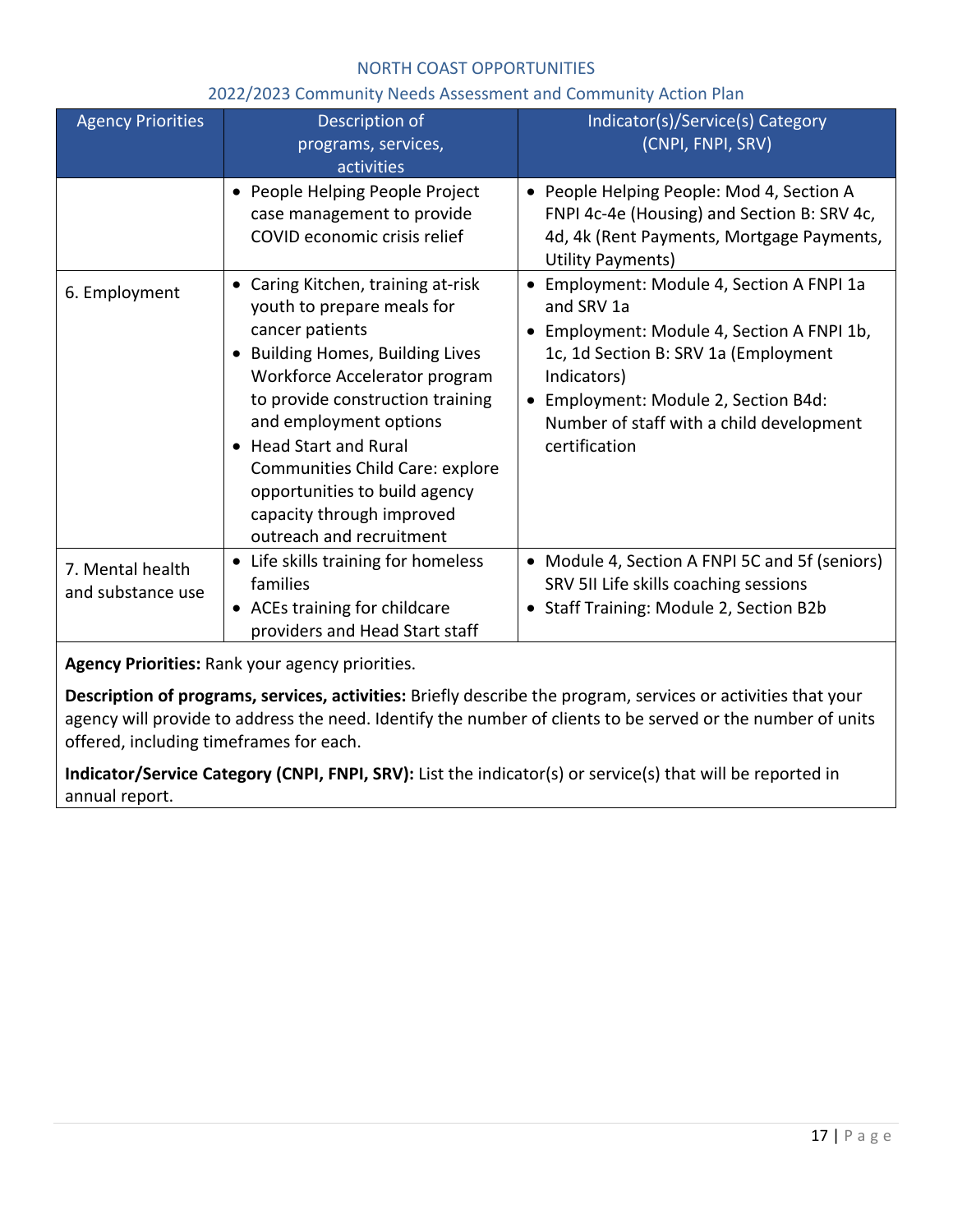#### 2022/2023 Community Needs Assessment and Community Action Plan

| <b>Agency Priorities</b>              | Description of<br>programs, services,<br>activities                                                                                                                                                                                                                                                                                                                           | Indicator(s)/Service(s) Category<br>(CNPI, FNPI, SRV)                                                                                                                                                                                                           |
|---------------------------------------|-------------------------------------------------------------------------------------------------------------------------------------------------------------------------------------------------------------------------------------------------------------------------------------------------------------------------------------------------------------------------------|-----------------------------------------------------------------------------------------------------------------------------------------------------------------------------------------------------------------------------------------------------------------|
|                                       | • People Helping People Project<br>case management to provide<br>COVID economic crisis relief                                                                                                                                                                                                                                                                                 | • People Helping People: Mod 4, Section A<br>FNPI 4c-4e (Housing) and Section B: SRV 4c,<br>4d, 4k (Rent Payments, Mortgage Payments,<br>Utility Payments)                                                                                                      |
| 6. Employment                         | • Caring Kitchen, training at-risk<br>youth to prepare meals for<br>cancer patients<br>• Building Homes, Building Lives<br>Workforce Accelerator program<br>to provide construction training<br>and employment options<br>• Head Start and Rural<br>Communities Child Care: explore<br>opportunities to build agency<br>capacity through improved<br>outreach and recruitment | • Employment: Module 4, Section A FNPI 1a<br>and SRV 1a<br>Employment: Module 4, Section A FNPI 1b,<br>1c, 1d Section B: SRV 1a (Employment<br>Indicators)<br>• Employment: Module 2, Section B4d:<br>Number of staff with a child development<br>certification |
| 7. Mental health<br>and substance use | • Life skills training for homeless<br>families<br>• ACEs training for childcare<br>providers and Head Start staff                                                                                                                                                                                                                                                            | • Module 4, Section A FNPI 5C and 5f (seniors)<br>SRV 5II Life skills coaching sessions<br>• Staff Training: Module 2, Section B2b                                                                                                                              |

**Agency Priorities:** Rank your agency priorities.

**Description of programs, services, activities:** Briefly describe the program, services or activities that your agency will provide to address the need. Identify the number of clients to be served or the number of units offered, including timeframes for each.

**Indicator/Service Category (CNPI, FNPI, SRV):** List the indicator(s) or service(s) that will be reported in annual report.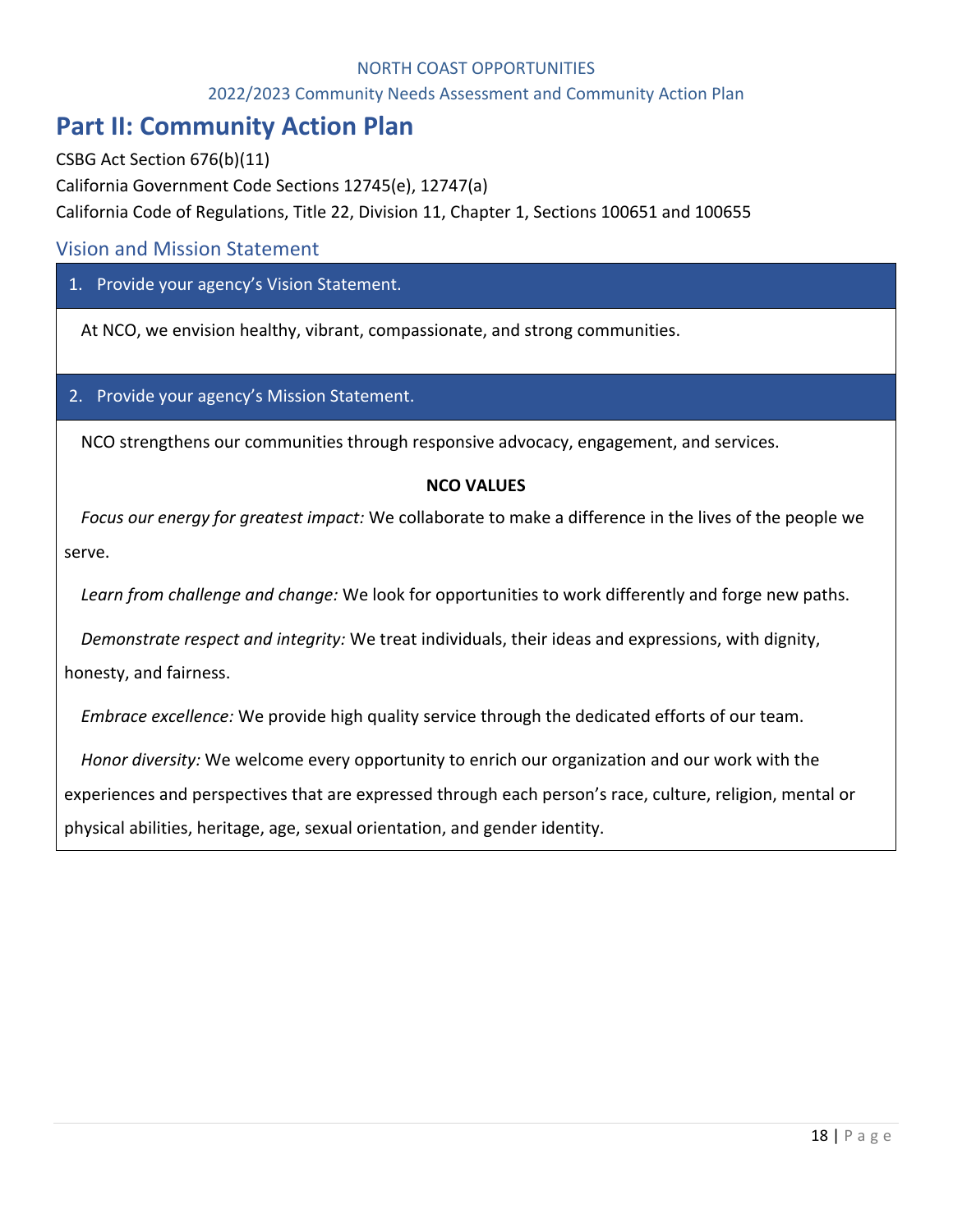#### 2022/2023 Community Needs Assessment and Community Action Plan

# **Part II: Community Action Plan**

CSBG Act Section 676(b)(11)

California Government Code Sections 12745(e), 12747(a)

California Code of Regulations, Title 22, Division 11, Chapter 1, Sections 100651 and 100655

# Vision and Mission Statement

# 1. Provide your agency's Vision Statement.

At NCO, we envision healthy, vibrant, compassionate, and strong communities.

#### 2. Provide your agency's Mission Statement.

NCO strengthens our communities through responsive advocacy, engagement, and services.

#### **NCO VALUES**

*Focus our energy for greatest impact:* We collaborate to make a difference in the lives of the people we serve.

*Learn from challenge and change:* We look for opportunities to work differently and forge new paths.

*Demonstrate respect and integrity:* We treat individuals, their ideas and expressions, with dignity,

honesty, and fairness.

*Embrace excellence:* We provide high quality service through the dedicated efforts of our team.

*Honor diversity:* We welcome every opportunity to enrich our organization and our work with the

experiences and perspectives that are expressed through each person's race, culture, religion, mental or

physical abilities, heritage, age, sexual orientation, and gender identity.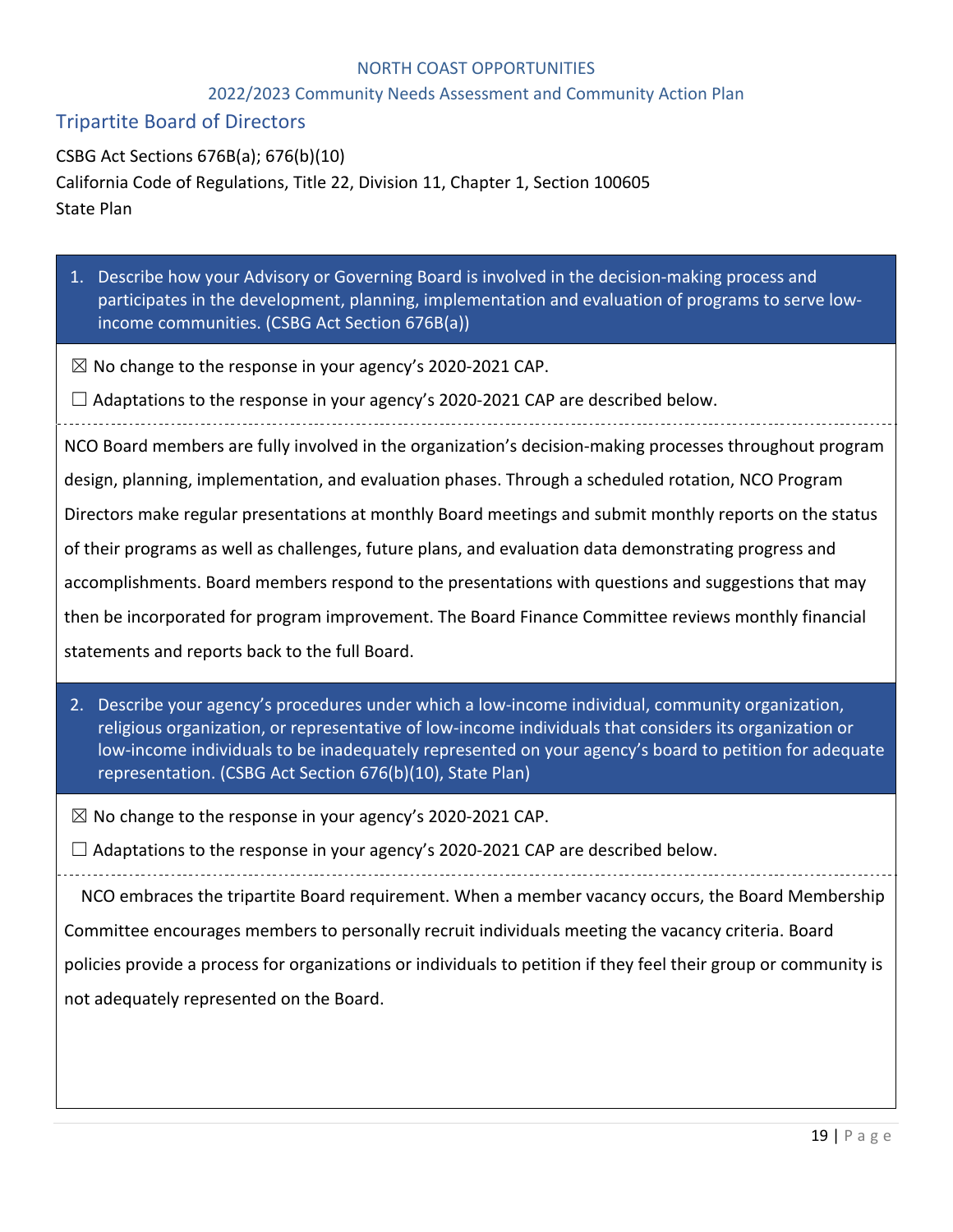#### 2022/2023 Community Needs Assessment and Community Action Plan

# Tripartite Board of Directors

CSBG Act Sections 676B(a); 676(b)(10) California Code of Regulations, Title 22, Division 11, Chapter 1, Section 100605 State Plan

- 1. Describe how your Advisory or Governing Board is involved in the decision-making process and participates in the development, planning, implementation and evaluation of programs to serve lowincome communities. (CSBG Act Section 676B(a))
- $\boxtimes$  No change to the response in your agency's 2020-2021 CAP.
- $\Box$  Adaptations to the response in your agency's 2020-2021 CAP are described below.

NCO Board members are fully involved in the organization's decision-making processes throughout program design, planning, implementation, and evaluation phases. Through a scheduled rotation, NCO Program Directors make regular presentations at monthly Board meetings and submit monthly reports on the status of their programs as well as challenges, future plans, and evaluation data demonstrating progress and accomplishments. Board members respond to the presentations with questions and suggestions that may then be incorporated for program improvement. The Board Finance Committee reviews monthly financial statements and reports back to the full Board.

- 2. Describe your agency's procedures under which a low-income individual, community organization, religious organization, or representative of low-income individuals that considers its organization or low-income individuals to be inadequately represented on your agency's board to petition for adequate representation. (CSBG Act Section 676(b)(10), State Plan)
- $\boxtimes$  No change to the response in your agency's 2020-2021 CAP.

 $\Box$  Adaptations to the response in your agency's 2020-2021 CAP are described below.

NCO embraces the tripartite Board requirement. When a member vacancy occurs, the Board Membership

Committee encourages members to personally recruit individuals meeting the vacancy criteria. Board

policies provide a process for organizations or individuals to petition if they feel their group or community is not adequately represented on the Board.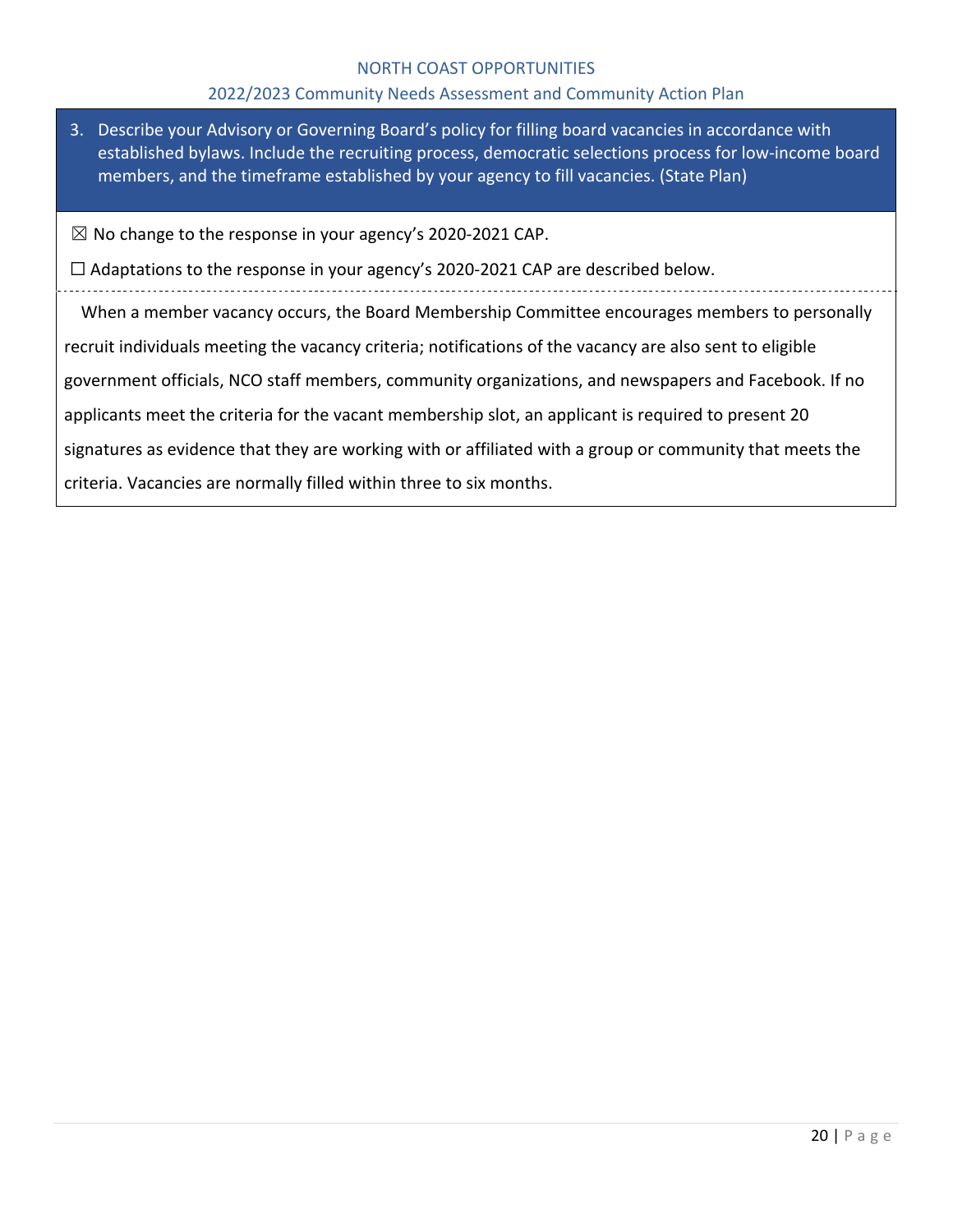#### 2022/2023 Community Needs Assessment and Community Action Plan

- 3. Describe your Advisory or Governing Board's policy for filling board vacancies in accordance with established bylaws. Include the recruiting process, democratic selections process for low-income board members, and the timeframe established by your agency to fill vacancies. (State Plan)
- ☒ No change to the response in your agency's 2020-2021 CAP.

 $\Box$  Adaptations to the response in your agency's 2020-2021 CAP are described below.

When a member vacancy occurs, the Board Membership Committee encourages members to personally recruit individuals meeting the vacancy criteria; notifications of the vacancy are also sent to eligible government officials, NCO staff members, community organizations, and newspapers and Facebook. If no applicants meet the criteria for the vacant membership slot, an applicant is required to present 20 signatures as evidence that they are working with or affiliated with a group or community that meets the criteria. Vacancies are normally filled within three to six months.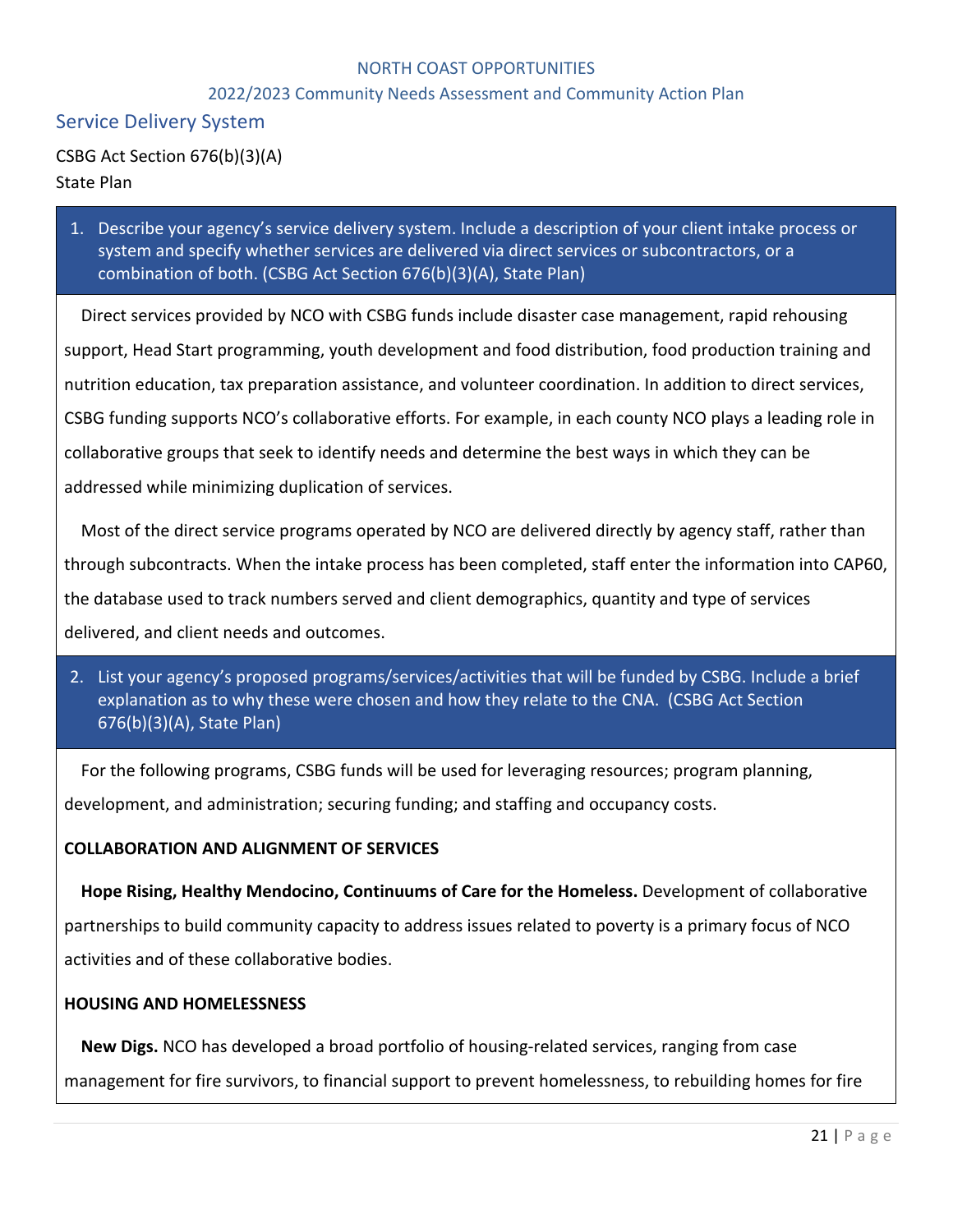## 2022/2023 Community Needs Assessment and Community Action Plan

# Service Delivery System

CSBG Act Section 676(b)(3)(A) State Plan

1. Describe your agency's service delivery system. Include a description of your client intake process or system and specify whether services are delivered via direct services or subcontractors, or a combination of both. (CSBG Act Section 676(b)(3)(A), State Plan)

Direct services provided by NCO with CSBG funds include disaster case management, rapid rehousing support, Head Start programming, youth development and food distribution, food production training and nutrition education, tax preparation assistance, and volunteer coordination. In addition to direct services, CSBG funding supports NCO's collaborative efforts. For example, in each county NCO plays a leading role in collaborative groups that seek to identify needs and determine the best ways in which they can be addressed while minimizing duplication of services.

Most of the direct service programs operated by NCO are delivered directly by agency staff, rather than through subcontracts. When the intake process has been completed, staff enter the information into CAP60, the database used to track numbers served and client demographics, quantity and type of services delivered, and client needs and outcomes.

2. List your agency's proposed programs/services/activities that will be funded by CSBG. Include a brief explanation as to why these were chosen and how they relate to the CNA. (CSBG Act Section 676(b)(3)(A), State Plan)

For the following programs, CSBG funds will be used for leveraging resources; program planning, development, and administration; securing funding; and staffing and occupancy costs.

#### **COLLABORATION AND ALIGNMENT OF SERVICES**

**Hope Rising, Healthy Mendocino, Continuums of Care for the Homeless.** Development of collaborative partnerships to build community capacity to address issues related to poverty is a primary focus of NCO activities and of these collaborative bodies.

#### **HOUSING AND HOMELESSNESS**

**New Digs.** NCO has developed a broad portfolio of housing-related services, ranging from case management for fire survivors, to financial support to prevent homelessness, to rebuilding homes for fire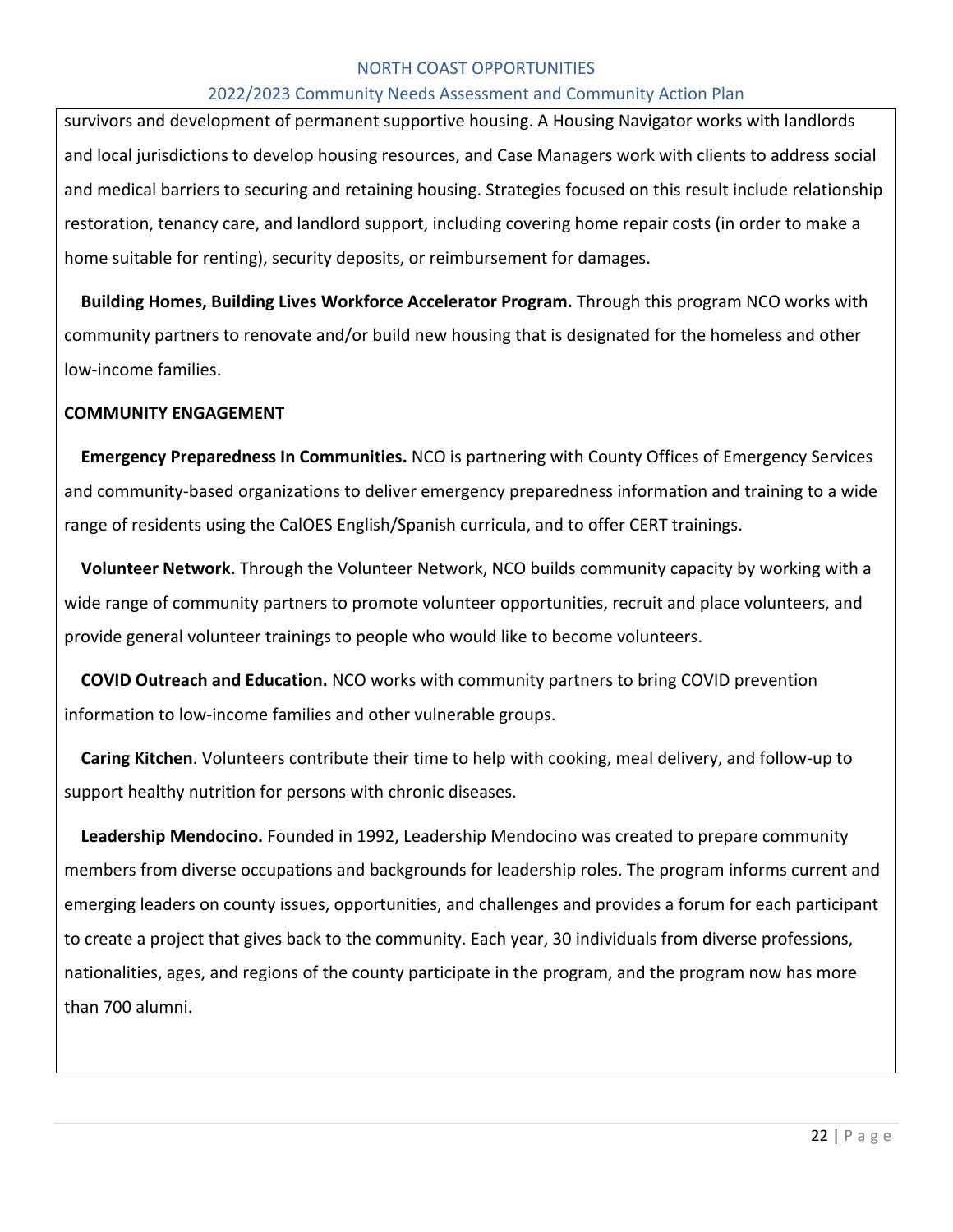#### 2022/2023 Community Needs Assessment and Community Action Plan

survivors and development of permanent supportive housing. A Housing Navigator works with landlords and local jurisdictions to develop housing resources, and Case Managers work with clients to address social and medical barriers to securing and retaining housing. Strategies focused on this result include relationship restoration, tenancy care, and landlord support, including covering home repair costs (in order to make a home suitable for renting), security deposits, or reimbursement for damages.

**Building Homes, Building Lives Workforce Accelerator Program.** Through this program NCO works with community partners to renovate and/or build new housing that is designated for the homeless and other low-income families.

#### **COMMUNITY ENGAGEMENT**

**Emergency Preparedness In Communities.** NCO is partnering with County Offices of Emergency Services and community-based organizations to deliver emergency preparedness information and training to a wide range of residents using the CalOES English/Spanish curricula, and to offer CERT trainings.

**Volunteer Network.** Through the Volunteer Network, NCO builds community capacity by working with a wide range of community partners to promote volunteer opportunities, recruit and place volunteers, and provide general volunteer trainings to people who would like to become volunteers.

**COVID Outreach and Education.** NCO works with community partners to bring COVID prevention information to low-income families and other vulnerable groups.

**Caring Kitchen**. Volunteers contribute their time to help with cooking, meal delivery, and follow-up to support healthy nutrition for persons with chronic diseases.

**Leadership Mendocino.** Founded in 1992, Leadership Mendocino was created to prepare community members from diverse occupations and backgrounds for leadership roles. The program informs current and emerging leaders on county issues, opportunities, and challenges and provides a forum for each participant to create a project that gives back to the community. Each year, 30 individuals from diverse professions, nationalities, ages, and regions of the county participate in the program, and the program now has more than 700 alumni.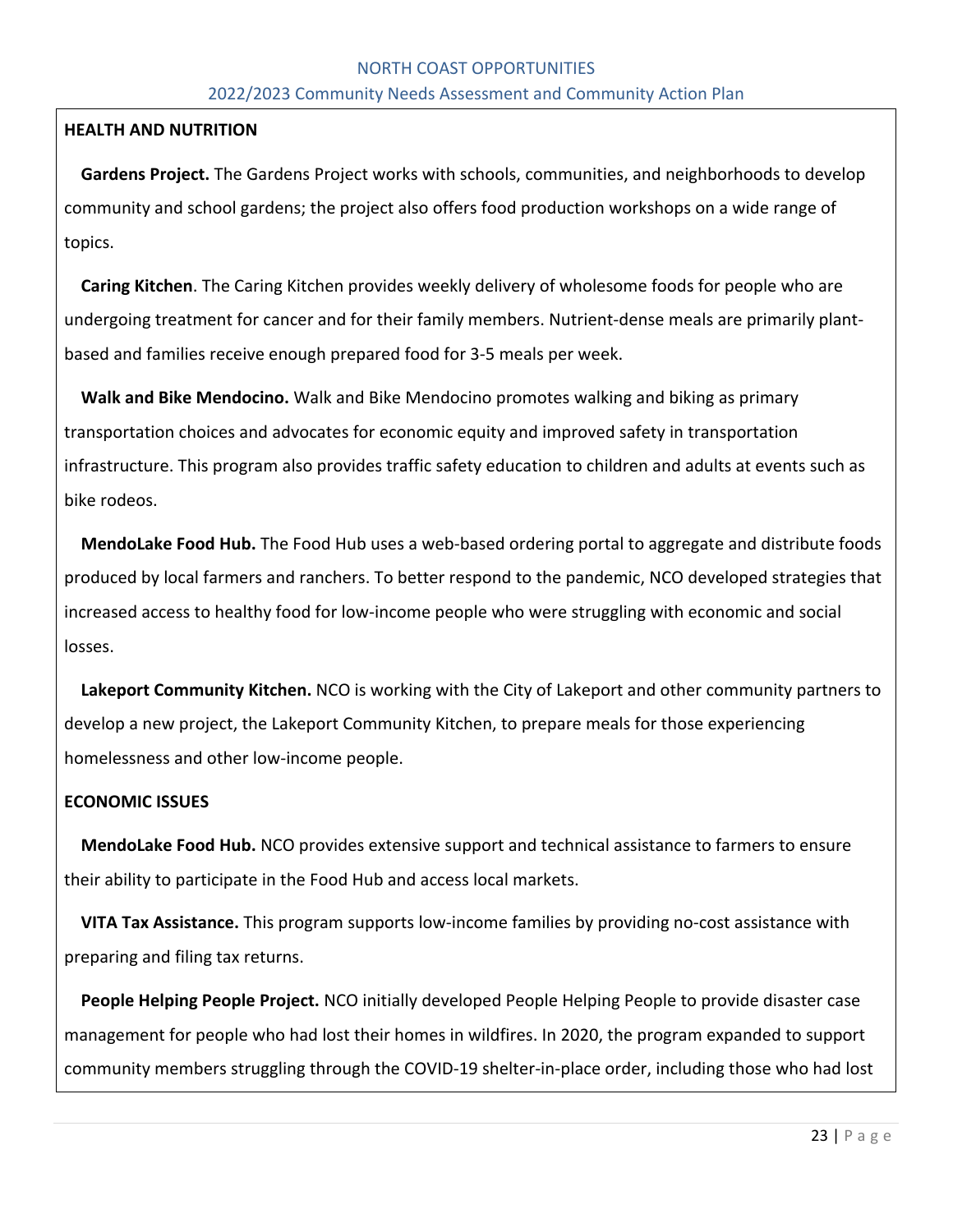# NORTH COAST OPPORTUNITIES 2022/2023 Community Needs Assessment and Community Action Plan

#### **HEALTH AND NUTRITION**

**Gardens Project.** The Gardens Project works with schools, communities, and neighborhoods to develop community and school gardens; the project also offers food production workshops on a wide range of topics.

**Caring Kitchen**. The Caring Kitchen provides weekly delivery of wholesome foods for people who are undergoing treatment for cancer and for their family members. Nutrient-dense meals are primarily plantbased and families receive enough prepared food for 3-5 meals per week.

**Walk and Bike Mendocino.** Walk and Bike Mendocino promotes walking and biking as primary transportation choices and advocates for economic equity and improved safety in transportation infrastructure. This program also provides traffic safety education to children and adults at events such as bike rodeos.

**MendoLake Food Hub.** The Food Hub uses a web-based ordering portal to aggregate and distribute foods produced by local farmers and ranchers. To better respond to the pandemic, NCO developed strategies that increased access to healthy food for low-income people who were struggling with economic and social losses.

**Lakeport Community Kitchen.** NCO is working with the City of Lakeport and other community partners to develop a new project, the Lakeport Community Kitchen, to prepare meals for those experiencing homelessness and other low-income people.

# **ECONOMIC ISSUES**

**MendoLake Food Hub.** NCO provides extensive support and technical assistance to farmers to ensure their ability to participate in the Food Hub and access local markets.

**VITA Tax Assistance.** This program supports low-income families by providing no-cost assistance with preparing and filing tax returns.

**People Helping People Project.** NCO initially developed People Helping People to provide disaster case management for people who had lost their homes in wildfires. In 2020, the program expanded to support community members struggling through the COVID-19 shelter-in-place order, including those who had lost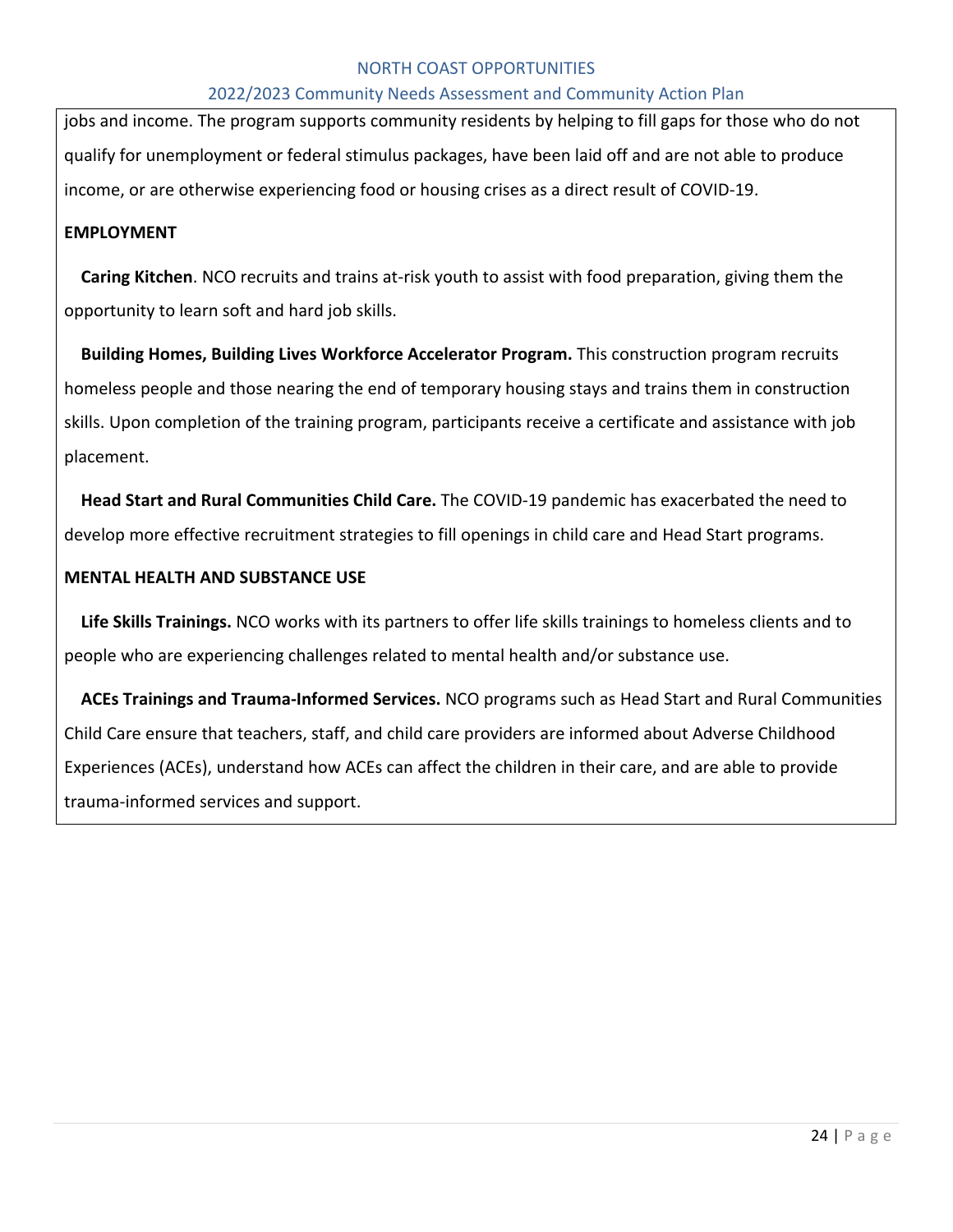#### 2022/2023 Community Needs Assessment and Community Action Plan

jobs and income. The program supports community residents by helping to fill gaps for those who do not qualify for unemployment or federal stimulus packages, have been laid off and are not able to produce income, or are otherwise experiencing food or housing crises as a direct result of COVID-19.

#### **EMPLOYMENT**

**Caring Kitchen**. NCO recruits and trains at-risk youth to assist with food preparation, giving them the opportunity to learn soft and hard job skills.

**Building Homes, Building Lives Workforce Accelerator Program.** This construction program recruits homeless people and those nearing the end of temporary housing stays and trains them in construction skills. Upon completion of the training program, participants receive a certificate and assistance with job placement.

**Head Start and Rural Communities Child Care.** The COVID-19 pandemic has exacerbated the need to develop more effective recruitment strategies to fill openings in child care and Head Start programs.

#### **MENTAL HEALTH AND SUBSTANCE USE**

**Life Skills Trainings.** NCO works with its partners to offer life skills trainings to homeless clients and to people who are experiencing challenges related to mental health and/or substance use.

**ACEs Trainings and Trauma-Informed Services.** NCO programs such as Head Start and Rural Communities Child Care ensure that teachers, staff, and child care providers are informed about Adverse Childhood Experiences (ACEs), understand how ACEs can affect the children in their care, and are able to provide trauma-informed services and support.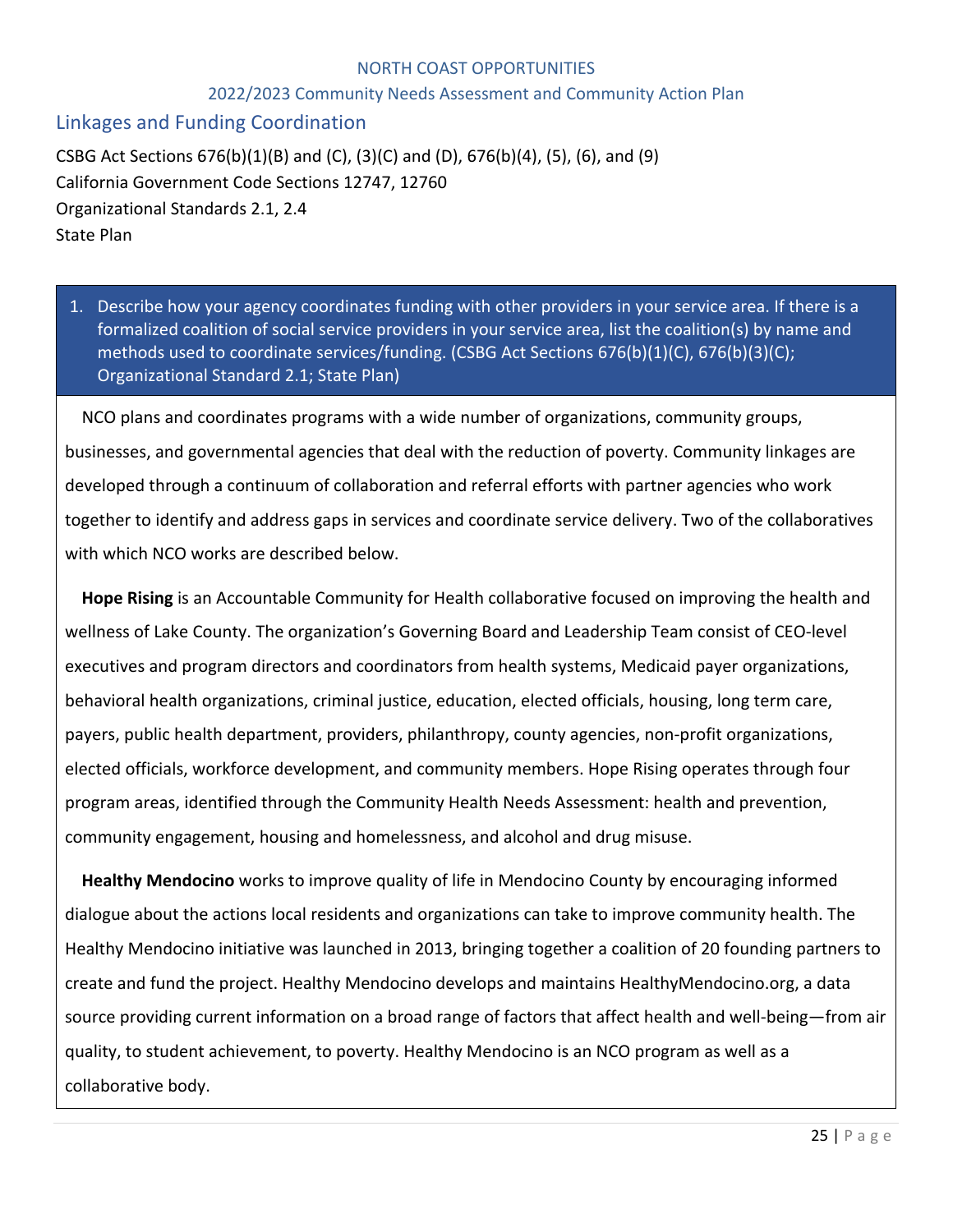#### 2022/2023 Community Needs Assessment and Community Action Plan

# Linkages and Funding Coordination

CSBG Act Sections 676(b)(1)(B) and (C), (3)(C) and (D), 676(b)(4), (5), (6), and (9) California Government Code Sections 12747, 12760 Organizational Standards 2.1, 2.4 State Plan

1. Describe how your agency coordinates funding with other providers in your service area. If there is a formalized coalition of social service providers in your service area, list the coalition(s) by name and methods used to coordinate services/funding. (CSBG Act Sections 676(b)(1)(C), 676(b)(3)(C); Organizational Standard 2.1; State Plan)

NCO plans and coordinates programs with a wide number of organizations, community groups, businesses, and governmental agencies that deal with the reduction of poverty. Community linkages are developed through a continuum of collaboration and referral efforts with partner agencies who work together to identify and address gaps in services and coordinate service delivery. Two of the collaboratives with which NCO works are described below.

**Hope Rising** is an Accountable Community for Health collaborative focused on improving the health and wellness of Lake County. The organization's Governing Board and Leadership Team consist of CEO-level executives and program directors and coordinators from health systems, Medicaid payer organizations, behavioral health organizations, criminal justice, education, elected officials, housing, long term care, payers, public health department, providers, philanthropy, county agencies, non-profit organizations, elected officials, workforce development, and community members. Hope Rising operates through four program areas, identified through the Community Health Needs Assessment: health and prevention, community engagement, housing and homelessness, and alcohol and drug misuse.

**Healthy Mendocino** works to improve quality of life in Mendocino County by encouraging informed dialogue about the actions local residents and organizations can take to improve community health. The Healthy Mendocino initiative was launched in 2013, bringing together a coalition of 20 founding partners to create and fund the project. Healthy Mendocino develops and maintains HealthyMendocino.org, a data source providing current information on a broad range of factors that affect health and well-being—from air quality, to student achievement, to poverty. Healthy Mendocino is an NCO program as well as a collaborative body.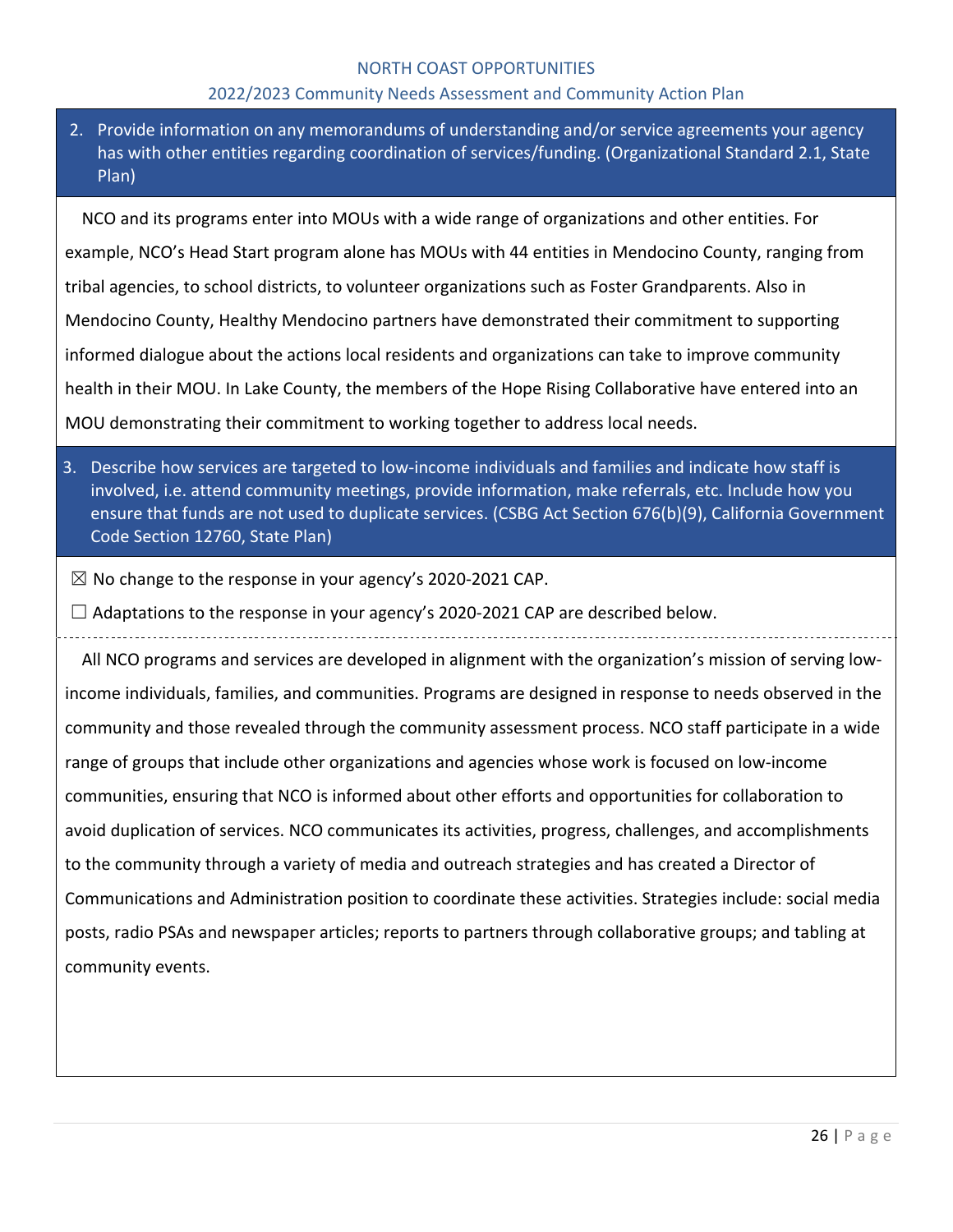#### 2022/2023 Community Needs Assessment and Community Action Plan

2. Provide information on any memorandums of understanding and/or service agreements your agency has with other entities regarding coordination of services/funding. (Organizational Standard 2.1, State Plan)

NCO and its programs enter into MOUs with a wide range of organizations and other entities. For example, NCO's Head Start program alone has MOUs with 44 entities in Mendocino County, ranging from tribal agencies, to school districts, to volunteer organizations such as Foster Grandparents. Also in Mendocino County, Healthy Mendocino partners have demonstrated their commitment to supporting informed dialogue about the actions local residents and organizations can take to improve community health in their MOU. In Lake County, the members of the Hope Rising Collaborative have entered into an MOU demonstrating their commitment to working together to address local needs.

- 3. Describe how services are targeted to low-income individuals and families and indicate how staff is involved, i.e. attend community meetings, provide information, make referrals, etc. Include how you ensure that funds are not used to duplicate services. (CSBG Act Section 676(b)(9), California Government Code Section 12760, State Plan)
- $\boxtimes$  No change to the response in your agency's 2020-2021 CAP.
- $\Box$  Adaptations to the response in your agency's 2020-2021 CAP are described below.

All NCO programs and services are developed in alignment with the organization's mission of serving lowincome individuals, families, and communities. Programs are designed in response to needs observed in the community and those revealed through the community assessment process. NCO staff participate in a wide range of groups that include other organizations and agencies whose work is focused on low-income communities, ensuring that NCO is informed about other efforts and opportunities for collaboration to avoid duplication of services. NCO communicates its activities, progress, challenges, and accomplishments to the community through a variety of media and outreach strategies and has created a Director of Communications and Administration position to coordinate these activities. Strategies include: social media posts, radio PSAs and newspaper articles; reports to partners through collaborative groups; and tabling at community events.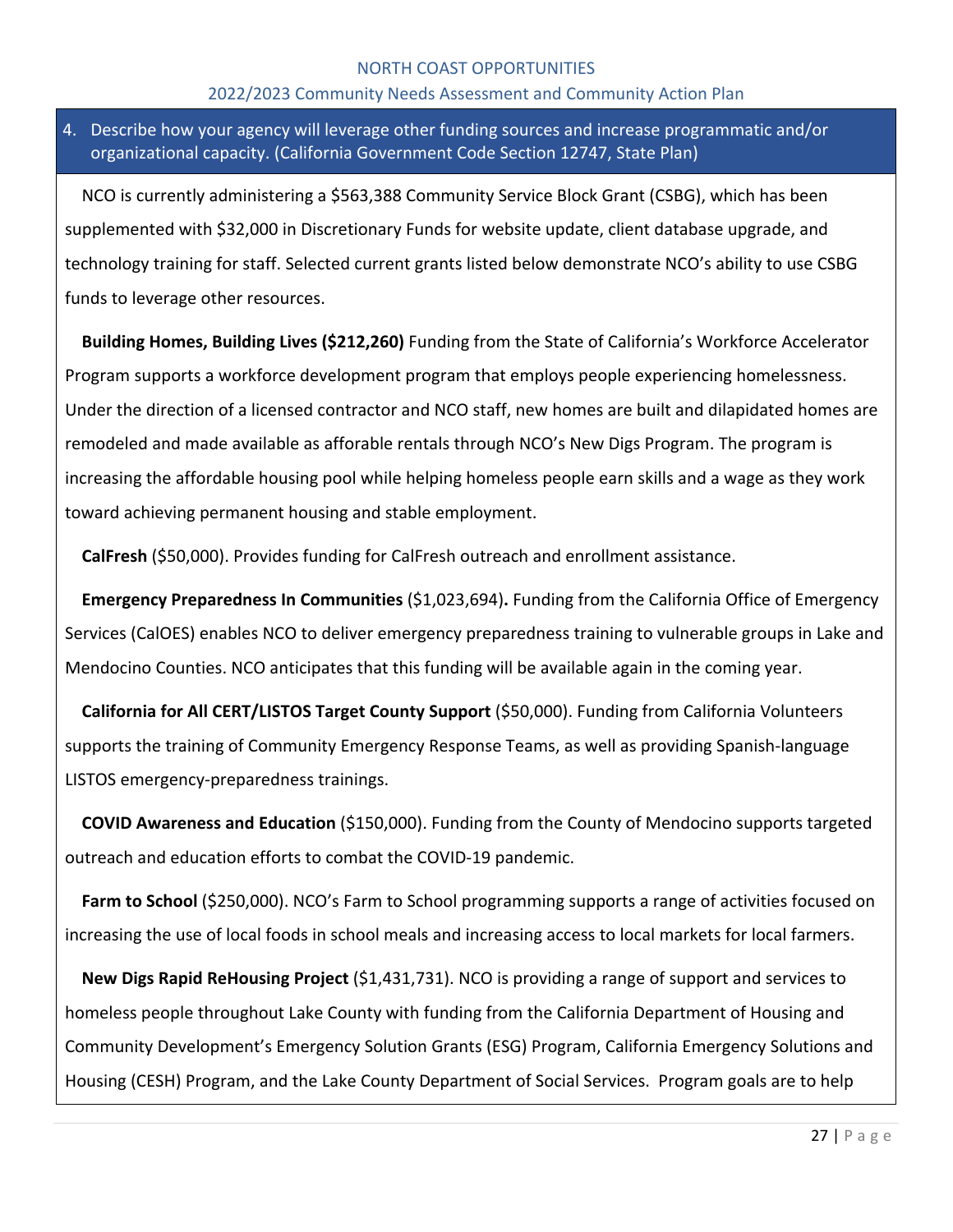#### 2022/2023 Community Needs Assessment and Community Action Plan

# 4. Describe how your agency will leverage other funding sources and increase programmatic and/or organizational capacity. (California Government Code Section 12747, State Plan)

NCO is currently administering a \$563,388 Community Service Block Grant (CSBG), which has been supplemented with \$32,000 in Discretionary Funds for website update, client database upgrade, and technology training for staff. Selected current grants listed below demonstrate NCO's ability to use CSBG funds to leverage other resources.

**Building Homes, Building Lives (\$212,260)** Funding from the State of California's Workforce Accelerator Program supports a workforce development program that employs people experiencing homelessness. Under the direction of a licensed contractor and NCO staff, new homes are built and dilapidated homes are remodeled and made available as afforable rentals through NCO's New Digs Program. The program is increasing the affordable housing pool while helping homeless people earn skills and a wage as they work toward achieving permanent housing and stable employment.

**CalFresh** (\$50,000). Provides funding for CalFresh outreach and enrollment assistance.

**Emergency Preparedness In Communities** (\$1,023,694)**.** Funding from the California Office of Emergency Services (CalOES) enables NCO to deliver emergency preparedness training to vulnerable groups in Lake and Mendocino Counties. NCO anticipates that this funding will be available again in the coming year.

**California for All CERT/LISTOS Target County Support** (\$50,000). Funding from California Volunteers supports the training of Community Emergency Response Teams, as well as providing Spanish-language LISTOS emergency-preparedness trainings.

**COVID Awareness and Education** (\$150,000). Funding from the County of Mendocino supports targeted outreach and education efforts to combat the COVID-19 pandemic.

Farm to School (\$250,000). NCO's Farm to School programming supports a range of activities focused on increasing the use of local foods in school meals and increasing access to local markets for local farmers.

**New Digs Rapid ReHousing Project** (\$1,431,731). NCO is providing a range of support and services to homeless people throughout Lake County with funding from the California Department of Housing and Community Development's Emergency Solution Grants (ESG) Program, California Emergency Solutions and Housing (CESH) Program, and the Lake County Department of Social Services. Program goals are to help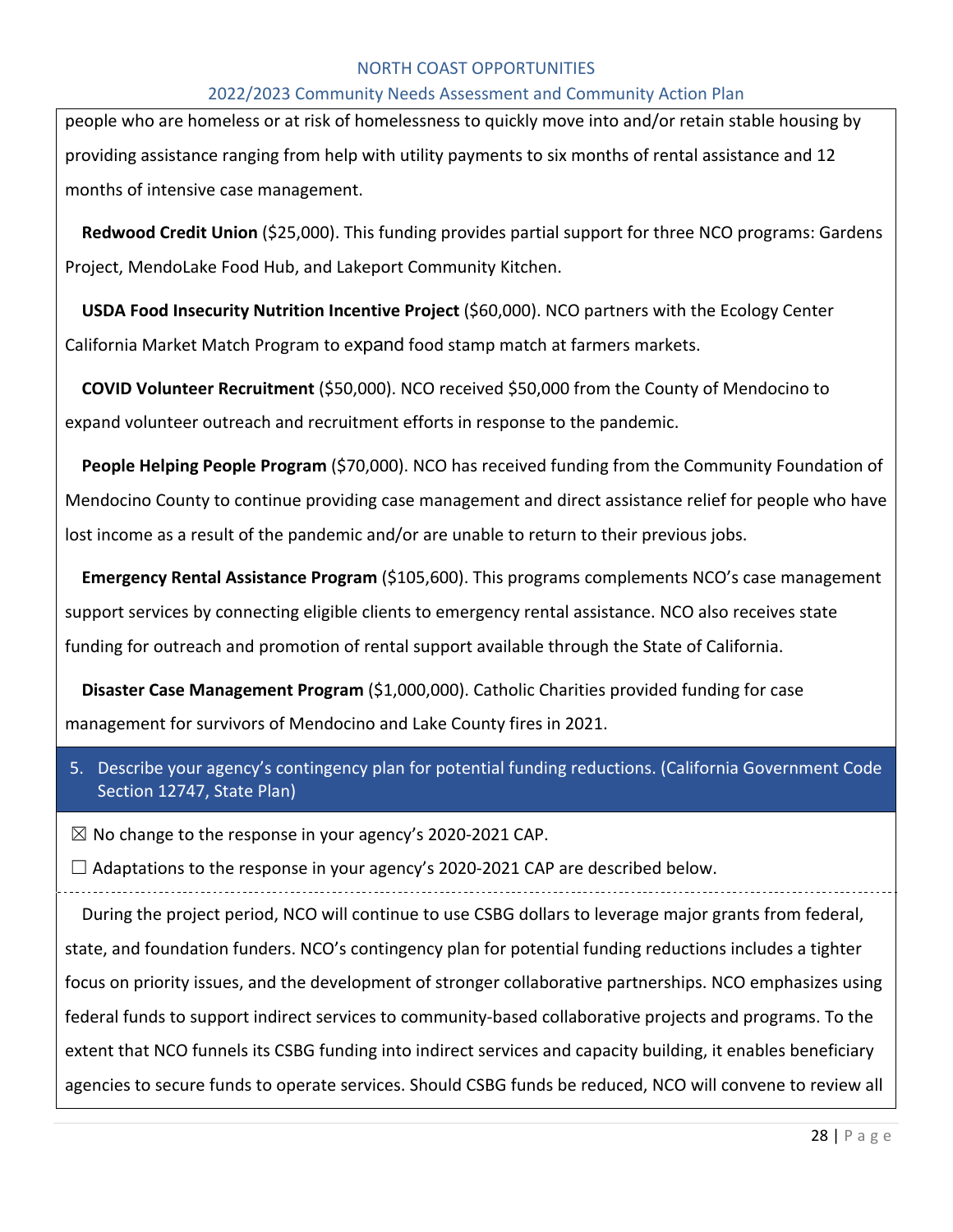#### 2022/2023 Community Needs Assessment and Community Action Plan

people who are homeless or at risk of homelessness to quickly move into and/or retain stable housing by providing assistance ranging from help with utility payments to six months of rental assistance and 12 months of intensive case management.

**Redwood Credit Union** (\$25,000). This funding provides partial support for three NCO programs: Gardens Project, MendoLake Food Hub, and Lakeport Community Kitchen.

**USDA Food Insecurity Nutrition Incentive Project** (\$60,000). NCO partners with the Ecology Center California Market Match Program to expand food stamp match at farmers markets.

**COVID Volunteer Recruitment** (\$50,000). NCO received \$50,000 from the County of Mendocino to expand volunteer outreach and recruitment efforts in response to the pandemic.

**People Helping People Program** (\$70,000). NCO has received funding from the Community Foundation of Mendocino County to continue providing case management and direct assistance relief for people who have lost income as a result of the pandemic and/or are unable to return to their previous jobs.

**Emergency Rental Assistance Program** (\$105,600). This programs complements NCO's case management support services by connecting eligible clients to emergency rental assistance. NCO also receives state funding for outreach and promotion of rental support available through the State of California.

**Disaster Case Management Program** (\$1,000,000). Catholic Charities provided funding for case management for survivors of Mendocino and Lake County fires in 2021.

5. Describe your agency's contingency plan for potential funding reductions. (California Government Code Section 12747, State Plan)

 $\boxtimes$  No change to the response in your agency's 2020-2021 CAP.

 $\Box$  Adaptations to the response in your agency's 2020-2021 CAP are described below.

During the project period, NCO will continue to use CSBG dollars to leverage major grants from federal, state, and foundation funders. NCO's contingency plan for potential funding reductions includes a tighter focus on priority issues, and the development of stronger collaborative partnerships. NCO emphasizes using federal funds to support indirect services to community-based collaborative projects and programs. To the extent that NCO funnels its CSBG funding into indirect services and capacity building, it enables beneficiary agencies to secure funds to operate services. Should CSBG funds be reduced, NCO will convene to review all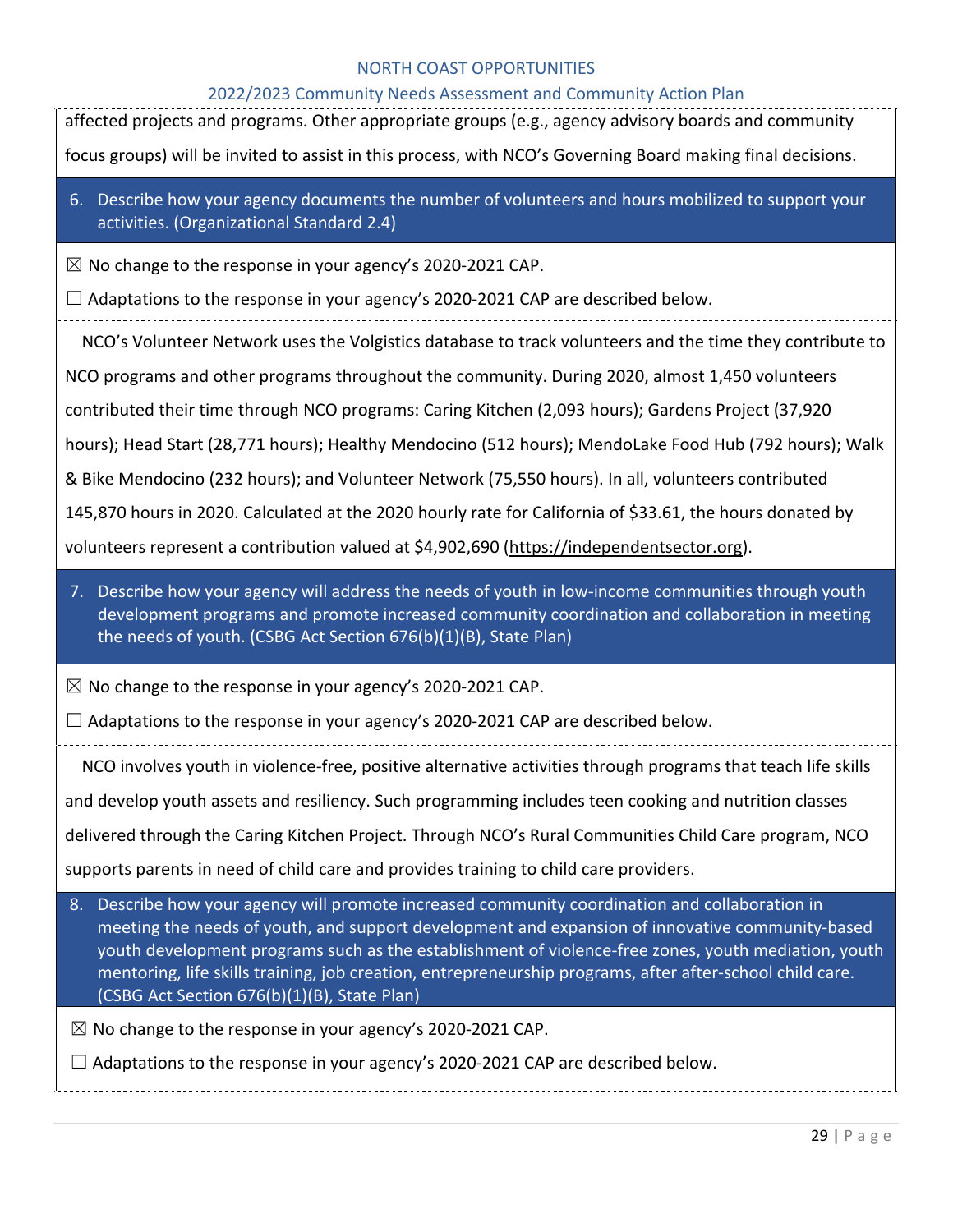| 2022/2023 Community Needs Assessment and Community Action Plan<br>affected projects and programs. Other appropriate groups (e.g., agency advisory boards and community                                                                                                                                                                                            |
|-------------------------------------------------------------------------------------------------------------------------------------------------------------------------------------------------------------------------------------------------------------------------------------------------------------------------------------------------------------------|
| focus groups) will be invited to assist in this process, with NCO's Governing Board making final decisions.                                                                                                                                                                                                                                                       |
| 6. Describe how your agency documents the number of volunteers and hours mobilized to support your<br>activities. (Organizational Standard 2.4)                                                                                                                                                                                                                   |
| $\boxtimes$ No change to the response in your agency's 2020-2021 CAP.                                                                                                                                                                                                                                                                                             |
| $\Box$ Adaptations to the response in your agency's 2020-2021 CAP are described below.                                                                                                                                                                                                                                                                            |
| NCO's Volunteer Network uses the Volgistics database to track volunteers and the time they contribute to                                                                                                                                                                                                                                                          |
| NCO programs and other programs throughout the community. During 2020, almost 1,450 volunteers                                                                                                                                                                                                                                                                    |
| contributed their time through NCO programs: Caring Kitchen (2,093 hours); Gardens Project (37,920                                                                                                                                                                                                                                                                |
| hours); Head Start (28,771 hours); Healthy Mendocino (512 hours); MendoLake Food Hub (792 hours); Walk                                                                                                                                                                                                                                                            |
| & Bike Mendocino (232 hours); and Volunteer Network (75,550 hours). In all, volunteers contributed                                                                                                                                                                                                                                                                |
| 145,870 hours in 2020. Calculated at the 2020 hourly rate for California of \$33.61, the hours donated by                                                                                                                                                                                                                                                         |
| volunteers represent a contribution valued at \$4,902,690 (https://independentsector.org).                                                                                                                                                                                                                                                                        |
| 7. Describe how your agency will address the needs of youth in low-income communities through youth<br>development programs and promote increased community coordination and collaboration in meeting<br>the needs of youth. (CSBG Act Section 676(b)(1)(B), State Plan)                                                                                          |
| $\boxtimes$ No change to the response in your agency's 2020-2021 CAP.                                                                                                                                                                                                                                                                                             |
| Adaptations to the response in your agency's 2020-2021 CAP are described below.                                                                                                                                                                                                                                                                                   |
| NCO involves youth in violence-free, positive alternative activities through programs that teach life skills                                                                                                                                                                                                                                                      |
| and develop youth assets and resiliency. Such programming includes teen cooking and nutrition classes                                                                                                                                                                                                                                                             |
| delivered through the Caring Kitchen Project. Through NCO's Rural Communities Child Care program, NCO                                                                                                                                                                                                                                                             |
| supports parents in need of child care and provides training to child care providers.                                                                                                                                                                                                                                                                             |
| Describe how your agency will promote increased community coordination and collaboration in<br>8.                                                                                                                                                                                                                                                                 |
| meeting the needs of youth, and support development and expansion of innovative community-based<br>youth development programs such as the establishment of violence-free zones, youth mediation, youth<br>mentoring, life skills training, job creation, entrepreneurship programs, after after-school child care.<br>(CSBG Act Section 676(b)(1)(B), State Plan) |
| $\boxtimes$ No change to the response in your agency's 2020-2021 CAP.                                                                                                                                                                                                                                                                                             |
| $\Box$ Adaptations to the response in your agency's 2020-2021 CAP are described below.                                                                                                                                                                                                                                                                            |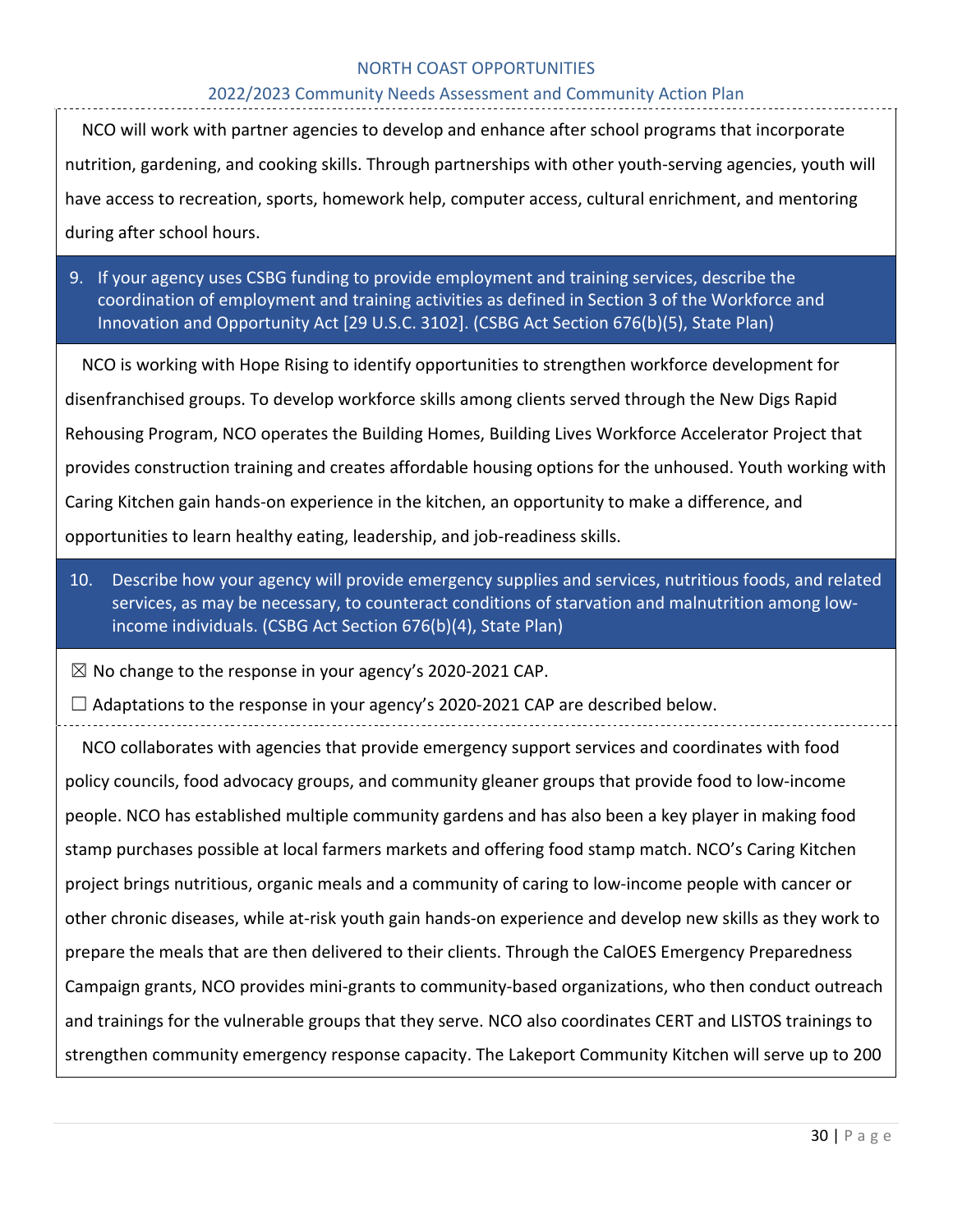#### 2022/2023 Community Needs Assessment and Community Action Plan

NCO will work with partner agencies to develop and enhance after school programs that incorporate nutrition, gardening, and cooking skills. Through partnerships with other youth-serving agencies, youth will have access to recreation, sports, homework help, computer access, cultural enrichment, and mentoring during after school hours.

9. If your agency uses CSBG funding to provide employment and training services, describe the coordination of employment and training activities as defined in Section 3 of the Workforce and Innovation and Opportunity Act [29 U.S.C. 3102]. (CSBG Act Section 676(b)(5), State Plan)

NCO is working with Hope Rising to identify opportunities to strengthen workforce development for disenfranchised groups. To develop workforce skills among clients served through the New Digs Rapid Rehousing Program, NCO operates the Building Homes, Building Lives Workforce Accelerator Project that provides construction training and creates affordable housing options for the unhoused. Youth working with Caring Kitchen gain hands-on experience in the kitchen, an opportunity to make a difference, and opportunities to learn healthy eating, leadership, and job-readiness skills.

10. Describe how your agency will provide emergency supplies and services, nutritious foods, and related services, as may be necessary, to counteract conditions of starvation and malnutrition among lowincome individuals. (CSBG Act Section 676(b)(4), State Plan)

 $\boxtimes$  No change to the response in your agency's 2020-2021 CAP.

 $\Box$  Adaptations to the response in your agency's 2020-2021 CAP are described below.

NCO collaborates with agencies that provide emergency support services and coordinates with food policy councils, food advocacy groups, and community gleaner groups that provide food to low-income people. NCO has established multiple community gardens and has also been a key player in making food stamp purchases possible at local farmers markets and offering food stamp match. NCO's Caring Kitchen project brings nutritious, organic meals and a community of caring to low-income people with cancer or other chronic diseases, while at-risk youth gain hands-on experience and develop new skills as they work to prepare the meals that are then delivered to their clients. Through the CalOES Emergency Preparedness Campaign grants, NCO provides mini-grants to community-based organizations, who then conduct outreach and trainings for the vulnerable groups that they serve. NCO also coordinates CERT and LISTOS trainings to strengthen community emergency response capacity. The Lakeport Community Kitchen will serve up to 200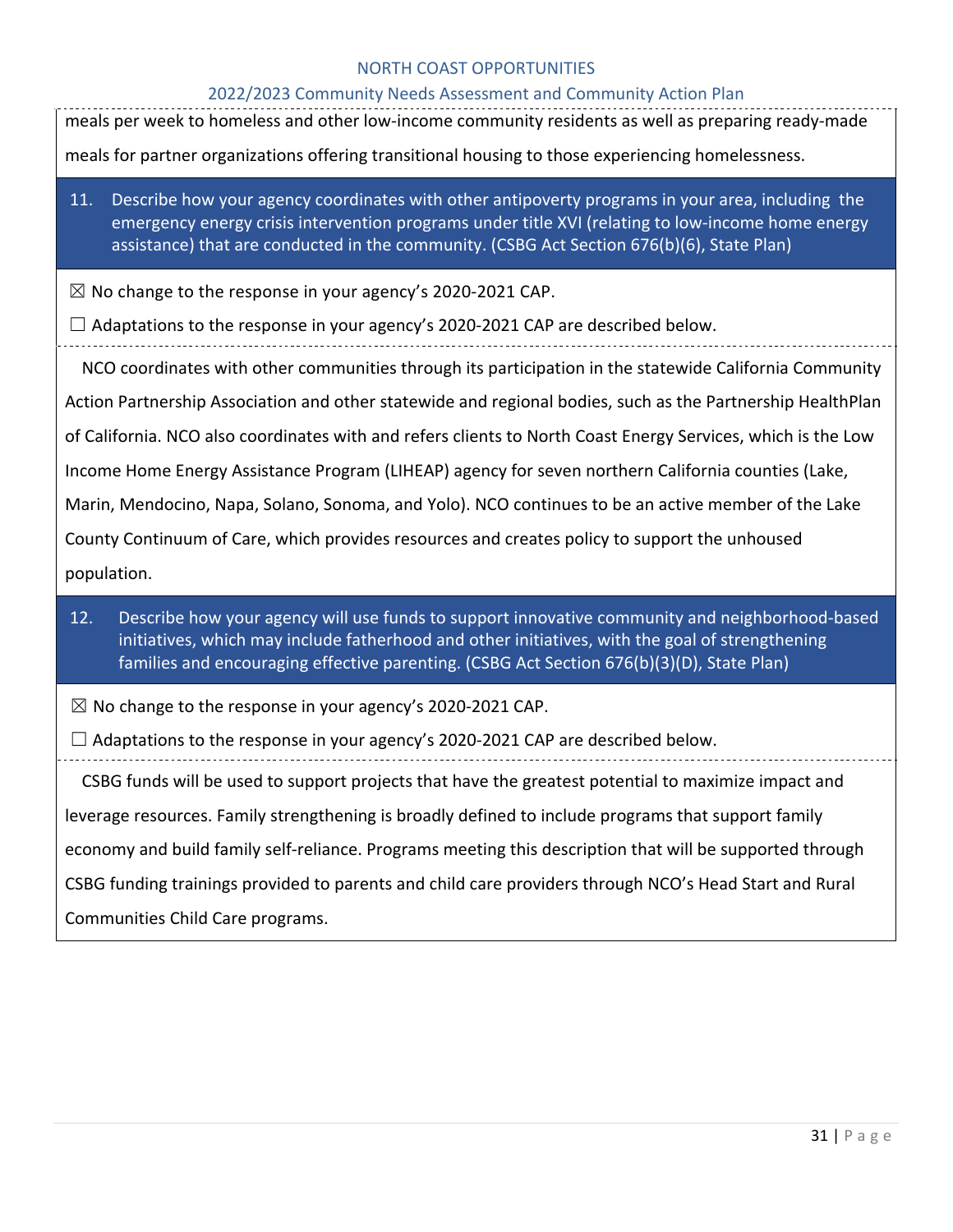# 2022/2023 Community Needs Assessment and Community Action Plan

| 2022/2023 Community Needs Assessment and Community Action Pian<br>meals per week to homeless and other low-income community residents as well as preparing ready-made                                                                                                                                     |  |  |  |  |  |
|-----------------------------------------------------------------------------------------------------------------------------------------------------------------------------------------------------------------------------------------------------------------------------------------------------------|--|--|--|--|--|
| meals for partner organizations offering transitional housing to those experiencing homelessness.                                                                                                                                                                                                         |  |  |  |  |  |
|                                                                                                                                                                                                                                                                                                           |  |  |  |  |  |
| Describe how your agency coordinates with other antipoverty programs in your area, including the<br>11.<br>emergency energy crisis intervention programs under title XVI (relating to low-income home energy<br>assistance) that are conducted in the community. (CSBG Act Section 676(b)(6), State Plan) |  |  |  |  |  |
| $\boxtimes$ No change to the response in your agency's 2020-2021 CAP.                                                                                                                                                                                                                                     |  |  |  |  |  |
| $\Box$ Adaptations to the response in your agency's 2020-2021 CAP are described below.                                                                                                                                                                                                                    |  |  |  |  |  |
| NCO coordinates with other communities through its participation in the statewide California Community                                                                                                                                                                                                    |  |  |  |  |  |
| Action Partnership Association and other statewide and regional bodies, such as the Partnership HealthPlan                                                                                                                                                                                                |  |  |  |  |  |
| of California. NCO also coordinates with and refers clients to North Coast Energy Services, which is the Low                                                                                                                                                                                              |  |  |  |  |  |
| Income Home Energy Assistance Program (LIHEAP) agency for seven northern California counties (Lake,                                                                                                                                                                                                       |  |  |  |  |  |
| Marin, Mendocino, Napa, Solano, Sonoma, and Yolo). NCO continues to be an active member of the Lake                                                                                                                                                                                                       |  |  |  |  |  |
| County Continuum of Care, which provides resources and creates policy to support the unhoused                                                                                                                                                                                                             |  |  |  |  |  |
| population.                                                                                                                                                                                                                                                                                               |  |  |  |  |  |
| Describe how your agency will use funds to support innovative community and neighborhood-based<br>12.<br>initiatives, which may include fatherhood and other initiatives, with the goal of strengthening<br>families and encouraging effective parenting. (CSBG Act Section 676(b)(3)(D), State Plan)     |  |  |  |  |  |
| $\boxtimes$ No change to the response in your agency's 2020-2021 CAP.                                                                                                                                                                                                                                     |  |  |  |  |  |
| $\Box$ Adaptations to the response in your agency's 2020-2021 CAP are described below.                                                                                                                                                                                                                    |  |  |  |  |  |
| CSBG funds will be used to support projects that have the greatest potential to maximize impact and                                                                                                                                                                                                       |  |  |  |  |  |
| leverage resources. Family strengthening is broadly defined to include programs that support family                                                                                                                                                                                                       |  |  |  |  |  |
| economy and build family self-reliance. Programs meeting this description that will be supported through                                                                                                                                                                                                  |  |  |  |  |  |
| CSBG funding trainings provided to parents and child care providers through NCO's Head Start and Rural                                                                                                                                                                                                    |  |  |  |  |  |
| Communities Child Care programs.                                                                                                                                                                                                                                                                          |  |  |  |  |  |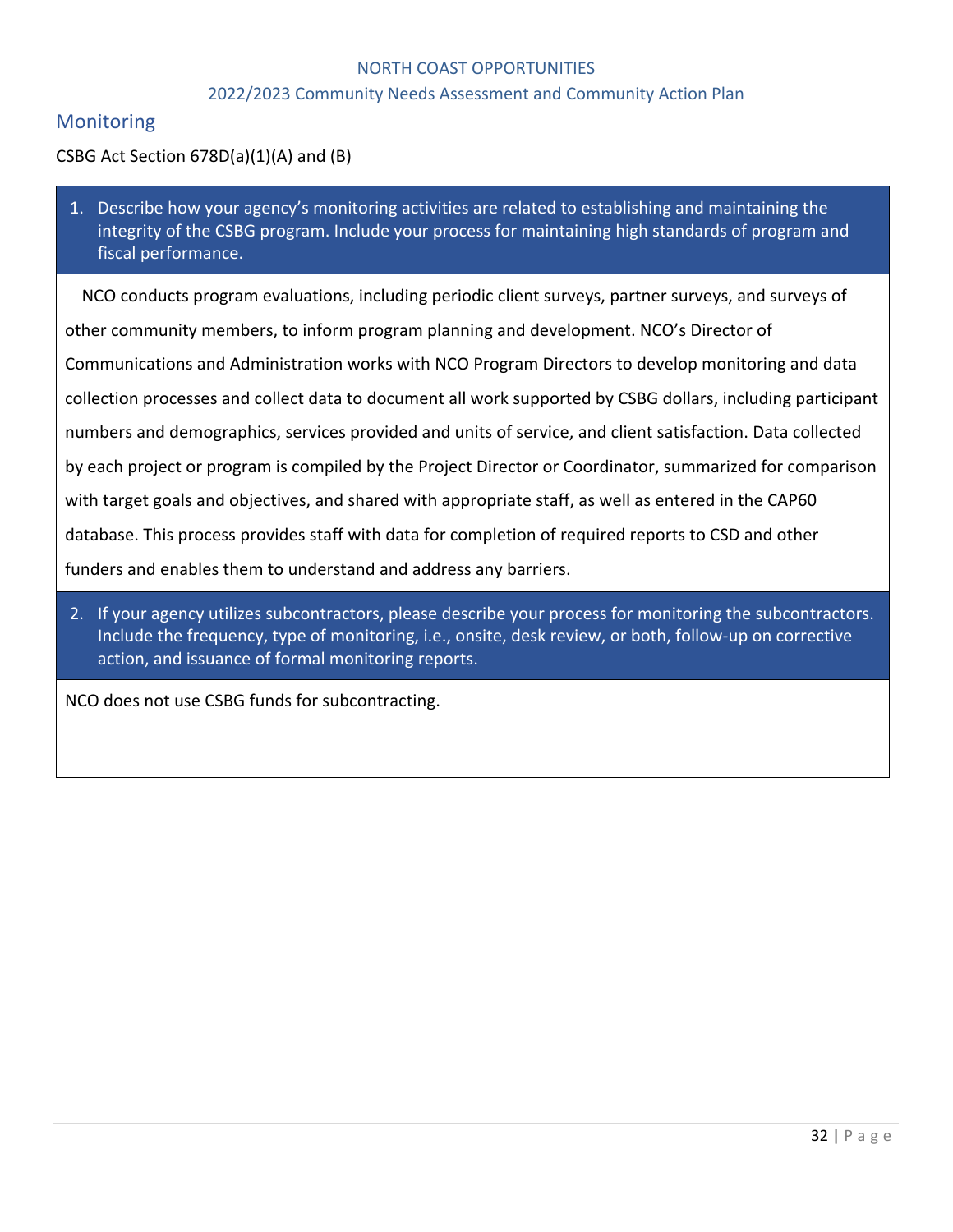#### 2022/2023 Community Needs Assessment and Community Action Plan

## **Monitoring**

#### CSBG Act Section 678D(a)(1)(A) and (B)

1. Describe how your agency's monitoring activities are related to establishing and maintaining the integrity of the CSBG program. Include your process for maintaining high standards of program and fiscal performance.

NCO conducts program evaluations, including periodic client surveys, partner surveys, and surveys of other community members, to inform program planning and development. NCO's Director of Communications and Administration works with NCO Program Directors to develop monitoring and data collection processes and collect data to document all work supported by CSBG dollars, including participant numbers and demographics, services provided and units of service, and client satisfaction. Data collected by each project or program is compiled by the Project Director or Coordinator, summarized for comparison with target goals and objectives, and shared with appropriate staff, as well as entered in the CAP60 database. This process provides staff with data for completion of required reports to CSD and other funders and enables them to understand and address any barriers.

2. If your agency utilizes subcontractors, please describe your process for monitoring the subcontractors. Include the frequency, type of monitoring, i.e., onsite, desk review, or both, follow-up on corrective action, and issuance of formal monitoring reports.

NCO does not use CSBG funds for subcontracting.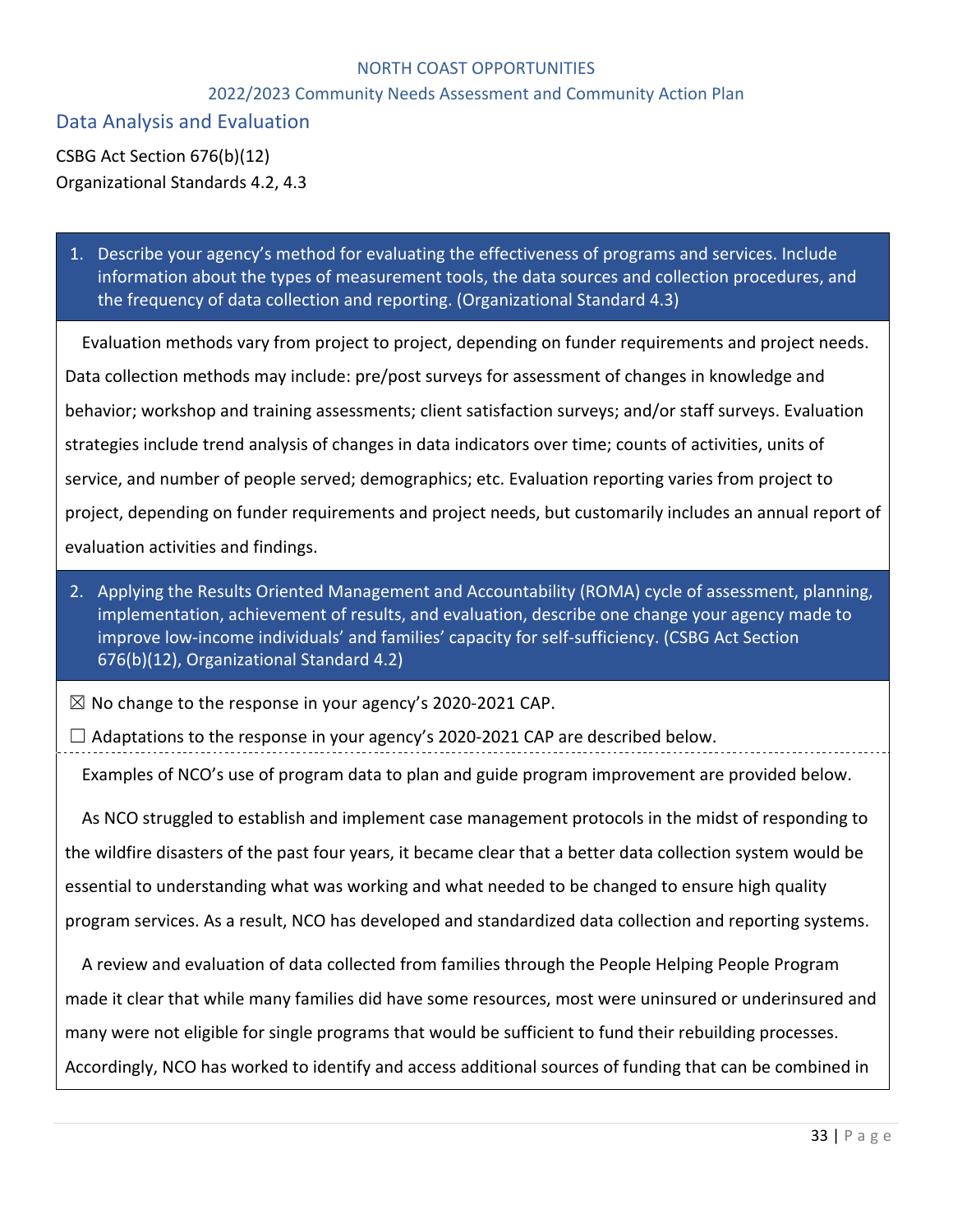#### 2022/2023 Community Needs Assessment and Community Action Plan

Data Analysis and Evaluation

CSBG Act Section 676(b)(12) Organizational Standards 4.2, 4.3

1. Describe your agency's method for evaluating the effectiveness of programs and services. Include information about the types of measurement tools, the data sources and collection procedures, and the frequency of data collection and reporting. (Organizational Standard 4.3)

Evaluation methods vary from project to project, depending on funder requirements and project needs. Data collection methods may include: pre/post surveys for assessment of changes in knowledge and behavior; workshop and training assessments; client satisfaction surveys; and/or staff surveys. Evaluation strategies include trend analysis of changes in data indicators over time; counts of activities, units of service, and number of people served; demographics; etc. Evaluation reporting varies from project to project, depending on funder requirements and project needs, but customarily includes an annual report of evaluation activities and findings.

2. Applying the Results Oriented Management and Accountability (ROMA) cycle of assessment, planning, implementation, achievement of results, and evaluation, describe one change your agency made to improve low-income individuals' and families' capacity for self-sufficiency. (CSBG Act Section 676(b)(12), Organizational Standard 4.2)

 $\boxtimes$  No change to the response in your agency's 2020-2021 CAP.

 $\Box$  Adaptations to the response in your agency's 2020-2021 CAP are described below.

Examples of NCO's use of program data to plan and guide program improvement are provided below.

As NCO struggled to establish and implement case management protocols in the midst of responding to the wildfire disasters of the past four years, it became clear that a better data collection system would be essential to understanding what was working and what needed to be changed to ensure high quality program services. As a result, NCO has developed and standardized data collection and reporting systems.

A review and evaluation of data collected from families through the People Helping People Program made it clear that while many families did have some resources, most were uninsured or underinsured and many were not eligible for single programs that would be sufficient to fund their rebuilding processes. Accordingly, NCO has worked to identify and access additional sources of funding that can be combined in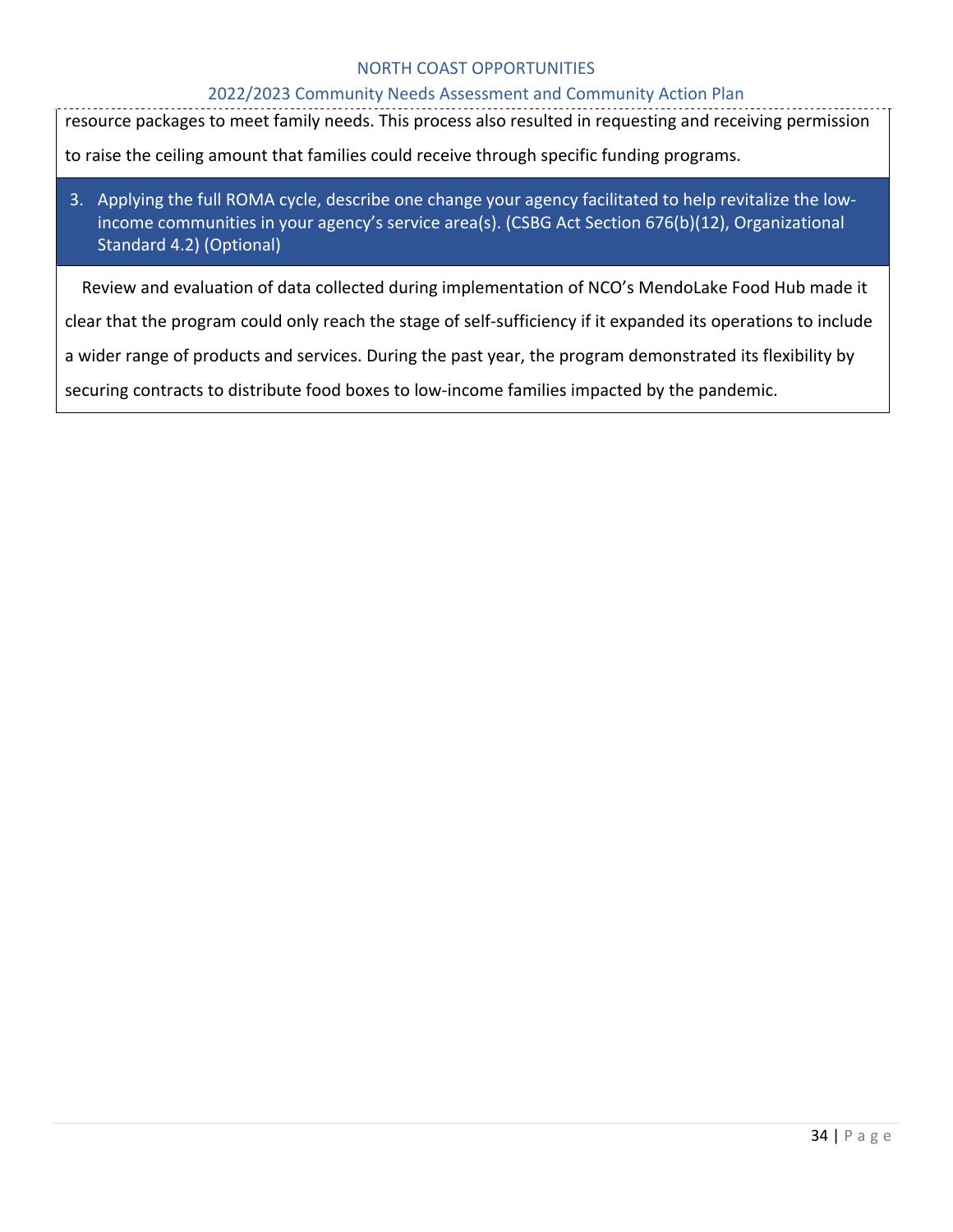#### 2022/2023 Community Needs Assessment and Community Action Plan

resource packages to meet family needs. This process also resulted in requesting and receiving permission

to raise the ceiling amount that families could receive through specific funding programs.

# 3. Applying the full ROMA cycle, describe one change your agency facilitated to help revitalize the lowincome communities in your agency's service area(s). (CSBG Act Section 676(b)(12), Organizational Standard 4.2) (Optional)

Review and evaluation of data collected during implementation of NCO's MendoLake Food Hub made it

clear that the program could only reach the stage of self-sufficiency if it expanded its operations to include

a wider range of products and services. During the past year, the program demonstrated its flexibility by

securing contracts to distribute food boxes to low-income families impacted by the pandemic.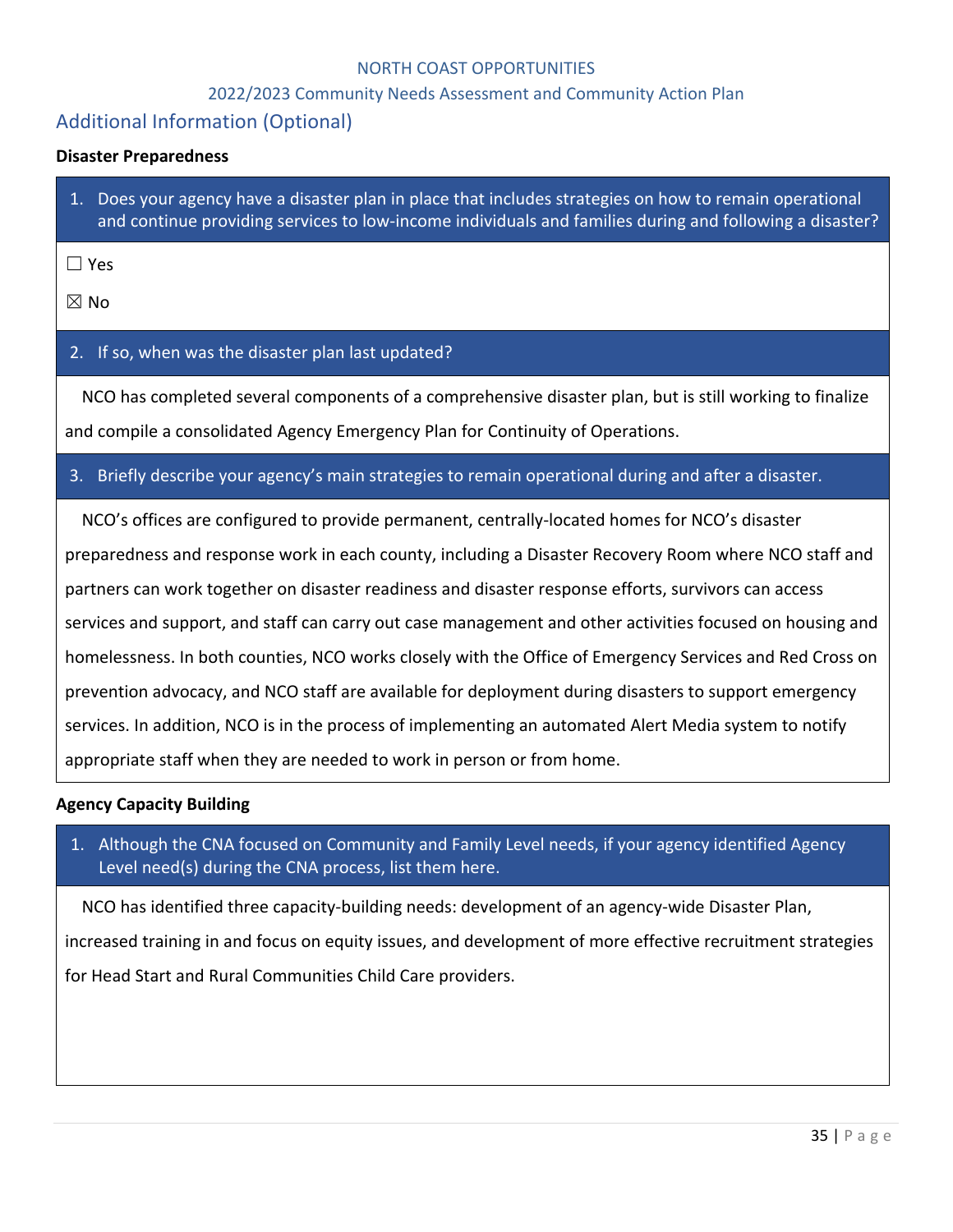#### 2022/2023 Community Needs Assessment and Community Action Plan

# Additional Information (Optional)

#### **Disaster Preparedness**

1. Does your agency have a disaster plan in place that includes strategies on how to remain operational and continue providing services to low-income individuals and families during and following a disaster?

☐ Yes

☒ No

#### 2. If so, when was the disaster plan last updated?

NCO has completed several components of a comprehensive disaster plan, but is still working to finalize and compile a consolidated Agency Emergency Plan for Continuity of Operations.

#### 3. Briefly describe your agency's main strategies to remain operational during and after a disaster.

NCO's offices are configured to provide permanent, centrally-located homes for NCO's disaster preparedness and response work in each county, including a Disaster Recovery Room where NCO staff and partners can work together on disaster readiness and disaster response efforts, survivors can access services and support, and staff can carry out case management and other activities focused on housing and homelessness. In both counties, NCO works closely with the Office of Emergency Services and Red Cross on prevention advocacy, and NCO staff are available for deployment during disasters to support emergency services. In addition, NCO is in the process of implementing an automated Alert Media system to notify appropriate staff when they are needed to work in person or from home.

#### **Agency Capacity Building**

1. Although the CNA focused on Community and Family Level needs, if your agency identified Agency Level need(s) during the CNA process, list them here.

NCO has identified three capacity-building needs: development of an agency-wide Disaster Plan,

increased training in and focus on equity issues, and development of more effective recruitment strategies for Head Start and Rural Communities Child Care providers.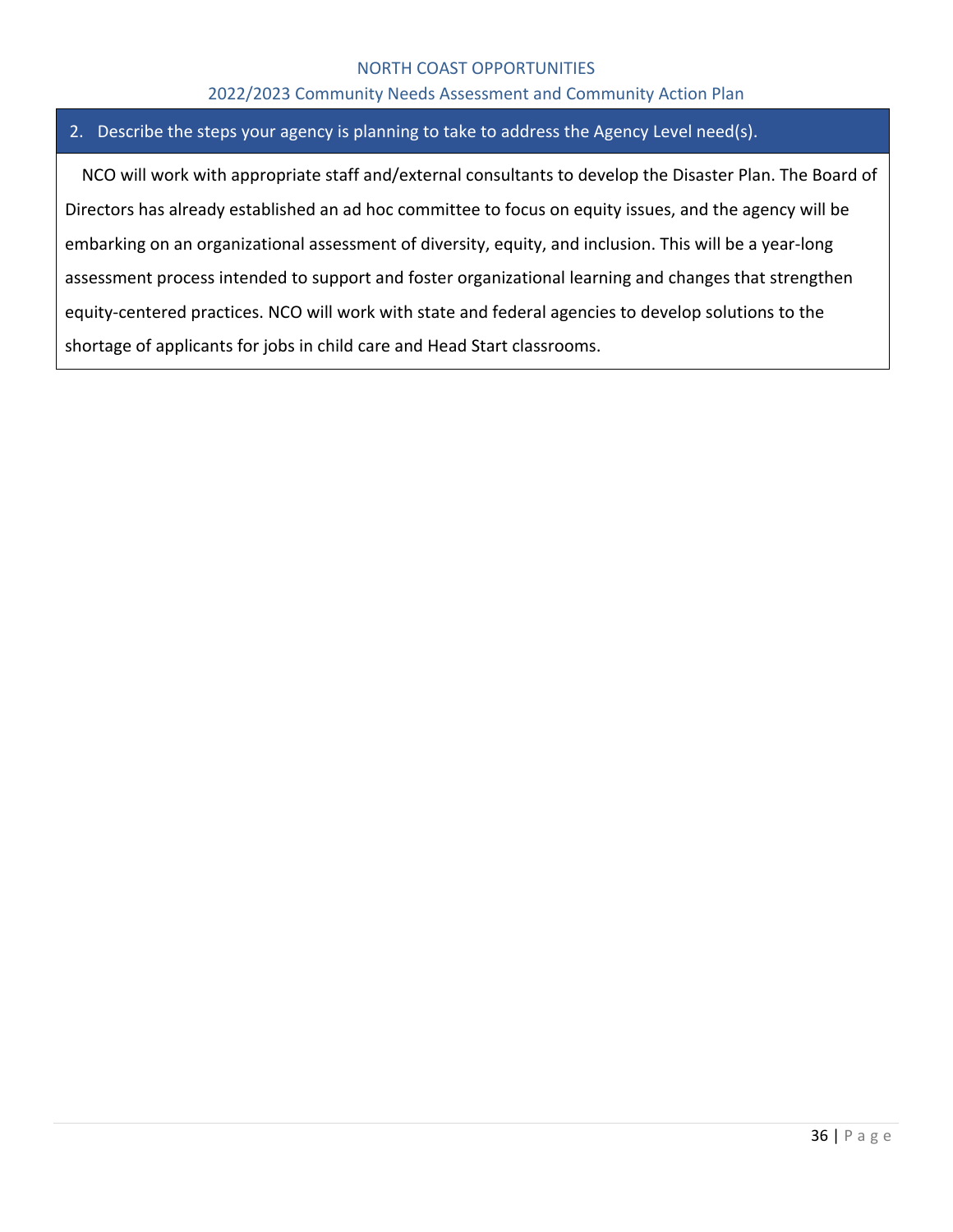#### 2022/2023 Community Needs Assessment and Community Action Plan

#### 2. Describe the steps your agency is planning to take to address the Agency Level need(s).

NCO will work with appropriate staff and/external consultants to develop the Disaster Plan. The Board of Directors has already established an ad hoc committee to focus on equity issues, and the agency will be embarking on an organizational assessment of diversity, equity, and inclusion. This will be a year-long assessment process intended to support and foster organizational learning and changes that strengthen equity-centered practices. NCO will work with state and federal agencies to develop solutions to the shortage of applicants for jobs in child care and Head Start classrooms.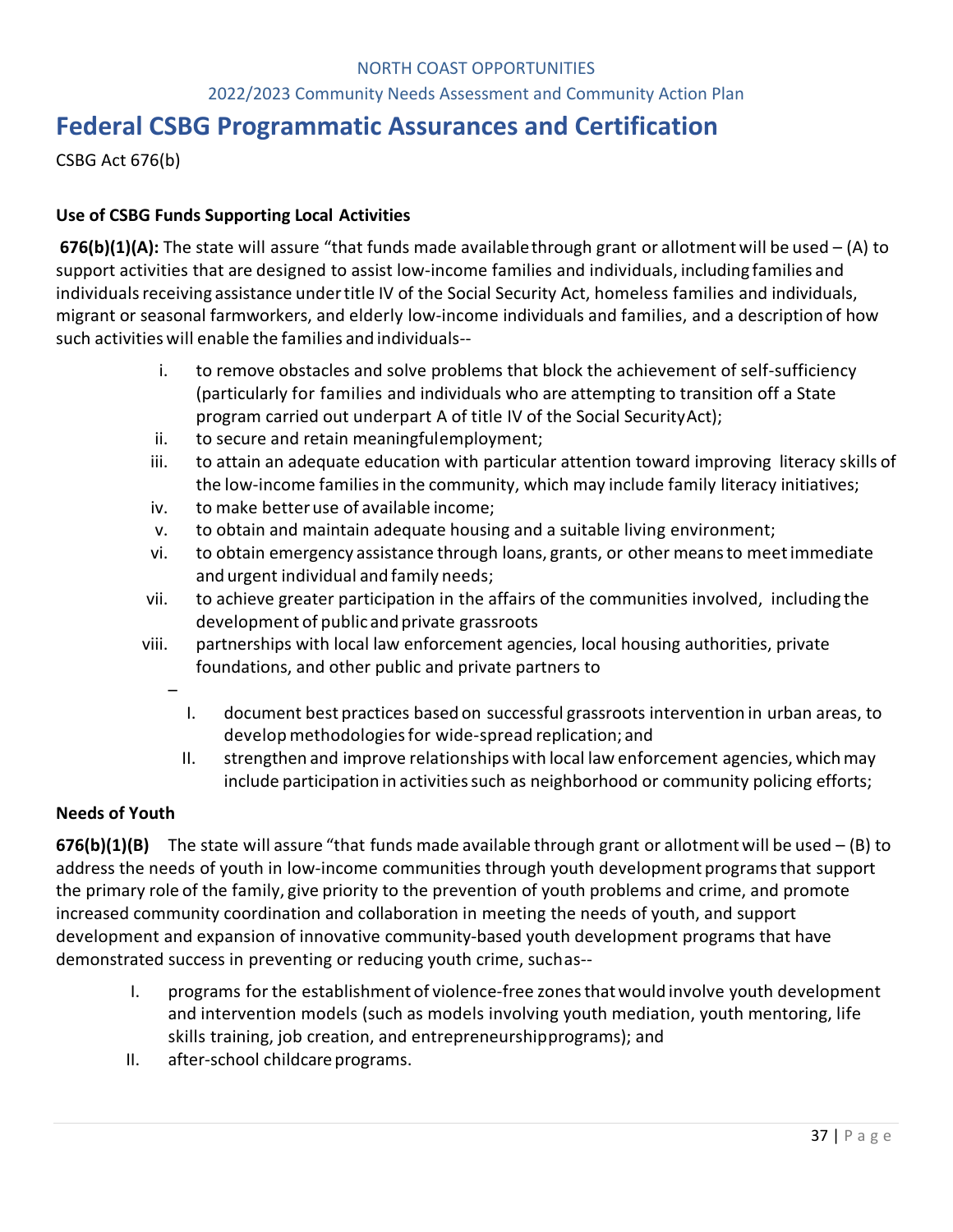#### 2022/2023 Community Needs Assessment and Community Action Plan

# **Federal CSBG Programmatic Assurances and Certification**

CSBG Act 676(b)

#### **Use of CSBG Funds Supporting Local Activities**

**676(b)(1)(A):** The state will assure "that funds made availablethrough grant or allotmentwill be used – (A) to support activities that are designed to assist low-income families and individuals, including families and individuals receiving assistance under title IV of the Social Security Act, homeless families and individuals, migrant or seasonal farmworkers, and elderly low-income individuals and families, and a description of how such activities will enable the families and individuals--

- i. to remove obstacles and solve problems that block the achievement of self-sufficiency (particularly for families and individuals who are attempting to transition off a State program carried out underpart A of title IV of the Social SecurityAct);
- ii. to secure and retain meaningfulemployment;
- iii. to attain an adequate education with particular attention toward improving literacy skills of the low-income families in the community, which may include family literacy initiatives;
- iv. to make betteruse of available income;
- v. to obtain and maintain adequate housing and a suitable living environment;
- vi. to obtain emergency assistance through loans, grants, or other meansto meetimmediate and urgent individual and family needs;
- vii. to achieve greater participation in the affairs of the communities involved, including the development of public and private grassroots
- viii. partnerships with local law enforcement agencies, local housing authorities, private foundations, and other public and private partners to
	- I. document best practices based on successful grassroots intervention in urban areas, to develop methodologiesfor wide-spread replication; and
	- II. strengthen and improve relationships with local law enforcement agencies, whichmay include participation in activities such as neighborhood or community policing efforts;

## **Needs of Youth**

–

**676(b)(1)(B)** The state will assure "that funds made available through grant or allotmentwill be used – (B) to address the needs of youth in low-income communities through youth development programsthat support the primary role of the family, give priority to the prevention of youth problems and crime, and promote increased community coordination and collaboration in meeting the needs of youth, and support development and expansion of innovative community-based youth development programs that have demonstrated success in preventing or reducing youth crime, suchas--

- I. programs for the establishment of violence-free zonesthatwould involve youth development and intervention models (such as models involving youth mediation, youth mentoring, life skills training, job creation, and entrepreneurshipprograms); and
- II. after-school childcare programs.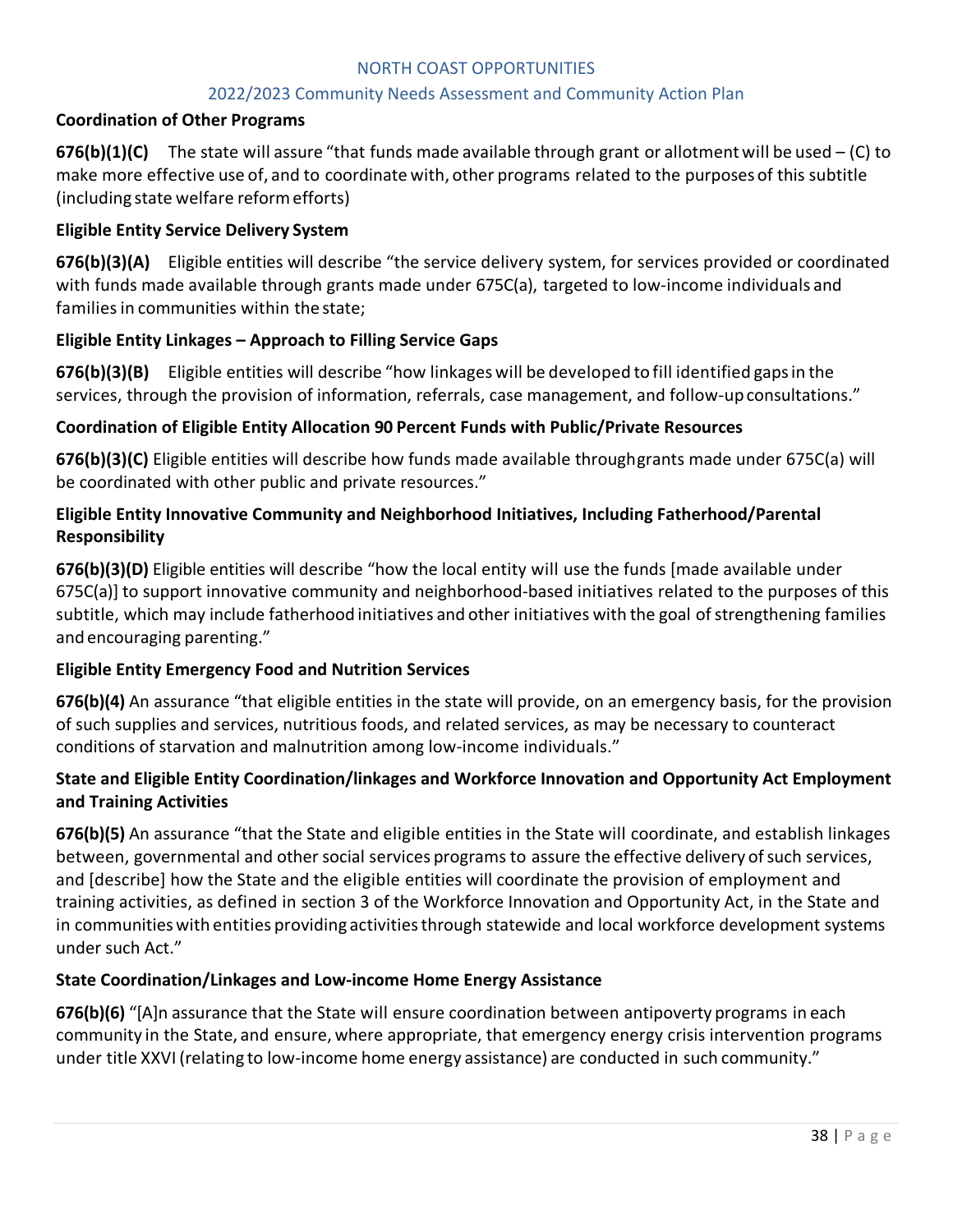#### 2022/2023 Community Needs Assessment and Community Action Plan

#### **Coordination of Other Programs**

**676(b)(1)(C)** The state will assure "that funds made available through grant or allotment will be used  $-$  (C) to make more effective use of, and to coordinate with, other programs related to the purposes of this subtitle (including state welfare reformefforts)

#### **Eligible Entity Service Delivery System**

**676(b)(3)(A)** Eligible entities will describe "the service delivery system, for services provided or coordinated with funds made available through grants made under 675C(a), targeted to low-income individuals and families in communities within the state;

#### **Eligible Entity Linkages – Approach to Filling Service Gaps**

**676(b)(3)(B)** Eligible entities will describe "how linkages will be developed to fill identified gapsin the services, through the provision of information, referrals, case management, and follow-upconsultations."

#### **Coordination of Eligible Entity Allocation 90 Percent Funds with Public/Private Resources**

**676(b)(3)(C)** Eligible entities will describe how funds made available throughgrants made under 675C(a) will be coordinated with other public and private resources."

## **Eligible Entity Innovative Community and Neighborhood Initiatives, Including Fatherhood/Parental Responsibility**

**676(b)(3)(D)** Eligible entities will describe "how the local entity will use the funds [made available under 675C(a)] to support innovative community and neighborhood-based initiatives related to the purposes of this subtitle, which may include fatherhood initiatives and other initiatives with the goal of strengthening families and encouraging parenting."

#### **Eligible Entity Emergency Food and Nutrition Services**

**676(b)(4)** An assurance "that eligible entities in the state will provide, on an emergency basis, for the provision of such supplies and services, nutritious foods, and related services, as may be necessary to counteract conditions of starvation and malnutrition among low-income individuals."

#### **State and Eligible Entity Coordination/linkages and Workforce Innovation and Opportunity Act Employment and Training Activities**

**676(b)(5)** An assurance "that the State and eligible entities in the State will coordinate, and establish linkages between, governmental and other social services programs to assure the effective delivery of such services, and [describe] how the State and the eligible entities will coordinate the provision of employment and training activities, as defined in section 3 of the Workforce Innovation and Opportunity Act, in the State and in communities with entities providing activities through statewide and local workforce development systems under such Act."

#### **State Coordination/Linkages and Low-income Home Energy Assistance**

**676(b)(6)** "[A]n assurance that the State will ensure coordination between antipoverty programs in each community in the State, and ensure, where appropriate, that emergency energy crisis intervention programs under title XXVI (relating to low-income home energy assistance) are conducted in such community."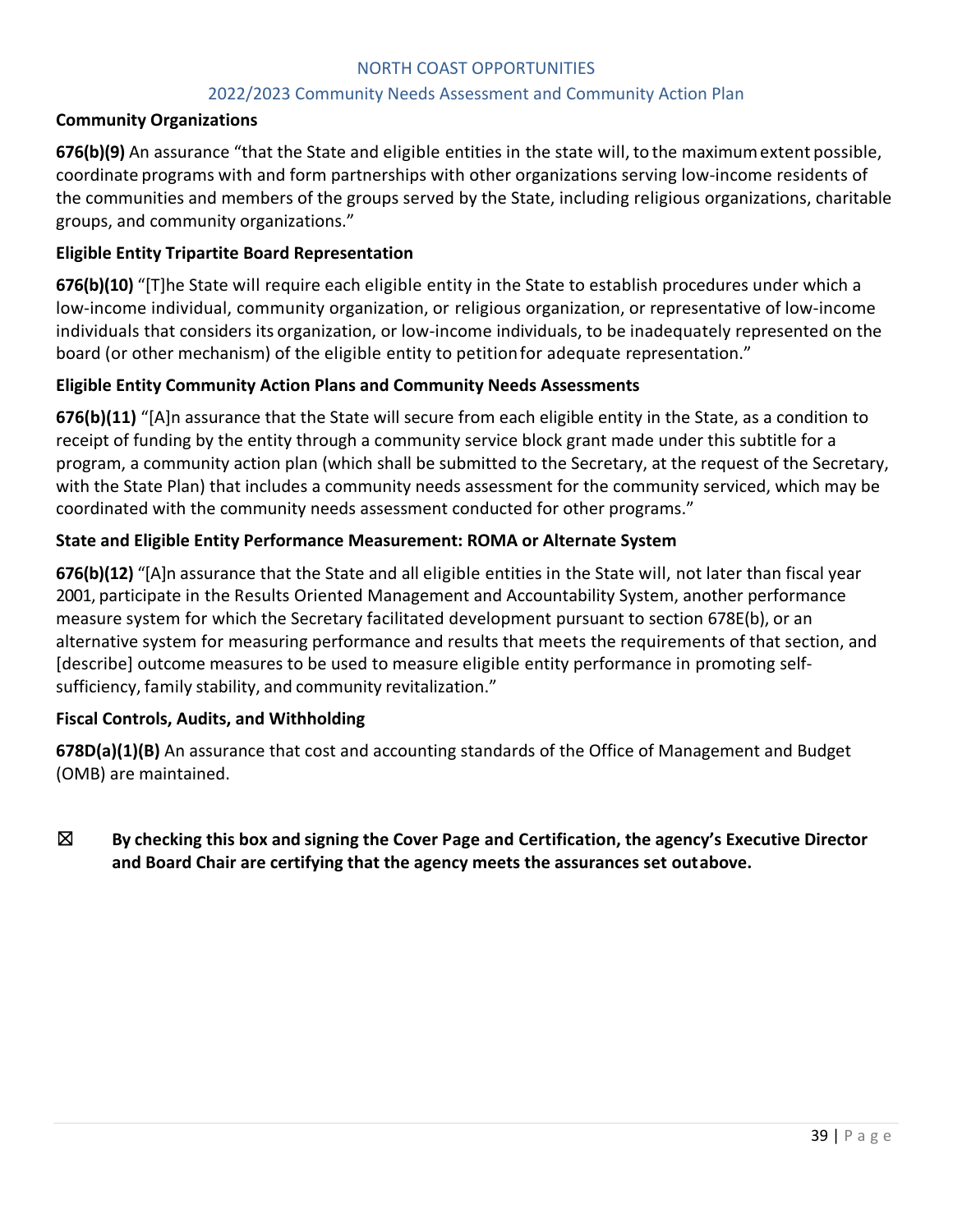#### 2022/2023 Community Needs Assessment and Community Action Plan

#### **Community Organizations**

**676(b)(9)** An assurance "that the State and eligible entities in the state will, to the maximumextent possible, coordinate programs with and form partnerships with other organizations serving low-income residents of the communities and members of the groups served by the State, including religious organizations, charitable groups, and community organizations."

#### **Eligible Entity Tripartite Board Representation**

**676(b)(10)** "[T]he State will require each eligible entity in the State to establish procedures under which a low-income individual, community organization, or religious organization, or representative of low-income individuals that considers its organization, or low-income individuals, to be inadequately represented on the board (or other mechanism) of the eligible entity to petitionfor adequate representation."

#### **Eligible Entity Community Action Plans and Community Needs Assessments**

**676(b)(11)** "[A]n assurance that the State will secure from each eligible entity in the State, as a condition to receipt of funding by the entity through a community service block grant made under this subtitle for a program, a community action plan (which shall be submitted to the Secretary, at the request of the Secretary, with the State Plan) that includes a community needs assessment for the community serviced, which may be coordinated with the community needs assessment conducted for other programs."

#### **State and Eligible Entity Performance Measurement: ROMA or Alternate System**

**676(b)(12)** "[A]n assurance that the State and all eligible entities in the State will, not later than fiscal year 2001, participate in the Results Oriented Management and Accountability System, another performance measure system for which the Secretary facilitated development pursuant to section 678E(b), or an alternative system for measuring performance and results that meets the requirements of that section, and [describe] outcome measures to be used to measure eligible entity performance in promoting selfsufficiency, family stability, and community revitalization."

#### **Fiscal Controls, Audits, and Withholding**

**678D(a)(1)(B)** An assurance that cost and accounting standards of the Office of Management and Budget (OMB) are maintained.

# ☒ **By checking this box and signing the Cover Page and Certification, the agency's Executive Director and Board Chair are certifying that the agency meets the assurances set outabove.**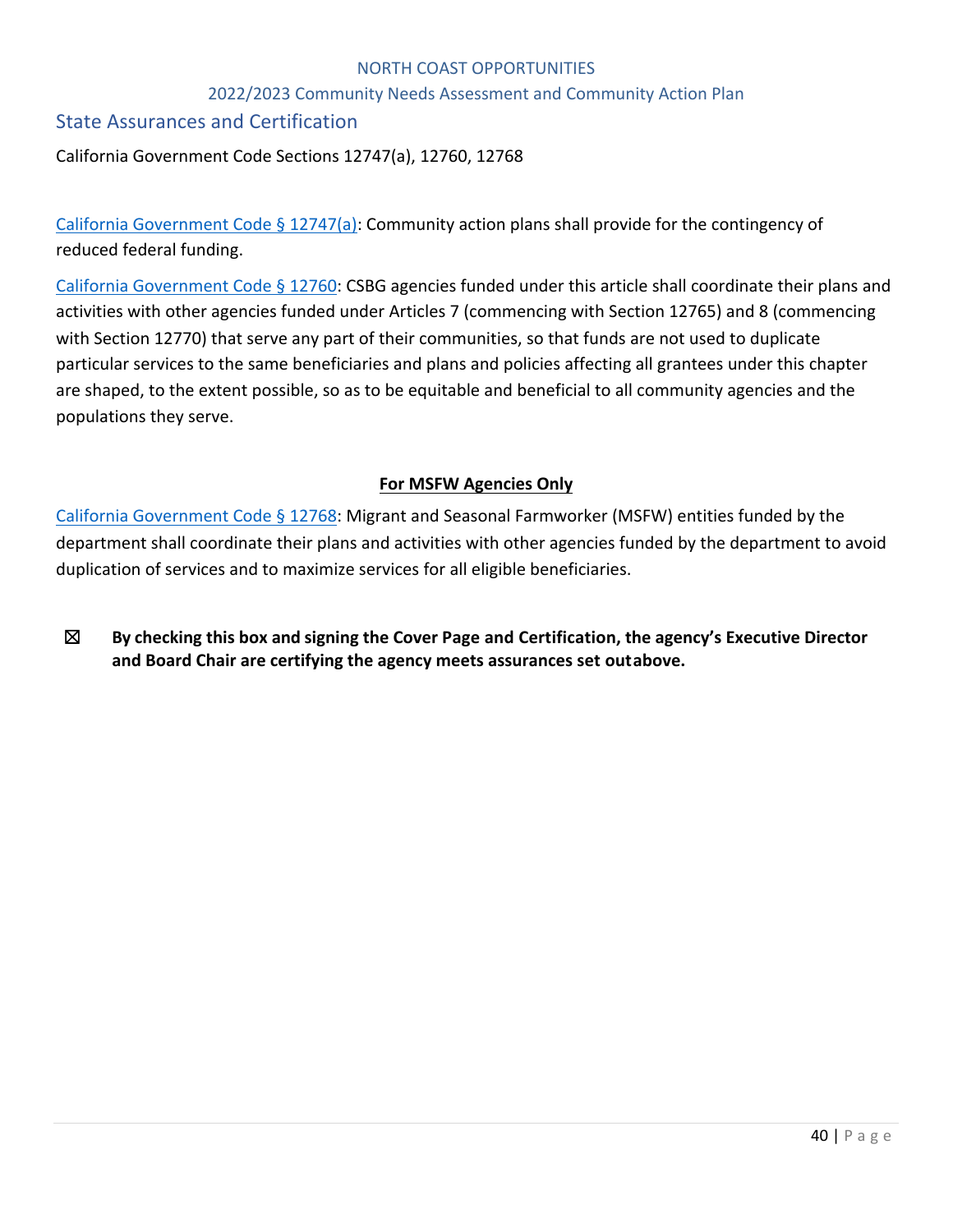#### 2022/2023 Community Needs Assessment and Community Action Plan

# State Assurances and Certification

California Government Code Sections 12747(a), 12760, 12768

California Government Code § 12747(a): Community action plans shall provide for the contingency of reduced federal funding.

California Government Code § 12760: CSBG agencies funded under this article shall coordinate their plans and activities with other agencies funded under Articles 7 (commencing with Section 12765) and 8 (commencing with Section 12770) that serve any part of their communities, so that funds are not used to duplicate particular services to the same beneficiaries and plans and policies affecting all grantees under this chapter are shaped, to the extent possible, so as to be equitable and beneficial to all community agencies and the populations they serve.

# **For MSFW Agencies Only**

California Government Code § 12768: Migrant and Seasonal Farmworker (MSFW) entities funded by the department shall coordinate their plans and activities with other agencies funded by the department to avoid duplication of services and to maximize services for all eligible beneficiaries.

☒ **By checking this box and signing the Cover Page and Certification, the agency's Executive Director and Board Chair are certifying the agency meets assurances set outabove.**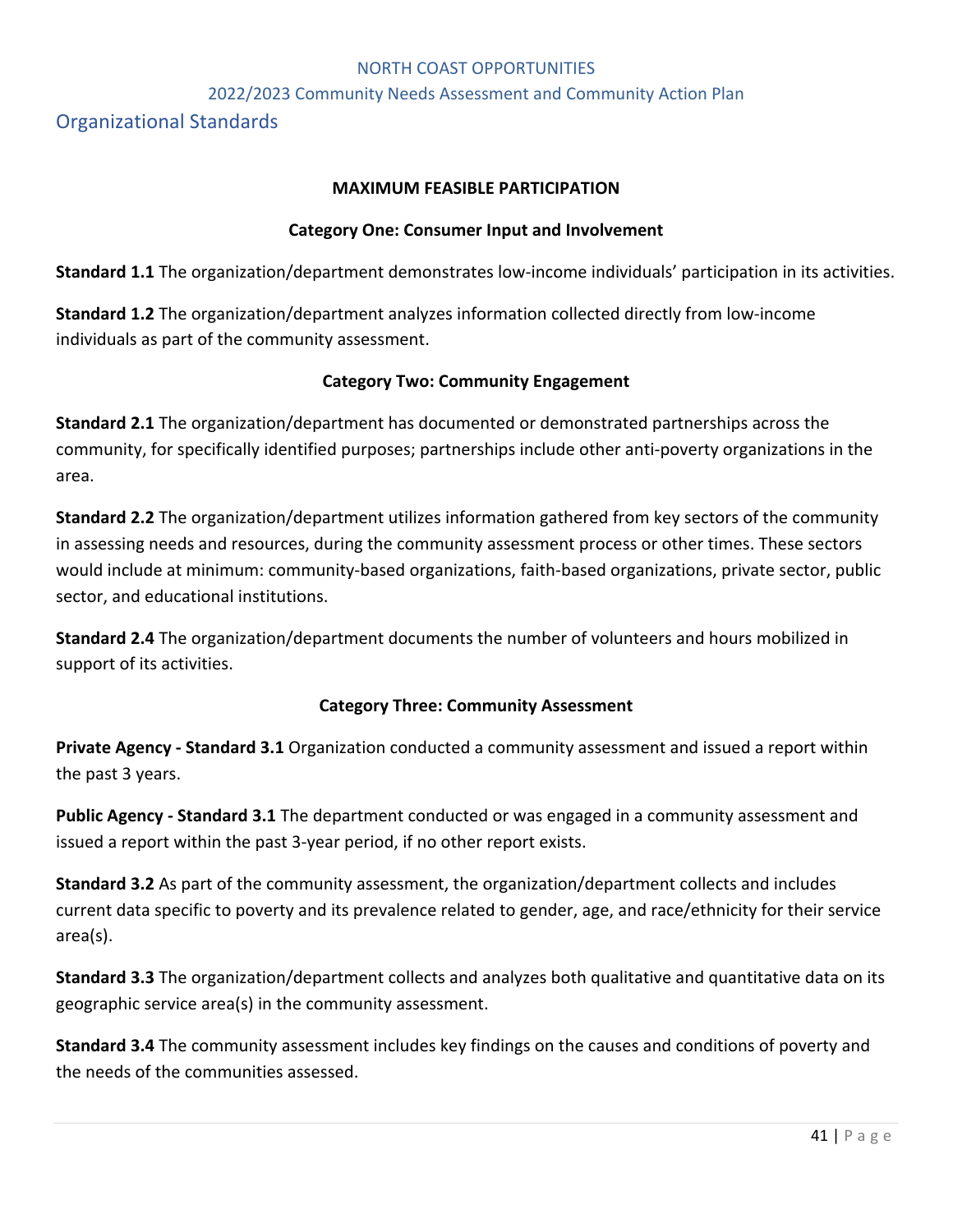#### 2022/2023 Community Needs Assessment and Community Action Plan

Organizational Standards

#### **MAXIMUM FEASIBLE PARTICIPATION**

#### **Category One: Consumer Input and Involvement**

**Standard 1.1** The organization/department demonstrates low-income individuals' participation in its activities.

**Standard 1.2** The organization/department analyzes information collected directly from low-income individuals as part of the community assessment.

#### **Category Two: Community Engagement**

**Standard 2.1** The organization/department has documented or demonstrated partnerships across the community, for specifically identified purposes; partnerships include other anti-poverty organizations in the area.

**Standard 2.2** The organization/department utilizes information gathered from key sectors of the community in assessing needs and resources, during the community assessment process or other times. These sectors would include at minimum: community-based organizations, faith-based organizations, private sector, public sector, and educational institutions.

**Standard 2.4** The organization/department documents the number of volunteers and hours mobilized in support of its activities.

#### **Category Three: Community Assessment**

**Private Agency - Standard 3.1** Organization conducted a community assessment and issued a report within the past 3 years.

**Public Agency - Standard 3.1** The department conducted or was engaged in a community assessment and issued a report within the past 3-year period, if no other report exists.

**Standard 3.2** As part of the community assessment, the organization/department collects and includes current data specific to poverty and its prevalence related to gender, age, and race/ethnicity for their service area(s).

**Standard 3.3** The organization/department collects and analyzes both qualitative and quantitative data on its geographic service area(s) in the community assessment.

**Standard 3.4** The community assessment includes key findings on the causes and conditions of poverty and the needs of the communities assessed.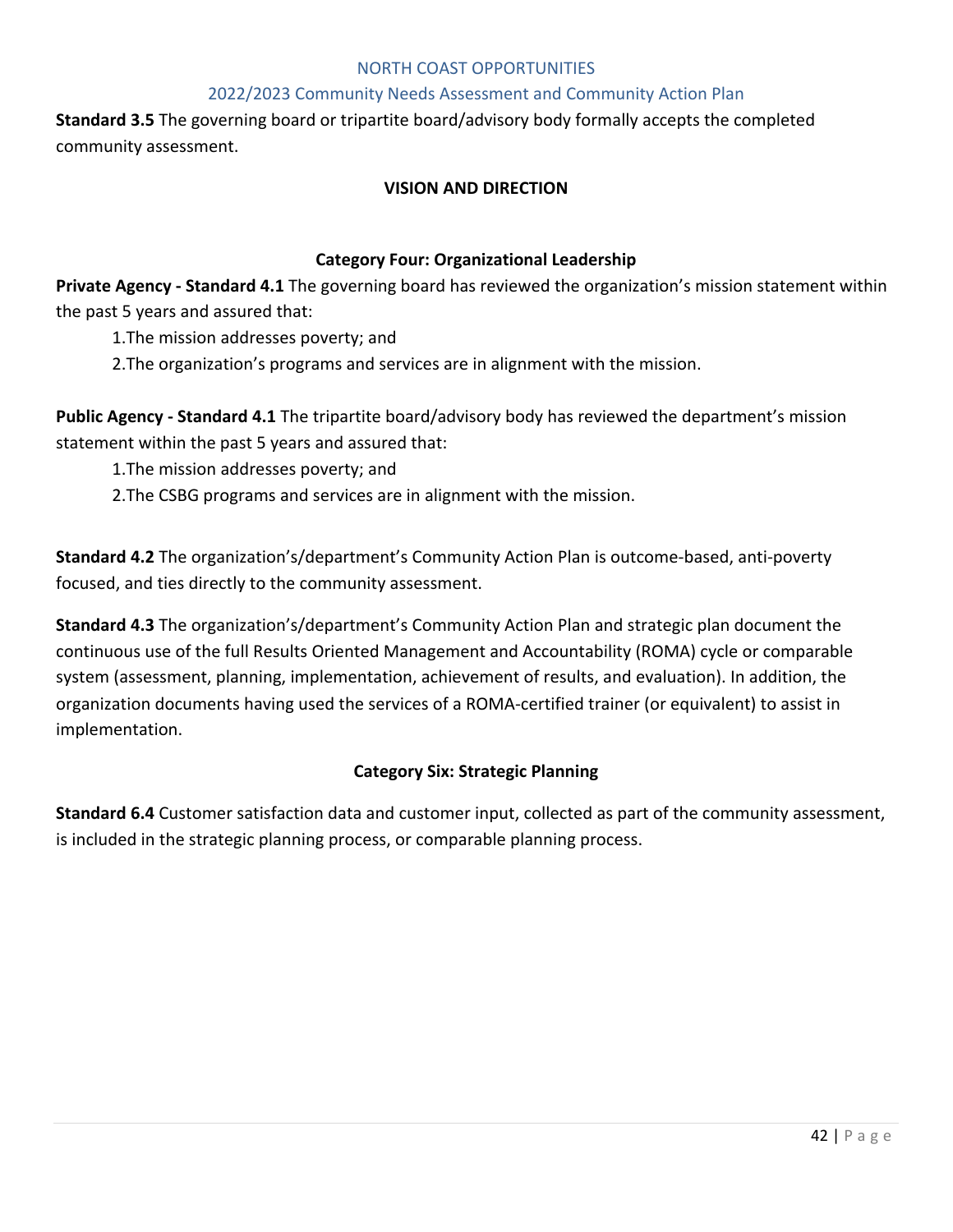#### 2022/2023 Community Needs Assessment and Community Action Plan

**Standard 3.5** The governing board or tripartite board/advisory body formally accepts the completed community assessment.

#### **VISION AND DIRECTION**

#### **Category Four: Organizational Leadership**

**Private Agency - Standard 4.1** The governing board has reviewed the organization's mission statement within the past 5 years and assured that:

1.The mission addresses poverty; and

2.The organization's programs and services are in alignment with the mission.

**Public Agency - Standard 4.1** The tripartite board/advisory body has reviewed the department's mission statement within the past 5 years and assured that:

1.The mission addresses poverty; and

2.The CSBG programs and services are in alignment with the mission.

**Standard 4.2** The organization's/department's Community Action Plan is outcome-based, anti-poverty focused, and ties directly to the community assessment.

**Standard 4.3** The organization's/department's Community Action Plan and strategic plan document the continuous use of the full Results Oriented Management and Accountability (ROMA) cycle or comparable system (assessment, planning, implementation, achievement of results, and evaluation). In addition, the organization documents having used the services of a ROMA-certified trainer (or equivalent) to assist in implementation.

#### **Category Six: Strategic Planning**

**Standard 6.4** Customer satisfaction data and customer input, collected as part of the community assessment, is included in the strategic planning process, or comparable planning process.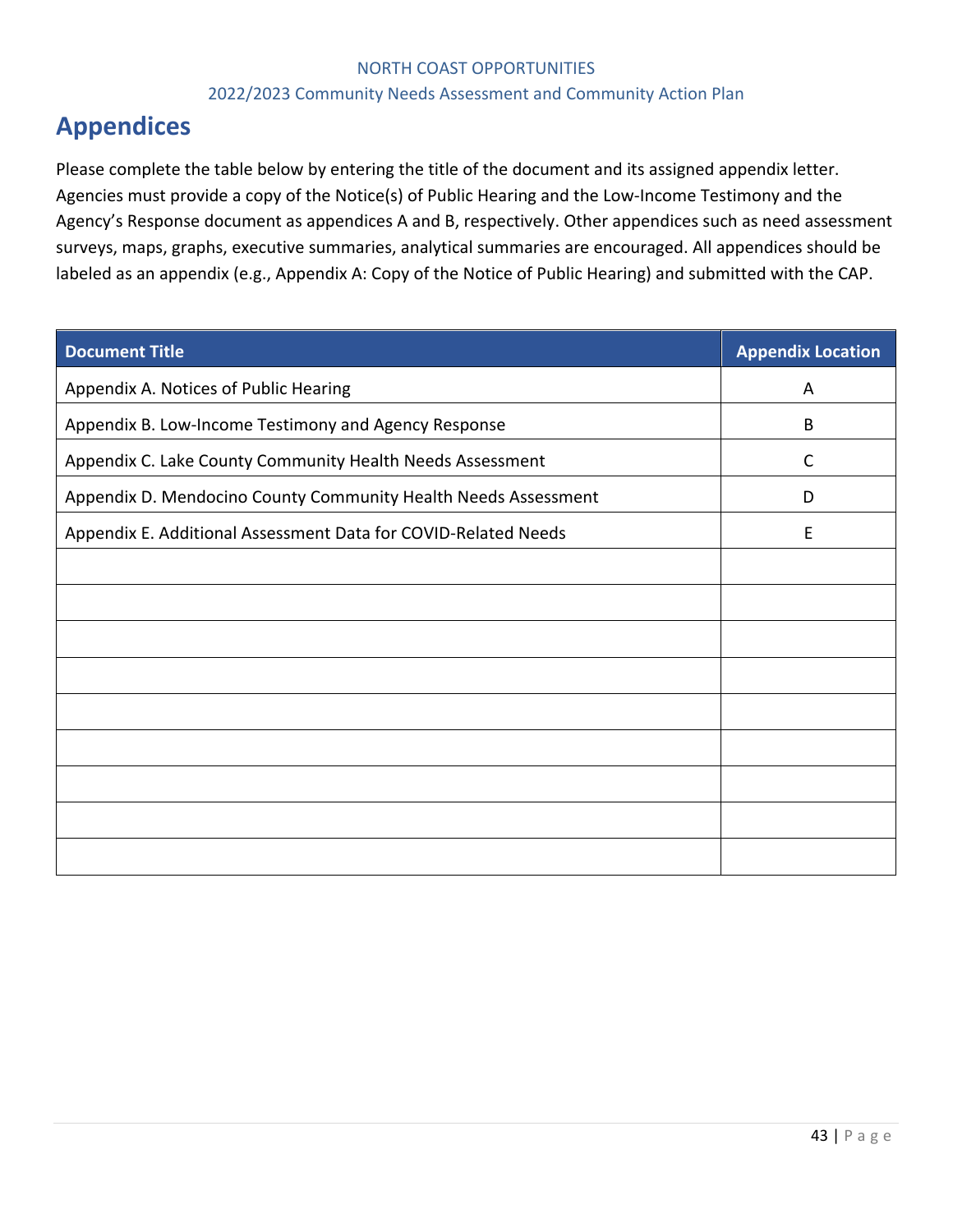#### 2022/2023 Community Needs Assessment and Community Action Plan

# **Appendices**

Please complete the table below by entering the title of the document and its assigned appendix letter. Agencies must provide a copy of the Notice(s) of Public Hearing and the Low-Income Testimony and the Agency's Response document as appendices A and B, respectively. Other appendices such as need assessment surveys, maps, graphs, executive summaries, analytical summaries are encouraged. All appendices should be labeled as an appendix (e.g., Appendix A: Copy of the Notice of Public Hearing) and submitted with the CAP.

| <b>Document Title</b>                                          | <b>Appendix Location</b> |
|----------------------------------------------------------------|--------------------------|
| Appendix A. Notices of Public Hearing                          | A                        |
| Appendix B. Low-Income Testimony and Agency Response           | B                        |
| Appendix C. Lake County Community Health Needs Assessment      | C                        |
| Appendix D. Mendocino County Community Health Needs Assessment | D                        |
| Appendix E. Additional Assessment Data for COVID-Related Needs | E                        |
|                                                                |                          |
|                                                                |                          |
|                                                                |                          |
|                                                                |                          |
|                                                                |                          |
|                                                                |                          |
|                                                                |                          |
|                                                                |                          |
|                                                                |                          |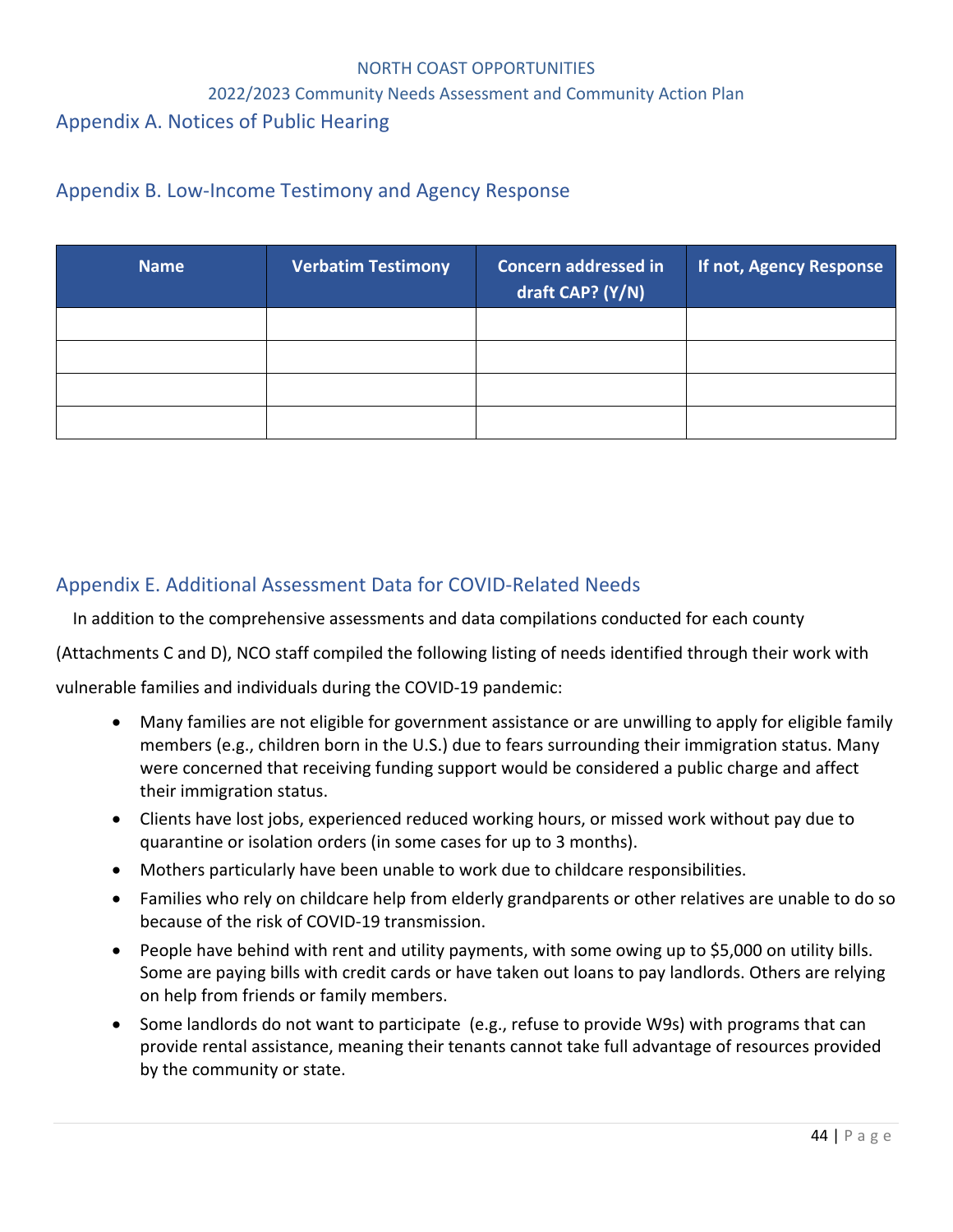#### 2022/2023 Community Needs Assessment and Community Action Plan

# Appendix A. Notices of Public Hearing

# Appendix B. Low-Income Testimony and Agency Response

| <b>Name</b> | <b>Verbatim Testimony</b> | <b>Concern addressed in</b><br>draft CAP? (Y/N) | If not, Agency Response |
|-------------|---------------------------|-------------------------------------------------|-------------------------|
|             |                           |                                                 |                         |
|             |                           |                                                 |                         |
|             |                           |                                                 |                         |
|             |                           |                                                 |                         |

# Appendix E. Additional Assessment Data for COVID-Related Needs

In addition to the comprehensive assessments and data compilations conducted for each county

(Attachments C and D), NCO staff compiled the following listing of needs identified through their work with

vulnerable families and individuals during the COVID-19 pandemic:

- Many families are not eligible for government assistance or are unwilling to apply for eligible family members (e.g., children born in the U.S.) due to fears surrounding their immigration status. Many were concerned that receiving funding support would be considered a public charge and affect their immigration status.
- Clients have lost jobs, experienced reduced working hours, or missed work without pay due to quarantine or isolation orders (in some cases for up to 3 months).
- Mothers particularly have been unable to work due to childcare responsibilities.
- Families who rely on childcare help from elderly grandparents or other relatives are unable to do so because of the risk of COVID-19 transmission.
- People have behind with rent and utility payments, with some owing up to \$5,000 on utility bills. Some are paying bills with credit cards or have taken out loans to pay landlords. Others are relying on help from friends or family members.
- Some landlords do not want to participate (e.g., refuse to provide W9s) with programs that can provide rental assistance, meaning their tenants cannot take full advantage of resources provided by the community or state.